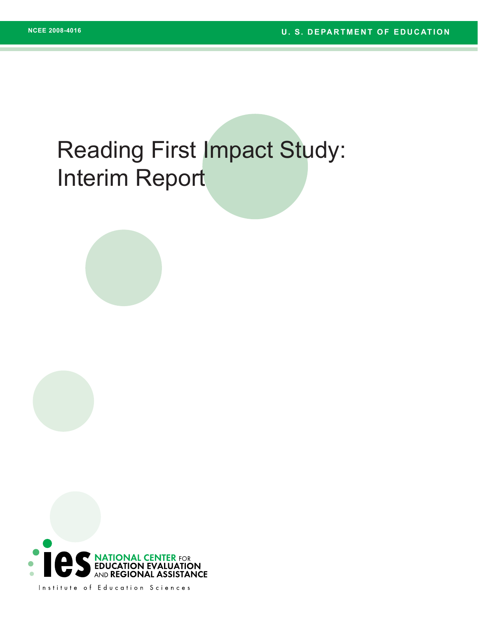# Reading First Impact Study: Interim Report



Institute of Education Sciences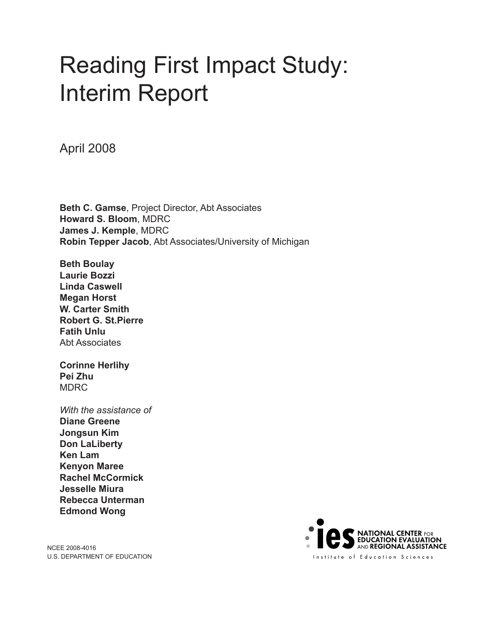# Reading First Impact Study: Interim Report

April 2008

**Beth C. Gamse**, Project Director, Abt Associates **Howard S. Bloom**, MDRC **James J. Kemple**, MDRC **Robin Tepper Jacob**, Abt Associates/University of Michigan

**Beth Boulay Laurie Bozzi Linda Caswell Megan Horst W. Carter Smith Robert G. St.Pierre Fatih Unlu** Abt Associates

**Corinne Herlihy Pei Zhu** MDRC

*With the assistance of* **Diane Greene Jongsun Kim Don LaLiberty Ken Lam Kenyon Maree Rachel McCormick Jesselle Miura Rebecca Unterman Edmond Wong** 

NCEE 2008-4016 U.S. DEPARTMENT OF EDUCATION

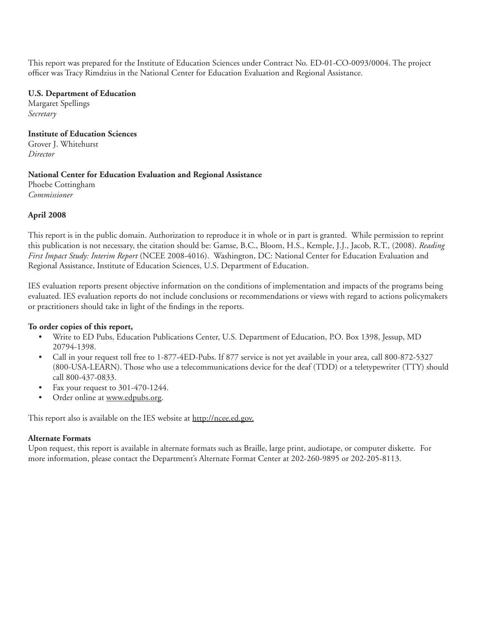This report was prepared for the Institute of Education Sciences under Contract No. ED-01-CO-0093/0004. The project officer was Tracy Rimdzius in the National Center for Education Evaluation and Regional Assistance.

#### **U.S. Department of Education**

Margaret Spellings *Secretary*

## **Institute of Education Sciences**

Grover J. Whitehurst *Director*

#### **National Center for Education Evaluation and Regional Assistance**

Phoebe Cottingham *Commissioner*

### **April 2008**

This report is in the public domain. Authorization to reproduce it in whole or in part is granted. While permission to reprint this publication is not necessary, the citation should be: Gamse, B.C., Bloom, H.S., Kemple, J.J., Jacob, R.T., (2008). *Reading First Impact Study: Interim Report* (NCEE 2008-4016). Washington, DC: National Center for Education Evaluation and Regional Assistance, Institute of Education Sciences, U.S. Department of Education.

IES evaluation reports present objective information on the conditions of implementation and impacts of the programs being evaluated. IES evaluation reports do not include conclusions or recommendations or views with regard to actions policymakers or practitioners should take in light of the findings in the reports.

## **To order copies of this report,**

- Write to ED Pubs, Education Publications Center, U.S. Department of Education, P.O. Box 1398, Jessup, MD 20794-1398.
- Call in your request toll free to 1-877-4ED-Pubs. If 877 service is not yet available in your area, call 800-872-5327 (800-USA-LEARN). Those who use a telecommunications device for the deaf (TDD) or a teletypewriter (TTY) should call 800-437-0833.
- Fax your request to 301-470-1244.
- Order online at www.edpubs.org.

This report also is available on the IES website at http://ncee.ed.gov.

#### **Alternate Formats**

Upon request, this report is available in alternate formats such as Braille, large print, audiotape, or computer diskette. For more information, please contact the Department's Alternate Format Center at 202-260-9895 or 202-205-8113.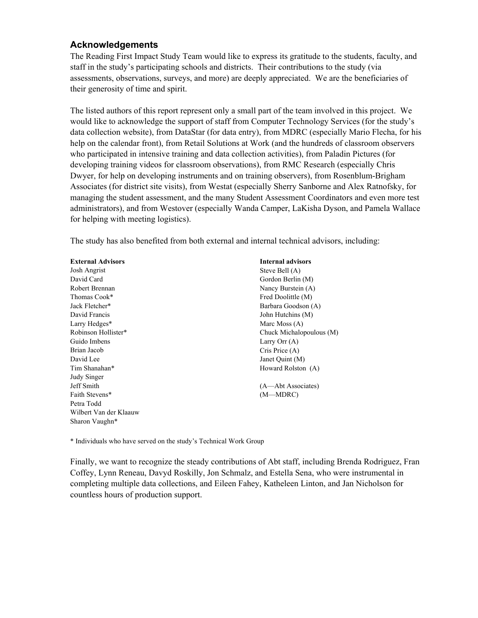## **Acknowledgements**

The Reading First Impact Study Team would like to express its gratitude to the students, faculty, and staff in the study's participating schools and districts. Their contributions to the study (via assessments, observations, surveys, and more) are deeply appreciated. We are the beneficiaries of their generosity of time and spirit.

The listed authors of this report represent only a small part of the team involved in this project. We would like to acknowledge the support of staff from Computer Technology Services (for the study's data collection website), from DataStar (for data entry), from MDRC (especially Mario Flecha, for his help on the calendar front), from Retail Solutions at Work (and the hundreds of classroom observers who participated in intensive training and data collection activities), from Paladin Pictures (for developing training videos for classroom observations), from RMC Research (especially Chris Dwyer, for help on developing instruments and on training observers), from Rosenblum-Brigham Associates (for district site visits), from Westat (especially Sherry Sanborne and Alex Ratnofsky, for managing the student assessment, and the many Student Assessment Coordinators and even more test administrators), and from Westover (especially Wanda Camper, LaKisha Dyson, and Pamela Wallace for helping with meeting logistics).

The study has also benefited from both external and internal technical advisors, including:

Josh Angrist David Card Robert Brennan Thomas Cook\* Jack Fletcher\* David Francis Larry Hedges\* Robinson Hollister\* Guido Imbens Brian Jacob David Lee Tim Shanahan\* Judy Singer Jeff Smith Faith Stevens\* Petra Todd Wilbert Van der Klaauw Sharon Vaughn\*

**Internal advisors**  Steve Bell (A) Gordon Berlin (M) Nancy Burstein (A) Fred Doolittle (M) Barbara Goodson (A) John Hutchins (M) Marc Moss (A) Chuck Michalopoulous (M) Larry Orr (A) Cris Price (A) Janet Quint (M) Howard Rolston (A) (A—Abt Associates) (M—MDRC)

\* Individuals who have served on the study's Technical Work Group

Finally, we want to recognize the steady contributions of Abt staff, including Brenda Rodriguez, Fran Coffey, Lynn Reneau, Davyd Roskilly, Jon Schmalz, and Estella Sena, who were instrumental in completing multiple data collections, and Eileen Fahey, Katheleen Linton, and Jan Nicholson for countless hours of production support.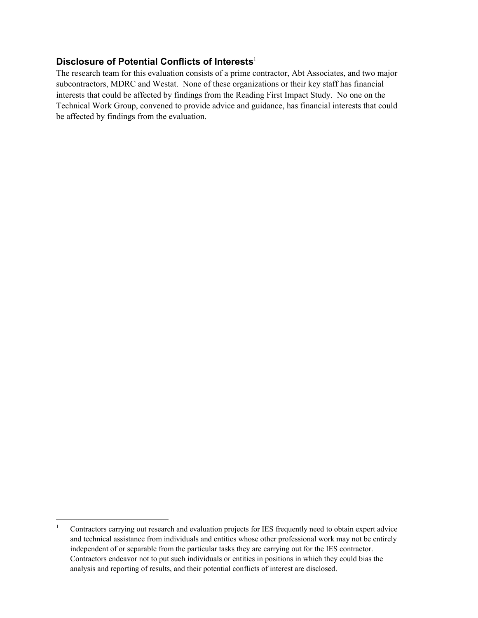## **Disclosure of Potential Conflicts of Interests**<sup>1</sup>

The research team for this evaluation consists of a prime contractor, Abt Associates, and two major subcontractors, MDRC and Westat. None of these organizations or their key staff has financial interests that could be affected by findings from the Reading First Impact Study. No one on the Technical Work Group, convened to provide advice and guidance, has financial interests that could be affected by findings from the evaluation.

l

<sup>1</sup> Contractors carrying out research and evaluation projects for IES frequently need to obtain expert advice and technical assistance from individuals and entities whose other professional work may not be entirely independent of or separable from the particular tasks they are carrying out for the IES contractor. Contractors endeavor not to put such individuals or entities in positions in which they could bias the analysis and reporting of results, and their potential conflicts of interest are disclosed.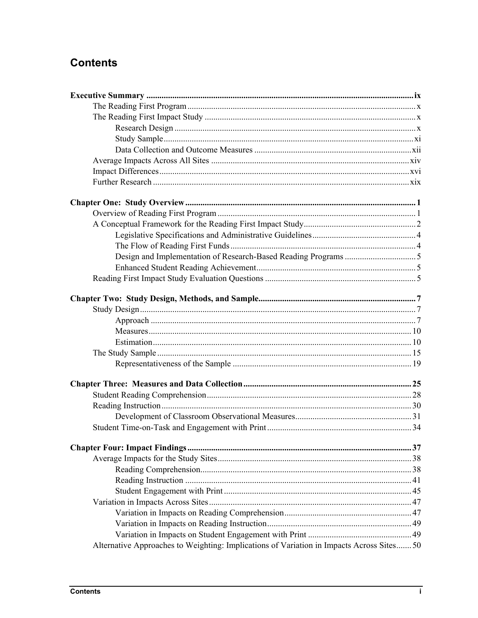## **Contents**

| Alternative Approaches to Weighting: Implications of Variation in Impacts Across Sites 50 |  |
|-------------------------------------------------------------------------------------------|--|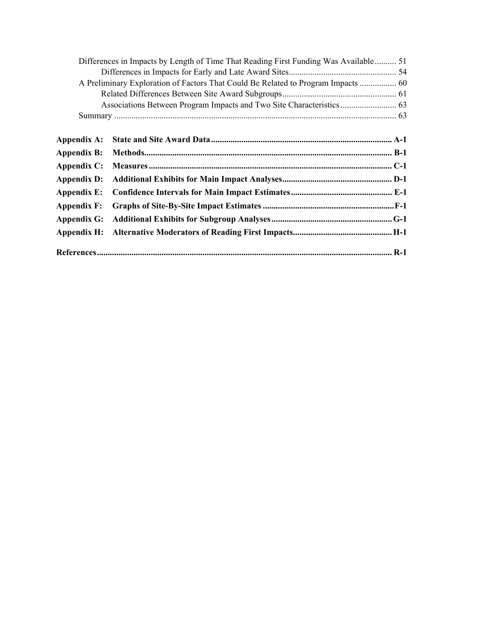|                    | Differences in Impacts by Length of Time That Reading First Funding Was Available 51 |  |
|--------------------|--------------------------------------------------------------------------------------|--|
|                    |                                                                                      |  |
|                    | A Preliminary Exploration of Factors That Could Be Related to Program Impacts  60    |  |
|                    |                                                                                      |  |
|                    |                                                                                      |  |
|                    |                                                                                      |  |
|                    |                                                                                      |  |
| Appendix A:        |                                                                                      |  |
| <b>Appendix B:</b> |                                                                                      |  |
| Appendix C:        |                                                                                      |  |
| <b>Appendix D:</b> |                                                                                      |  |
| Appendix E:        |                                                                                      |  |
| Appendix F:        |                                                                                      |  |
| Appendix G:        |                                                                                      |  |
| Appendix H:        |                                                                                      |  |
|                    |                                                                                      |  |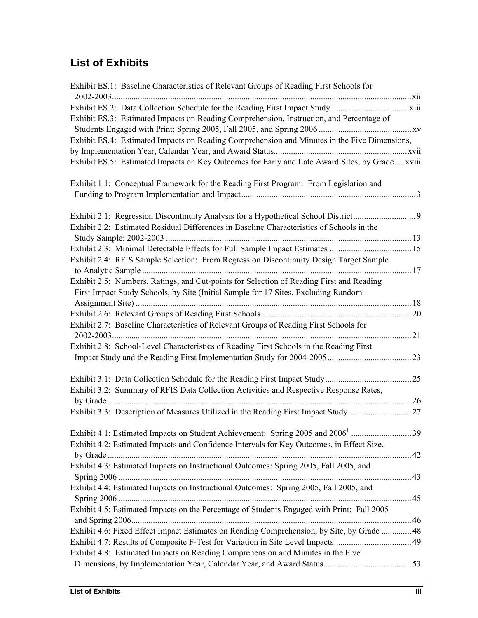## **List of Exhibits**

| Exhibit ES.1: Baseline Characteristics of Relevant Groups of Reading First Schools for        |  |
|-----------------------------------------------------------------------------------------------|--|
|                                                                                               |  |
|                                                                                               |  |
| Exhibit ES.3: Estimated Impacts on Reading Comprehension, Instruction, and Percentage of      |  |
|                                                                                               |  |
| Exhibit ES.4: Estimated Impacts on Reading Comprehension and Minutes in the Five Dimensions,  |  |
|                                                                                               |  |
| Exhibit ES.5: Estimated Impacts on Key Outcomes for Early and Late Award Sites, by Gradexviii |  |
| Exhibit 1.1: Conceptual Framework for the Reading First Program: From Legislation and         |  |
|                                                                                               |  |
|                                                                                               |  |
| Exhibit 2.1: Regression Discontinuity Analysis for a Hypothetical School District             |  |
| Exhibit 2.2: Estimated Residual Differences in Baseline Characteristics of Schools in the     |  |
|                                                                                               |  |
|                                                                                               |  |
| Exhibit 2.4: RFIS Sample Selection: From Regression Discontinuity Design Target Sample        |  |
|                                                                                               |  |
| Exhibit 2.5: Numbers, Ratings, and Cut-points for Selection of Reading First and Reading      |  |
| First Impact Study Schools, by Site (Initial Sample for 17 Sites, Excluding Random            |  |
|                                                                                               |  |
|                                                                                               |  |
| Exhibit 2.7: Baseline Characteristics of Relevant Groups of Reading First Schools for         |  |
|                                                                                               |  |
| Exhibit 2.8: School-Level Characteristics of Reading First Schools in the Reading First       |  |
|                                                                                               |  |
|                                                                                               |  |
|                                                                                               |  |
| Exhibit 3.2: Summary of RFIS Data Collection Activities and Respective Response Rates,        |  |
|                                                                                               |  |
|                                                                                               |  |
|                                                                                               |  |
| Exhibit 4.1: Estimated Impacts on Student Achievement: Spring 2005 and 2006 <sup>1</sup> 39   |  |
| Exhibit 4.2: Estimated Impacts and Confidence Intervals for Key Outcomes, in Effect Size,     |  |
|                                                                                               |  |
| Exhibit 4.3: Estimated Impacts on Instructional Outcomes: Spring 2005, Fall 2005, and         |  |
|                                                                                               |  |
| Exhibit 4.4: Estimated Impacts on Instructional Outcomes: Spring 2005, Fall 2005, and         |  |
|                                                                                               |  |
| Exhibit 4.5: Estimated Impacts on the Percentage of Students Engaged with Print: Fall 2005    |  |
|                                                                                               |  |
| Exhibit 4.6: Fixed Effect Impact Estimates on Reading Comprehension, by Site, by Grade  48    |  |
|                                                                                               |  |
| Exhibit 4.8: Estimated Impacts on Reading Comprehension and Minutes in the Five               |  |
|                                                                                               |  |
|                                                                                               |  |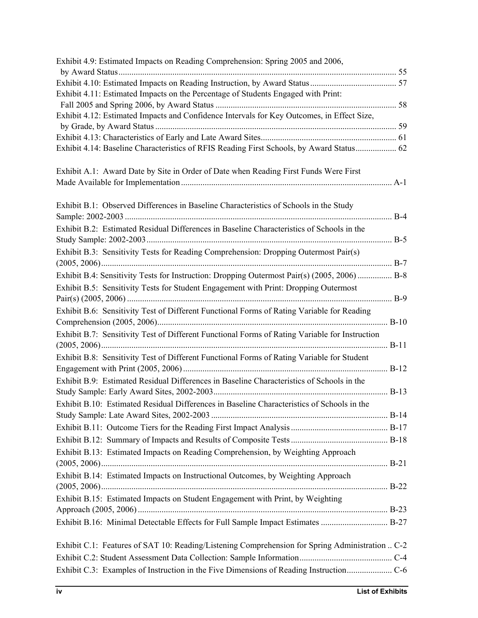| Exhibit 4.9: Estimated Impacts on Reading Comprehension: Spring 2005 and 2006,                  |  |
|-------------------------------------------------------------------------------------------------|--|
|                                                                                                 |  |
|                                                                                                 |  |
| Exhibit 4.11: Estimated Impacts on the Percentage of Students Engaged with Print:               |  |
|                                                                                                 |  |
| Exhibit 4.12: Estimated Impacts and Confidence Intervals for Key Outcomes, in Effect Size,      |  |
|                                                                                                 |  |
| Exhibit 4.14: Baseline Characteristics of RFIS Reading First Schools, by Award Status 62        |  |
|                                                                                                 |  |
| Exhibit A.1: Award Date by Site in Order of Date when Reading First Funds Were First            |  |
|                                                                                                 |  |
|                                                                                                 |  |
| Exhibit B.1: Observed Differences in Baseline Characteristics of Schools in the Study           |  |
|                                                                                                 |  |
| Exhibit B.2: Estimated Residual Differences in Baseline Characteristics of Schools in the       |  |
|                                                                                                 |  |
| Exhibit B.3: Sensitivity Tests for Reading Comprehension: Dropping Outermost Pair(s)            |  |
|                                                                                                 |  |
| Exhibit B.4: Sensitivity Tests for Instruction: Dropping Outermost Pair(s) (2005, 2006)  B-8    |  |
| Exhibit B.5: Sensitivity Tests for Student Engagement with Print: Dropping Outermost            |  |
|                                                                                                 |  |
| Exhibit B.6: Sensitivity Test of Different Functional Forms of Rating Variable for Reading      |  |
|                                                                                                 |  |
| Exhibit B.7: Sensitivity Test of Different Functional Forms of Rating Variable for Instruction  |  |
|                                                                                                 |  |
| Exhibit B.8: Sensitivity Test of Different Functional Forms of Rating Variable for Student      |  |
|                                                                                                 |  |
| Exhibit B.9: Estimated Residual Differences in Baseline Characteristics of Schools in the       |  |
|                                                                                                 |  |
| Exhibit B.10: Estimated Residual Differences in Baseline Characteristics of Schools in the      |  |
|                                                                                                 |  |
|                                                                                                 |  |
|                                                                                                 |  |
| Exhibit B.13: Estimated Impacts on Reading Comprehension, by Weighting Approach                 |  |
|                                                                                                 |  |
| Exhibit B.14: Estimated Impacts on Instructional Outcomes, by Weighting Approach                |  |
|                                                                                                 |  |
| Exhibit B.15: Estimated Impacts on Student Engagement with Print, by Weighting                  |  |
|                                                                                                 |  |
| Exhibit B.16: Minimal Detectable Effects for Full Sample Impact Estimates  B-27                 |  |
|                                                                                                 |  |
| Exhibit C.1: Features of SAT 10: Reading/Listening Comprehension for Spring Administration  C-2 |  |
|                                                                                                 |  |
|                                                                                                 |  |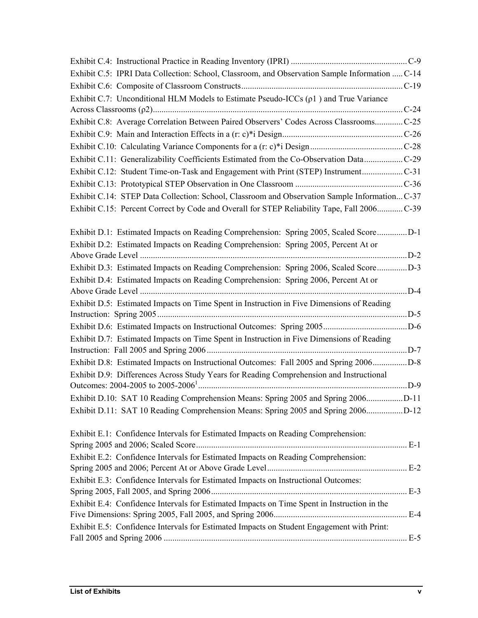| Exhibit C.5: IPRI Data Collection: School, Classroom, and Observation Sample Information  C-14 |  |
|------------------------------------------------------------------------------------------------|--|
|                                                                                                |  |
| Exhibit C.7: Unconditional HLM Models to Estimate Pseudo-ICCs $(\rho 1)$ and True Variance     |  |
|                                                                                                |  |
| Exhibit C.8: Average Correlation Between Paired Observers' Codes Across ClassroomsC-25         |  |
|                                                                                                |  |
|                                                                                                |  |
| Exhibit C.11: Generalizability Coefficients Estimated from the Co-Observation DataC-29         |  |
| Exhibit C.12: Student Time-on-Task and Engagement with Print (STEP) InstrumentC-31             |  |
|                                                                                                |  |
| Exhibit C.14: STEP Data Collection: School, Classroom and Observation Sample Information C-37  |  |
| Exhibit C.15: Percent Correct by Code and Overall for STEP Reliability Tape, Fall 2006C-39     |  |
| Exhibit D.1: Estimated Impacts on Reading Comprehension: Spring 2005, Scaled ScoreD-1          |  |
| Exhibit D.2: Estimated Impacts on Reading Comprehension: Spring 2005, Percent At or            |  |
|                                                                                                |  |
| Exhibit D.3: Estimated Impacts on Reading Comprehension: Spring 2006, Scaled ScoreD-3          |  |
| Exhibit D.4: Estimated Impacts on Reading Comprehension: Spring 2006, Percent At or            |  |
|                                                                                                |  |
| Exhibit D.5: Estimated Impacts on Time Spent in Instruction in Five Dimensions of Reading      |  |
|                                                                                                |  |
|                                                                                                |  |
| Exhibit D.7: Estimated Impacts on Time Spent in Instruction in Five Dimensions of Reading      |  |
|                                                                                                |  |
| Exhibit D.8: Estimated Impacts on Instructional Outcomes: Fall 2005 and Spring 2006D-8         |  |
| Exhibit D.9: Differences Across Study Years for Reading Comprehension and Instructional        |  |
|                                                                                                |  |
| Exhibit D.10: SAT 10 Reading Comprehension Means: Spring 2005 and Spring 2006D-11              |  |
| Exhibit D.11: SAT 10 Reading Comprehension Means: Spring 2005 and Spring 2006D-12              |  |
| Exhibit E.1: Confidence Intervals for Estimated Impacts on Reading Comprehension:              |  |
|                                                                                                |  |
| Exhibit E.2: Confidence Intervals for Estimated Impacts on Reading Comprehension:              |  |
|                                                                                                |  |
| Exhibit E.3: Confidence Intervals for Estimated Impacts on Instructional Outcomes:             |  |
|                                                                                                |  |
| Exhibit E.4: Confidence Intervals for Estimated Impacts on Time Spent in Instruction in the    |  |
|                                                                                                |  |
| Exhibit E.5: Confidence Intervals for Estimated Impacts on Student Engagement with Print:      |  |
|                                                                                                |  |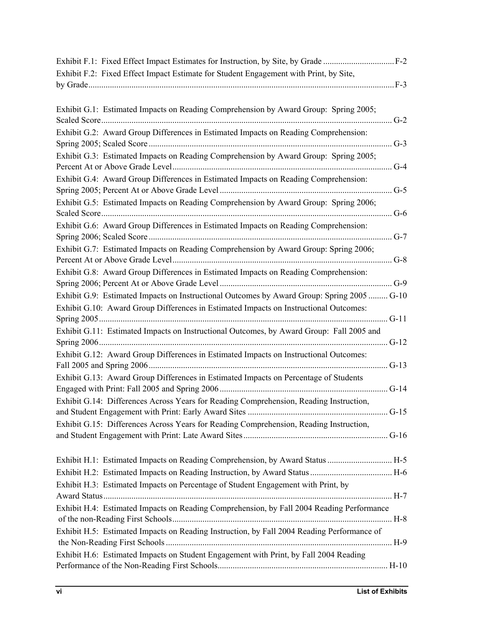| Exhibit F.2: Fixed Effect Impact Estimate for Student Engagement with Print, by Site,      |        |
|--------------------------------------------------------------------------------------------|--------|
|                                                                                            |        |
| Exhibit G.1: Estimated Impacts on Reading Comprehension by Award Group: Spring 2005;       |        |
|                                                                                            | $G-2$  |
| Exhibit G.2: Award Group Differences in Estimated Impacts on Reading Comprehension:        |        |
|                                                                                            | $G-3$  |
| Exhibit G.3: Estimated Impacts on Reading Comprehension by Award Group: Spring 2005;       |        |
|                                                                                            | $G-4$  |
| Exhibit G.4: Award Group Differences in Estimated Impacts on Reading Comprehension:        |        |
|                                                                                            | $G-5$  |
| Exhibit G.5: Estimated Impacts on Reading Comprehension by Award Group: Spring 2006;       |        |
|                                                                                            | $G-6$  |
| Exhibit G.6: Award Group Differences in Estimated Impacts on Reading Comprehension:        | $G-7$  |
| Exhibit G.7: Estimated Impacts on Reading Comprehension by Award Group: Spring 2006;       |        |
|                                                                                            |        |
| Exhibit G.8: Award Group Differences in Estimated Impacts on Reading Comprehension:        |        |
|                                                                                            |        |
| Exhibit G.9: Estimated Impacts on Instructional Outcomes by Award Group: Spring 2005  G-10 |        |
| Exhibit G.10: Award Group Differences in Estimated Impacts on Instructional Outcomes:      |        |
|                                                                                            |        |
| Exhibit G.11: Estimated Impacts on Instructional Outcomes, by Award Group: Fall 2005 and   |        |
|                                                                                            | $G-12$ |
| Exhibit G.12: Award Group Differences in Estimated Impacts on Instructional Outcomes:      |        |
|                                                                                            |        |
| Exhibit G.13: Award Group Differences in Estimated Impacts on Percentage of Students       | $G-14$ |
| Exhibit G.14: Differences Across Years for Reading Comprehension, Reading Instruction,     |        |
|                                                                                            |        |
| Exhibit G.15: Differences Across Years for Reading Comprehension, Reading Instruction,     |        |
|                                                                                            |        |
|                                                                                            |        |
| Exhibit H.1: Estimated Impacts on Reading Comprehension, by Award Status  H-5              |        |
|                                                                                            |        |
| Exhibit H.3: Estimated Impacts on Percentage of Student Engagement with Print, by          |        |
|                                                                                            |        |
| Exhibit H.4: Estimated Impacts on Reading Comprehension, by Fall 2004 Reading Performance  |        |
|                                                                                            |        |
| Exhibit H.5: Estimated Impacts on Reading Instruction, by Fall 2004 Reading Performance of |        |
|                                                                                            |        |
| Exhibit H.6: Estimated Impacts on Student Engagement with Print, by Fall 2004 Reading      |        |
|                                                                                            |        |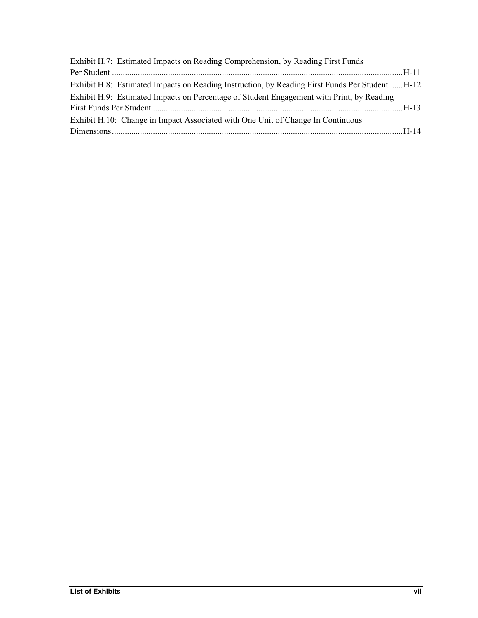| Exhibit H.7: Estimated Impacts on Reading Comprehension, by Reading First Funds                 |  |
|-------------------------------------------------------------------------------------------------|--|
|                                                                                                 |  |
| Exhibit H.8: Estimated Impacts on Reading Instruction, by Reading First Funds Per Student  H-12 |  |
| Exhibit H.9: Estimated Impacts on Percentage of Student Engagement with Print, by Reading       |  |
|                                                                                                 |  |
| Exhibit H.10: Change in Impact Associated with One Unit of Change In Continuous                 |  |
|                                                                                                 |  |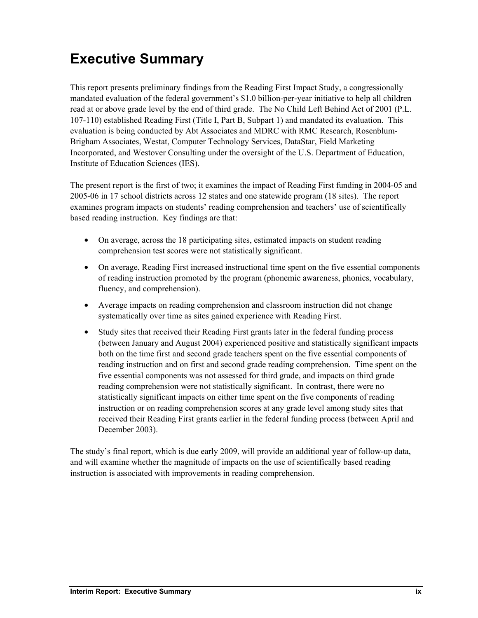## **Executive Summary**

This report presents preliminary findings from the Reading First Impact Study, a congressionally mandated evaluation of the federal government's \$1.0 billion-per-year initiative to help all children read at or above grade level by the end of third grade. The No Child Left Behind Act of 2001 (P.L. 107-110) established Reading First (Title I, Part B, Subpart 1) and mandated its evaluation. This evaluation is being conducted by Abt Associates and MDRC with RMC Research, Rosenblum-Brigham Associates, Westat, Computer Technology Services, DataStar, Field Marketing Incorporated, and Westover Consulting under the oversight of the U.S. Department of Education, Institute of Education Sciences (IES).

The present report is the first of two; it examines the impact of Reading First funding in 2004-05 and 2005-06 in 17 school districts across 12 states and one statewide program (18 sites). The report examines program impacts on students' reading comprehension and teachers' use of scientifically based reading instruction. Key findings are that:

- On average, across the 18 participating sites, estimated impacts on student reading comprehension test scores were not statistically significant.
- On average, Reading First increased instructional time spent on the five essential components of reading instruction promoted by the program (phonemic awareness, phonics, vocabulary, fluency, and comprehension).
- Average impacts on reading comprehension and classroom instruction did not change systematically over time as sites gained experience with Reading First.
- Study sites that received their Reading First grants later in the federal funding process (between January and August 2004) experienced positive and statistically significant impacts both on the time first and second grade teachers spent on the five essential components of reading instruction and on first and second grade reading comprehension. Time spent on the five essential components was not assessed for third grade, and impacts on third grade reading comprehension were not statistically significant. In contrast, there were no statistically significant impacts on either time spent on the five components of reading instruction or on reading comprehension scores at any grade level among study sites that received their Reading First grants earlier in the federal funding process (between April and December 2003).

The study's final report, which is due early 2009, will provide an additional year of follow-up data, and will examine whether the magnitude of impacts on the use of scientifically based reading instruction is associated with improvements in reading comprehension.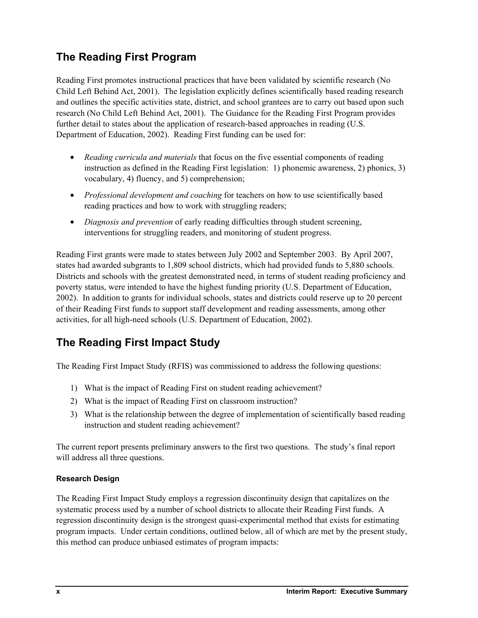## **The Reading First Program**

Reading First promotes instructional practices that have been validated by scientific research (No Child Left Behind Act, 2001). The legislation explicitly defines scientifically based reading research and outlines the specific activities state, district, and school grantees are to carry out based upon such research (No Child Left Behind Act, 2001). The Guidance for the Reading First Program provides further detail to states about the application of research-based approaches in reading (U.S. Department of Education, 2002). Reading First funding can be used for:

- *Reading curricula and materials* that focus on the five essential components of reading instruction as defined in the Reading First legislation: 1) phonemic awareness, 2) phonics, 3) vocabulary, 4) fluency, and 5) comprehension;
- *Professional development and coaching* for teachers on how to use scientifically based reading practices and how to work with struggling readers;
- *Diagnosis and prevention* of early reading difficulties through student screening, interventions for struggling readers, and monitoring of student progress.

Reading First grants were made to states between July 2002 and September 2003. By April 2007, states had awarded subgrants to 1,809 school districts, which had provided funds to 5,880 schools. Districts and schools with the greatest demonstrated need, in terms of student reading proficiency and poverty status, were intended to have the highest funding priority (U.S. Department of Education, 2002). In addition to grants for individual schools, states and districts could reserve up to 20 percent of their Reading First funds to support staff development and reading assessments, among other activities, for all high-need schools (U.S. Department of Education, 2002).

## **The Reading First Impact Study**

The Reading First Impact Study (RFIS) was commissioned to address the following questions:

- 1) What is the impact of Reading First on student reading achievement?
- 2) What is the impact of Reading First on classroom instruction?
- 3) What is the relationship between the degree of implementation of scientifically based reading instruction and student reading achievement?

The current report presents preliminary answers to the first two questions. The study's final report will address all three questions.

## **Research Design**

The Reading First Impact Study employs a regression discontinuity design that capitalizes on the systematic process used by a number of school districts to allocate their Reading First funds. A regression discontinuity design is the strongest quasi-experimental method that exists for estimating program impacts. Under certain conditions, outlined below, all of which are met by the present study, this method can produce unbiased estimates of program impacts: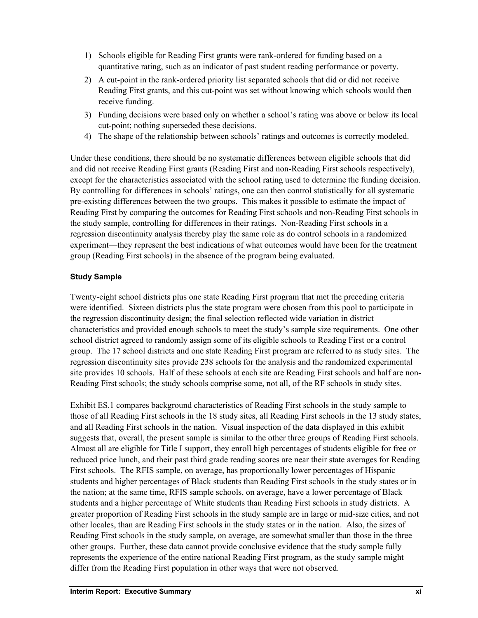- 1) Schools eligible for Reading First grants were rank-ordered for funding based on a quantitative rating, such as an indicator of past student reading performance or poverty.
- 2) A cut-point in the rank-ordered priority list separated schools that did or did not receive Reading First grants, and this cut-point was set without knowing which schools would then receive funding.
- 3) Funding decisions were based only on whether a school's rating was above or below its local cut-point; nothing superseded these decisions.
- 4) The shape of the relationship between schools' ratings and outcomes is correctly modeled.

Under these conditions, there should be no systematic differences between eligible schools that did and did not receive Reading First grants (Reading First and non-Reading First schools respectively), except for the characteristics associated with the school rating used to determine the funding decision. By controlling for differences in schools' ratings, one can then control statistically for all systematic pre-existing differences between the two groups. This makes it possible to estimate the impact of Reading First by comparing the outcomes for Reading First schools and non-Reading First schools in the study sample, controlling for differences in their ratings. Non-Reading First schools in a regression discontinuity analysis thereby play the same role as do control schools in a randomized experiment—they represent the best indications of what outcomes would have been for the treatment group (Reading First schools) in the absence of the program being evaluated.

### **Study Sample**

Twenty-eight school districts plus one state Reading First program that met the preceding criteria were identified. Sixteen districts plus the state program were chosen from this pool to participate in the regression discontinuity design; the final selection reflected wide variation in district characteristics and provided enough schools to meet the study's sample size requirements. One other school district agreed to randomly assign some of its eligible schools to Reading First or a control group. The 17 school districts and one state Reading First program are referred to as study sites. The regression discontinuity sites provide 238 schools for the analysis and the randomized experimental site provides 10 schools. Half of these schools at each site are Reading First schools and half are non-Reading First schools; the study schools comprise some, not all, of the RF schools in study sites.

Exhibit ES.1 compares background characteristics of Reading First schools in the study sample to those of all Reading First schools in the 18 study sites, all Reading First schools in the 13 study states, and all Reading First schools in the nation. Visual inspection of the data displayed in this exhibit suggests that, overall, the present sample is similar to the other three groups of Reading First schools. Almost all are eligible for Title I support, they enroll high percentages of students eligible for free or reduced price lunch, and their past third grade reading scores are near their state averages for Reading First schools. The RFIS sample, on average, has proportionally lower percentages of Hispanic students and higher percentages of Black students than Reading First schools in the study states or in the nation; at the same time, RFIS sample schools, on average, have a lower percentage of Black students and a higher percentage of White students than Reading First schools in study districts. A greater proportion of Reading First schools in the study sample are in large or mid-size cities, and not other locales, than are Reading First schools in the study states or in the nation. Also, the sizes of Reading First schools in the study sample, on average, are somewhat smaller than those in the three other groups. Further, these data cannot provide conclusive evidence that the study sample fully represents the experience of the entire national Reading First program, as the study sample might differ from the Reading First population in other ways that were not observed.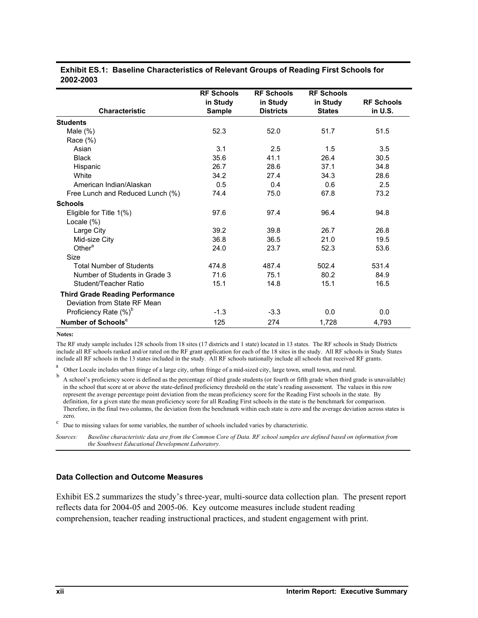|           | <b>Exhibit ES.1: Baseline Characteristics of Relevant Groups of Reading First Schools for</b> |
|-----------|-----------------------------------------------------------------------------------------------|
| 2002-2003 |                                                                                               |

|                                        | <b>RF Schools</b> | <b>RF Schools</b> | <b>RF Schools</b> |                   |
|----------------------------------------|-------------------|-------------------|-------------------|-------------------|
|                                        | in Study          | in Study          | in Study          | <b>RF Schools</b> |
| <b>Characteristic</b>                  | <b>Sample</b>     | <b>Districts</b>  | <b>States</b>     | in U.S.           |
| <b>Students</b>                        |                   |                   |                   |                   |
| Male $(\%)$                            | 52.3              | 52.0              | 51.7              | 51.5              |
| Race $(\%)$                            |                   |                   |                   |                   |
| Asian                                  | 3.1               | 2.5               | 1.5               | 3.5               |
| <b>Black</b>                           | 35.6              | 41.1              | 26.4              | 30.5              |
| Hispanic                               | 26.7              | 28.6              | 37.1              | 34.8              |
| White                                  | 34.2              | 27.4              | 34.3              | 28.6              |
| American Indian/Alaskan                | 0.5               | 0.4               | 0.6               | 2.5               |
| Free Lunch and Reduced Lunch (%)       | 74.4              | 75.0              | 67.8              | 73.2              |
| <b>Schools</b>                         |                   |                   |                   |                   |
| Eligible for Title 1(%)                | 97.6              | 97.4              | 96.4              | 94.8              |
| Locale $(\%)$                          |                   |                   |                   |                   |
| Large City                             | 39.2              | 39.8              | 26.7              | 26.8              |
| Mid-size City                          | 36.8              | 36.5              | 21.0              | 19.5              |
| Other <sup>a</sup>                     | 24.0              | 23.7              | 52.3              | 53.6              |
| Size                                   |                   |                   |                   |                   |
| <b>Total Number of Students</b>        | 474.8             | 487.4             | 502.4             | 531.4             |
| Number of Students in Grade 3          | 71.6              | 75.1              | 80.2              | 84.9              |
| Student/Teacher Ratio                  | 15.1              | 14.8              | 15.1              | 16.5              |
| <b>Third Grade Reading Performance</b> |                   |                   |                   |                   |
| Deviation from State RF Mean           |                   |                   |                   |                   |
| Proficiency Rate (%) <sup>b</sup>      | $-1.3$            | $-3.3$            | 0.0               | 0.0               |
| Number of Schools <sup>c</sup>         | 125               | 274               | 1,728             | 4,793             |

#### **Notes:**

The RF study sample includes 128 schools from 18 sites (17 districts and 1 state) located in 13 states. The RF schools in Study Districts include all RF schools ranked and/or rated on the RF grant application for each of the 18 sites in the study. All RF schools in Study States include all RF schools in the 13 states included in the study. All RF schools nationally include all schools that received RF grants.

<sup>a</sup> Other Locale includes urban fringe of a large city, urban fringe of a mid-sized city, large town, small town, and rural.

 $<sup>b</sup>$  A school's proficiency score is defined as the percentage of third grade students (or fourth or fifth grade when third grade is unavailable)</sup> in the school that score at or above the state-defined proficiency threshold on the state's reading assessment. The values in this row represent the average percentage point deviation from the mean proficiency score for the Reading First schools in the state. By definition, for a given state the mean proficiency score for all Reading First schools in the state is the benchmark for comparison. Therefore, in the final two columns, the deviation from the benchmark within each state is zero and the average deviation across states is zero.<br><sup>c</sup> Due to missing values for some variables, the number of schools included varies by characteristic.

*Sources: Baseline characteristic data are from the Common Core of Data. RF school samples are defined based on information from the Southwest Educational Development Laboratory.* 

#### **Data Collection and Outcome Measures**

Exhibit ES.2 summarizes the study's three-year, multi-source data collection plan. The present report reflects data for 2004-05 and 2005-06. Key outcome measures include student reading comprehension, teacher reading instructional practices, and student engagement with print.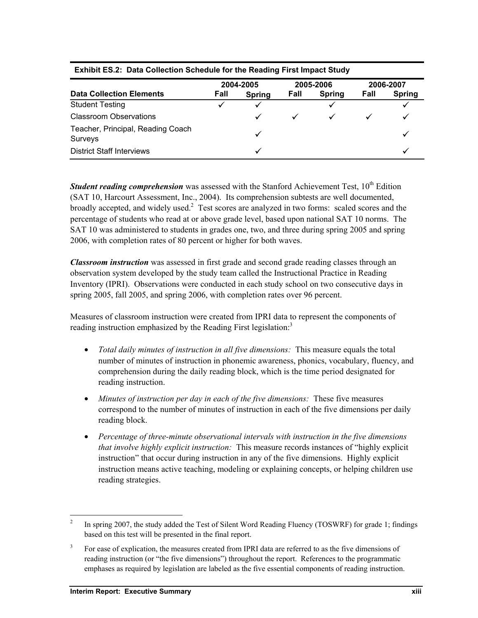|                                              | 2004-2005 |               | 2005-2006 |               | 2006-2007 |               |
|----------------------------------------------|-----------|---------------|-----------|---------------|-----------|---------------|
| <b>Data Collection Elements</b>              | Fall      | <b>Spring</b> | Fall      | <b>Spring</b> | Fall      | <b>Spring</b> |
| <b>Student Testing</b>                       |           |               |           |               |           |               |
| <b>Classroom Observations</b>                |           |               |           |               |           |               |
| Teacher, Principal, Reading Coach<br>Surveys |           |               |           |               |           |               |
| <b>District Staff Interviews</b>             |           |               |           |               |           |               |

#### **Exhibit ES.2: Data Collection Schedule for the Reading First Impact Study**

*Student reading comprehension* was assessed with the Stanford Achievement Test, 10<sup>th</sup> Edition (SAT 10, Harcourt Assessment, Inc., 2004). Its comprehension subtests are well documented, broadly accepted, and widely used.<sup>2</sup> Test scores are analyzed in two forms: scaled scores and the percentage of students who read at or above grade level, based upon national SAT 10 norms. The SAT 10 was administered to students in grades one, two, and three during spring 2005 and spring 2006, with completion rates of 80 percent or higher for both waves.

*Classroom instruction* was assessed in first grade and second grade reading classes through an observation system developed by the study team called the Instructional Practice in Reading Inventory (IPRI). Observations were conducted in each study school on two consecutive days in spring 2005, fall 2005, and spring 2006, with completion rates over 96 percent.

Measures of classroom instruction were created from IPRI data to represent the components of reading instruction emphasized by the Reading First legislation.<sup>3</sup>

- *Total daily minutes of instruction in all five dimensions:* This measure equals the total number of minutes of instruction in phonemic awareness, phonics, vocabulary, fluency, and comprehension during the daily reading block, which is the time period designated for reading instruction.
- *Minutes of instruction per day in each of the five dimensions:* These five measures correspond to the number of minutes of instruction in each of the five dimensions per daily reading block.
- *Percentage of three-minute observational intervals with instruction in the five dimensions that involve highly explicit instruction:* This measure records instances of "highly explicit instruction" that occur during instruction in any of the five dimensions. Highly explicit instruction means active teaching, modeling or explaining concepts, or helping children use reading strategies.

1

<sup>2</sup> In spring 2007, the study added the Test of Silent Word Reading Fluency (TOSWRF) for grade 1; findings based on this test will be presented in the final report.

<sup>3</sup> For ease of explication, the measures created from IPRI data are referred to as the five dimensions of reading instruction (or "the five dimensions") throughout the report. References to the programmatic emphases as required by legislation are labeled as the five essential components of reading instruction.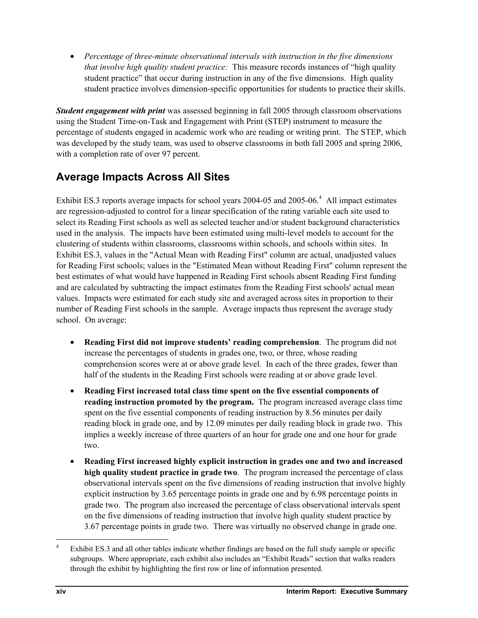• *Percentage of three-minute observational intervals with instruction in the five dimensions that involve high quality student practice:* This measure records instances of "high quality student practice" that occur during instruction in any of the five dimensions. High quality student practice involves dimension-specific opportunities for students to practice their skills.

*Student engagement with print* was assessed beginning in fall 2005 through classroom observations using the Student Time-on-Task and Engagement with Print (STEP) instrument to measure the percentage of students engaged in academic work who are reading or writing print. The STEP, which was developed by the study team, was used to observe classrooms in both fall 2005 and spring 2006, with a completion rate of over 97 percent.

## **Average Impacts Across All Sites**

Exhibit ES.3 reports average impacts for school years  $2004-05$  and  $2005-06$ .<sup>4</sup> All impact estimates are regression-adjusted to control for a linear specification of the rating variable each site used to select its Reading First schools as well as selected teacher and/or student background characteristics used in the analysis. The impacts have been estimated using multi-level models to account for the clustering of students within classrooms, classrooms within schools, and schools within sites. In Exhibit ES.3, values in the "Actual Mean with Reading First" column are actual, unadjusted values for Reading First schools; values in the "Estimated Mean without Reading First" column represent the best estimates of what would have happened in Reading First schools absent Reading First funding and are calculated by subtracting the impact estimates from the Reading First schools' actual mean values. Impacts were estimated for each study site and averaged across sites in proportion to their number of Reading First schools in the sample. Average impacts thus represent the average study school. On average:

- **Reading First did not improve students' reading comprehension**. The program did not increase the percentages of students in grades one, two, or three, whose reading comprehension scores were at or above grade level. In each of the three grades, fewer than half of the students in the Reading First schools were reading at or above grade level.
- **Reading First increased total class time spent on the five essential components of reading instruction promoted by the program.** The program increased average class time spent on the five essential components of reading instruction by 8.56 minutes per daily reading block in grade one, and by 12.09 minutes per daily reading block in grade two. This implies a weekly increase of three quarters of an hour for grade one and one hour for grade two.
- **Reading First increased highly explicit instruction in grades one and two and increased high quality student practice in grade two**. The program increased the percentage of class observational intervals spent on the five dimensions of reading instruction that involve highly explicit instruction by 3.65 percentage points in grade one and by 6.98 percentage points in grade two. The program also increased the percentage of class observational intervals spent on the five dimensions of reading instruction that involve high quality student practice by 3.67 percentage points in grade two. There was virtually no observed change in grade one.

-

<sup>4</sup> Exhibit ES.3 and all other tables indicate whether findings are based on the full study sample or specific subgroups. Where appropriate, each exhibit also includes an "Exhibit Reads" section that walks readers through the exhibit by highlighting the first row or line of information presented.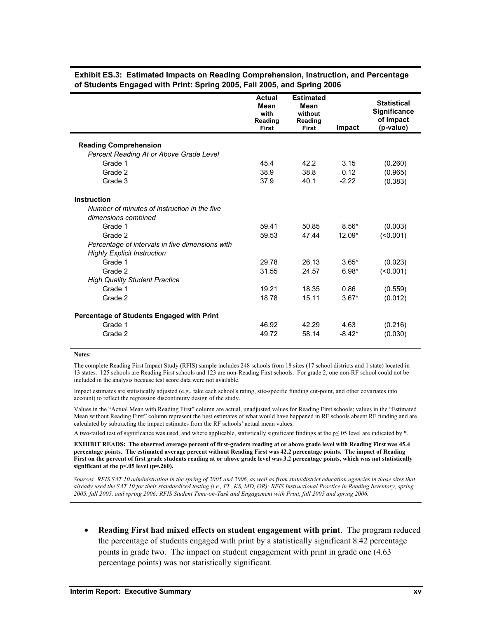|                                                                         | <b>Actual</b><br><b>Mean</b><br>with<br>Reading<br><b>First</b> | <b>Estimated</b><br>Mean<br>without<br>Reading<br><b>First</b> | Impact   | <b>Statistical</b><br><b>Significance</b><br>of Impact<br>(p-value) |
|-------------------------------------------------------------------------|-----------------------------------------------------------------|----------------------------------------------------------------|----------|---------------------------------------------------------------------|
|                                                                         |                                                                 |                                                                |          |                                                                     |
| <b>Reading Comprehension</b><br>Percent Reading At or Above Grade Level |                                                                 |                                                                |          |                                                                     |
| Grade 1                                                                 | 45.4                                                            | 42.2                                                           | 3.15     |                                                                     |
| Grade 2                                                                 | 38.9                                                            | 38.8                                                           | 0.12     | (0.260)                                                             |
|                                                                         |                                                                 |                                                                |          | (0.965)                                                             |
| Grade 3                                                                 | 37.9                                                            | 40.1                                                           | $-2.22$  | (0.383)                                                             |
| Instruction                                                             |                                                                 |                                                                |          |                                                                     |
| Number of minutes of instruction in the five                            |                                                                 |                                                                |          |                                                                     |
| dimensions combined                                                     |                                                                 |                                                                |          |                                                                     |
| Grade 1                                                                 | 59.41                                                           | 50.85                                                          | $8.56*$  | (0.003)                                                             |
| Grade 2                                                                 | 59.53                                                           | 47.44                                                          | 12.09*   | (0.001)                                                             |
| Percentage of intervals in five dimensions with                         |                                                                 |                                                                |          |                                                                     |
| <b>Highly Explicit Instruction</b>                                      |                                                                 |                                                                |          |                                                                     |
| Grade 1                                                                 | 29.78                                                           | 26.13                                                          | $3.65*$  | (0.023)                                                             |
| Grade 2                                                                 | 31.55                                                           | 24.57                                                          | $6.98*$  | (                                                                   |
| <b>High Quality Student Practice</b>                                    |                                                                 |                                                                |          |                                                                     |
| Grade 1                                                                 | 19.21                                                           | 18.35                                                          | 0.86     | (0.559)                                                             |
| Grade 2                                                                 | 18.78                                                           | 15.11                                                          | $3.67*$  | (0.012)                                                             |
|                                                                         |                                                                 |                                                                |          |                                                                     |
| Percentage of Students Engaged with Print                               |                                                                 |                                                                |          |                                                                     |
| Grade 1                                                                 | 46.92                                                           | 42.29                                                          | 4.63     | (0.216)                                                             |
| Grade 2                                                                 | 49.72                                                           | 58.14                                                          | $-8.42*$ | (0.030)                                                             |
|                                                                         |                                                                 |                                                                |          |                                                                     |

**Exhibit ES.3: Estimated Impacts on Reading Comprehension, Instruction, and Percentage of Students Engaged with Print: Spring 2005, Fall 2005, and Spring 2006** 

#### **Notes:**

The complete Reading First Impact Study (RFIS) sample includes 248 schools from 18 sites (17 school districts and 1 state) located in 13 states. 125 schools are Reading First schools and 123 are non-Reading First schools. For grade 2, one non-RF school could not be included in the analysis because test score data were not available.

Impact estimates are statistically adjusted (e.g., take each school's rating, site-specific funding cut-point, and other covariates into account) to reflect the regression discontinuity design of the study.

Values in the "Actual Mean with Reading First" column are actual, unadjusted values for Reading First schools; values in the "Estimated Mean without Reading First" column represent the best estimates of what would have happened in RF schools absent RF funding and are calculated by subtracting the impact estimates from the RF schools' actual mean values.

A two-tailed test of significance was used, and where applicable, statistically significant findings at the p≤.05 level are indicated by \*.

**EXHIBIT READS: The observed average percent of first-graders reading at or above grade level with Reading First was 45.4 percentage points. The estimated average percent without Reading First was 42.2 percentage points. The impact of Reading First on the percent of first grade students reading at or above grade level was 3.2 percentage points, which was not statistically significant at the p<.05 level (p=.260).** 

*Sources: RFIS SAT 10 administration in the spring of 2005 and 2006, as well as from state/district education agencies in those sites that already used the SAT 10 for their standardized testing (i.e., FL, KS, MD, OR); RFIS Instructional Practice in Reading Inventory, spring 2005, fall 2005, and spring 2006; RFIS Student Time-on-Task and Engagement with Print, fall 2005 and spring 2006.* 

• **Reading First had mixed effects on student engagement with print**. The program reduced the percentage of students engaged with print by a statistically significant 8.42 percentage points in grade two. The impact on student engagement with print in grade one (4.63 percentage points) was not statistically significant.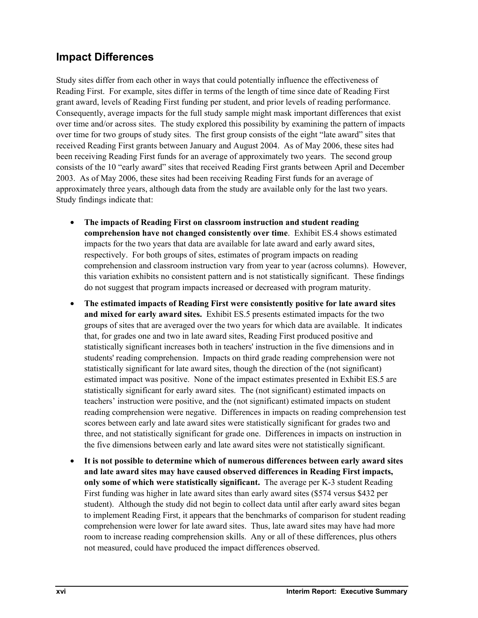## **Impact Differences**

Study sites differ from each other in ways that could potentially influence the effectiveness of Reading First. For example, sites differ in terms of the length of time since date of Reading First grant award, levels of Reading First funding per student, and prior levels of reading performance. Consequently, average impacts for the full study sample might mask important differences that exist over time and/or across sites. The study explored this possibility by examining the pattern of impacts over time for two groups of study sites. The first group consists of the eight "late award" sites that received Reading First grants between January and August 2004. As of May 2006, these sites had been receiving Reading First funds for an average of approximately two years. The second group consists of the 10 "early award" sites that received Reading First grants between April and December 2003. As of May 2006, these sites had been receiving Reading First funds for an average of approximately three years, although data from the study are available only for the last two years. Study findings indicate that:

- **The impacts of Reading First on classroom instruction and student reading comprehension have not changed consistently over time**. Exhibit ES.4 shows estimated impacts for the two years that data are available for late award and early award sites, respectively. For both groups of sites, estimates of program impacts on reading comprehension and classroom instruction vary from year to year (across columns). However, this variation exhibits no consistent pattern and is not statistically significant. These findings do not suggest that program impacts increased or decreased with program maturity.
- **The estimated impacts of Reading First were consistently positive for late award sites and mixed for early award sites.** Exhibit ES.5 presents estimated impacts for the two groups of sites that are averaged over the two years for which data are available. It indicates that, for grades one and two in late award sites, Reading First produced positive and statistically significant increases both in teachers' instruction in the five dimensions and in students' reading comprehension. Impacts on third grade reading comprehension were not statistically significant for late award sites, though the direction of the (not significant) estimated impact was positive. None of the impact estimates presented in Exhibit ES.5 are statistically significant for early award sites. The (not significant) estimated impacts on teachers' instruction were positive, and the (not significant) estimated impacts on student reading comprehension were negative. Differences in impacts on reading comprehension test scores between early and late award sites were statistically significant for grades two and three, and not statistically significant for grade one. Differences in impacts on instruction in the five dimensions between early and late award sites were not statistically significant.
- **It is not possible to determine which of numerous differences between early award sites and late award sites may have caused observed differences in Reading First impacts, only some of which were statistically significant.** The average per K-3 student Reading First funding was higher in late award sites than early award sites (\$574 versus \$432 per student). Although the study did not begin to collect data until after early award sites began to implement Reading First, it appears that the benchmarks of comparison for student reading comprehension were lower for late award sites. Thus, late award sites may have had more room to increase reading comprehension skills. Any or all of these differences, plus others not measured, could have produced the impact differences observed.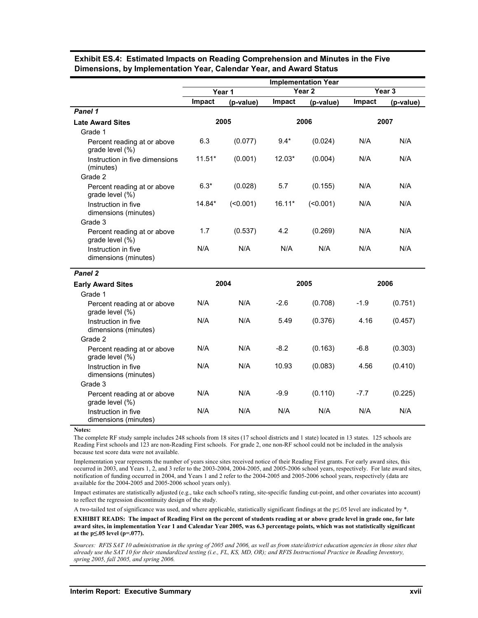|                                                        | <b>Implementation Year</b> |           |                   |              |                   |           |
|--------------------------------------------------------|----------------------------|-----------|-------------------|--------------|-------------------|-----------|
|                                                        | Year 1                     |           | Year <sub>2</sub> |              | Year <sub>3</sub> |           |
|                                                        | Impact                     | (p-value) | Impact            | (p-value)    | Impact            | (p-value) |
| Panel 1                                                |                            |           |                   |              |                   |           |
| <b>Late Award Sites</b>                                | 2005                       |           | 2006              |              | 2007              |           |
| Grade 1                                                |                            |           |                   |              |                   |           |
| Percent reading at or above<br>grade level (%)         | 6.3                        | (0.077)   | $9.4*$            | (0.024)      | N/A               | N/A       |
| Instruction in five dimensions<br>(minutes)            | $11.51*$                   | (0.001)   | $12.03*$          | (0.004)      | N/A               | N/A       |
| Grade 2                                                |                            |           |                   |              |                   |           |
| Percent reading at or above<br>grade level (%)         | $6.3*$                     | (0.028)   | 5.7               | (0.155)      | N/A               | N/A       |
| Instruction in five<br>dimensions (minutes)<br>Grade 3 | 14.84*                     | (50.001)  | $16.11*$          | $($ < 0.001) | N/A               | N/A       |
| Percent reading at or above<br>grade level (%)         | 1.7                        | (0.537)   | 4.2               | (0.269)      | N/A               | N/A       |
| Instruction in five<br>dimensions (minutes)            | N/A                        | N/A       | N/A               | N/A          | N/A               | N/A       |
| Panel 2                                                |                            |           |                   |              |                   |           |
| <b>Early Award Sites</b>                               | 2004                       |           | 2005              |              | 2006              |           |
| Grade 1                                                |                            |           |                   |              |                   |           |
| Percent reading at or above<br>grade level (%)         | N/A                        | N/A       | $-2.6$            | (0.708)      | $-1.9$            | (0.751)   |
| Instruction in five<br>dimensions (minutes)            | N/A                        | N/A       | 5.49              | (0.376)      | 4.16              | (0.457)   |
| Grade 2                                                |                            |           |                   |              |                   |           |
| Percent reading at or above<br>grade level (%)         | N/A                        | N/A       | $-8.2$            | (0.163)      | $-6.8$            | (0.303)   |
| Instruction in five<br>dimensions (minutes)            | N/A                        | N/A       | 10.93             | (0.083)      | 4.56              | (0.410)   |
| Grade 3                                                |                            |           |                   |              |                   |           |
| Percent reading at or above<br>grade level (%)         | N/A                        | N/A       | $-9.9$            | (0.110)      | $-7.7$            | (0.225)   |
| Instruction in five<br>dimensions (minutes)            | N/A                        | N/A       | N/A               | N/A          | N/A               | N/A       |

#### **Exhibit ES.4: Estimated Impacts on Reading Comprehension and Minutes in the Five Dimensions, by Implementation Year, Calendar Year, and Award Status**

**Notes:** 

The complete RF study sample includes 248 schools from 18 sites (17 school districts and 1 state) located in 13 states. 125 schools are Reading First schools and 123 are non-Reading First schools. For grade 2, one non-RF school could not be included in the analysis because test score data were not available.

Implementation year represents the number of years since sites received notice of their Reading First grants. For early award sites, this occurred in 2003, and Years 1, 2, and 3 refer to the 2003-2004, 2004-2005, and 2005-2006 school years, respectively. For late award sites, notification of funding occurred in 2004, and Years 1 and 2 refer to the 2004-2005 and 2005-2006 school years, respectively (data are available for the 2004-2005 and 2005-2006 school years only).

Impact estimates are statistically adjusted (e.g., take each school's rating, site-specific funding cut-point, and other covariates into account) to reflect the regression discontinuity design of the study.

A two-tailed test of significance was used, and where applicable, statistically significant findings at the p≤.05 level are indicated by \*.

**EXHIBIT READS: The impact of Reading First on the percent of students reading at or above grade level in grade one, for late award sites, in implementation Year 1 and Calendar Year 2005, was 6.3 percentage points, which was not statistically significant at the p≤.05 level (p=.077).** 

*Sources: RFIS SAT 10 administration in the spring of 2005 and 2006, as well as from state/district education agencies in those sites that already use the SAT 10 for their standardized testing (i.e., FL, KS, MD, OR); and RFIS Instructional Practice in Reading Inventory, spring 2005, fall 2005, and spring 2006.*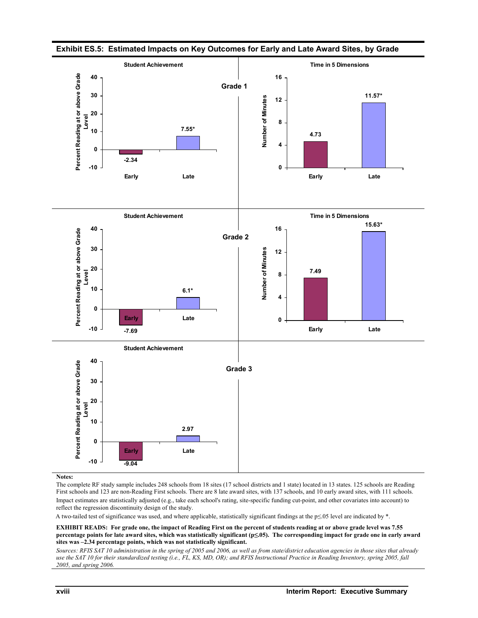

**Exhibit ES.5: Estimated Impacts on Key Outcomes for Early and Late Award Sites, by Grade** 

#### **Notes:**

The complete RF study sample includes 248 schools from 18 sites (17 school districts and 1 state) located in 13 states. 125 schools are Reading First schools and 123 are non-Reading First schools. There are 8 late award sites, with 137 schools, and 10 early award sites, with 111 schools. Impact estimates are statistically adjusted (e.g., take each school's rating, site-specific funding cut-point, and other covariates into account) to reflect the regression discontinuity design of the study.

A two-tailed test of significance was used, and where applicable, statistically significant findings at the p≤.05 level are indicated by \*.

**EXHIBIT READS: For grade one, the impact of Reading First on the percent of students reading at or above grade level was 7.55 percentage points for late award sites, which was statistically significant (p≤.05). The corresponding impact for grade one in early award sites was –2.34 percentage points, which was not statistically significant.** 

*Sources: RFIS SAT 10 administration in the spring of 2005 and 2006, as well as from state/district education agencies in those sites that already use the SAT 10 for their standardized testing (i.e., FL, KS, MD, OR); and RFIS Instructional Practice in Reading Inventory, spring 2005, fall 2005, and spring 2006.*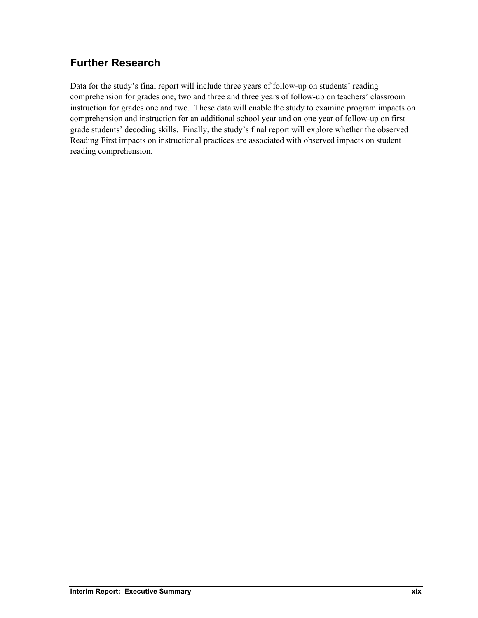## **Further Research**

Data for the study's final report will include three years of follow-up on students' reading comprehension for grades one, two and three and three years of follow-up on teachers' classroom instruction for grades one and two. These data will enable the study to examine program impacts on comprehension and instruction for an additional school year and on one year of follow-up on first grade students' decoding skills. Finally, the study's final report will explore whether the observed Reading First impacts on instructional practices are associated with observed impacts on student reading comprehension.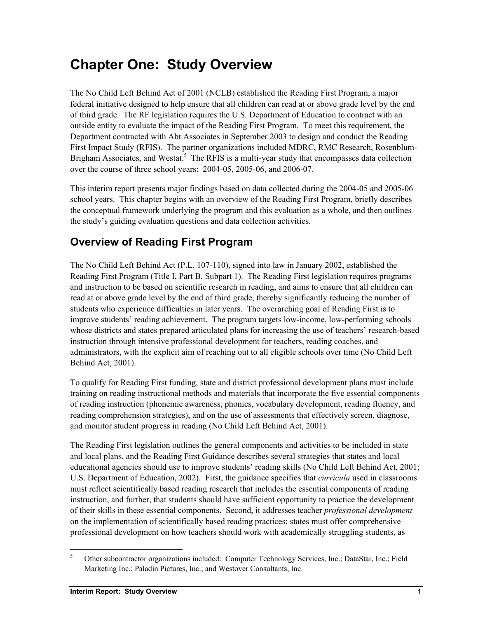## **Chapter One: Study Overview**

The No Child Left Behind Act of 2001 (NCLB) established the Reading First Program, a major federal initiative designed to help ensure that all children can read at or above grade level by the end of third grade. The RF legislation requires the U.S. Department of Education to contract with an outside entity to evaluate the impact of the Reading First Program. To meet this requirement, the Department contracted with Abt Associates in September 2003 to design and conduct the Reading First Impact Study (RFIS). The partner organizations included MDRC, RMC Research, Rosenblum-Brigham Associates, and Westat.<sup>5</sup> The RFIS is a multi-year study that encompasses data collection over the course of three school years: 2004-05, 2005-06, and 2006-07.

This interim report presents major findings based on data collected during the 2004-05 and 2005-06 school years. This chapter begins with an overview of the Reading First Program, briefly describes the conceptual framework underlying the program and this evaluation as a whole, and then outlines the study's guiding evaluation questions and data collection activities.

## **Overview of Reading First Program**

The No Child Left Behind Act (P.L. 107-110), signed into law in January 2002, established the Reading First Program (Title I, Part B, Subpart 1). The Reading First legislation requires programs and instruction to be based on scientific research in reading, and aims to ensure that all children can read at or above grade level by the end of third grade, thereby significantly reducing the number of students who experience difficulties in later years. The overarching goal of Reading First is to improve students' reading achievement. The program targets low-income, low-performing schools whose districts and states prepared articulated plans for increasing the use of teachers' research-based instruction through intensive professional development for teachers, reading coaches, and administrators, with the explicit aim of reaching out to all eligible schools over time (No Child Left Behind Act, 2001).

To qualify for Reading First funding, state and district professional development plans must include training on reading instructional methods and materials that incorporate the five essential components of reading instruction (phonemic awareness, phonics, vocabulary development, reading fluency, and reading comprehension strategies), and on the use of assessments that effectively screen, diagnose, and monitor student progress in reading (No Child Left Behind Act, 2001).

The Reading First legislation outlines the general components and activities to be included in state and local plans, and the Reading First Guidance describes several strategies that states and local educational agencies should use to improve students' reading skills (No Child Left Behind Act, 2001; U.S. Department of Education, 2002). First, the guidance specifies that *curricula* used in classrooms must reflect scientifically based reading research that includes the essential components of reading instruction, and further, that students should have sufficient opportunity to practice the development of their skills in these essential components. Second, it addresses teacher *professional development* on the implementation of scientifically based reading practices; states must offer comprehensive professional development on how teachers should work with academically struggling students, as

l

<sup>5</sup> Other subcontractor organizations included: Computer Technology Services, Inc.; DataStar, Inc.; Field Marketing Inc.; Paladin Pictures, Inc.; and Westover Consultants, Inc.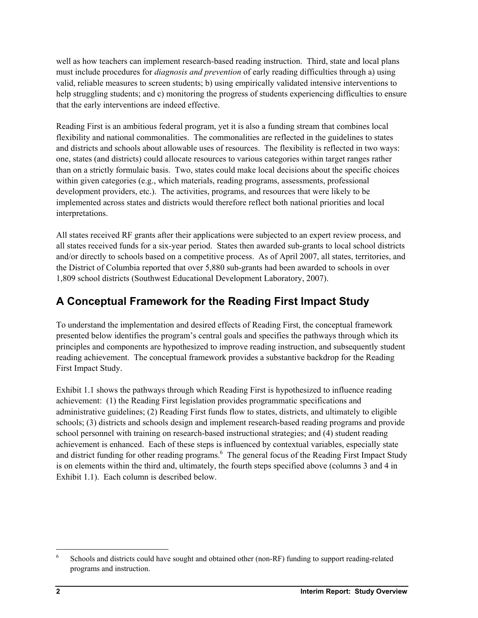well as how teachers can implement research-based reading instruction. Third, state and local plans must include procedures for *diagnosis and prevention* of early reading difficulties through a) using valid, reliable measures to screen students; b) using empirically validated intensive interventions to help struggling students; and c) monitoring the progress of students experiencing difficulties to ensure that the early interventions are indeed effective.

Reading First is an ambitious federal program, yet it is also a funding stream that combines local flexibility and national commonalities. The commonalities are reflected in the guidelines to states and districts and schools about allowable uses of resources. The flexibility is reflected in two ways: one, states (and districts) could allocate resources to various categories within target ranges rather than on a strictly formulaic basis. Two, states could make local decisions about the specific choices within given categories (e.g., which materials, reading programs, assessments, professional development providers, etc.). The activities, programs, and resources that were likely to be implemented across states and districts would therefore reflect both national priorities and local interpretations.

All states received RF grants after their applications were subjected to an expert review process, and all states received funds for a six-year period. States then awarded sub-grants to local school districts and/or directly to schools based on a competitive process. As of April 2007, all states, territories, and the District of Columbia reported that over 5,880 sub-grants had been awarded to schools in over 1,809 school districts (Southwest Educational Development Laboratory, 2007).

## **A Conceptual Framework for the Reading First Impact Study**

To understand the implementation and desired effects of Reading First, the conceptual framework presented below identifies the program's central goals and specifies the pathways through which its principles and components are hypothesized to improve reading instruction, and subsequently student reading achievement. The conceptual framework provides a substantive backdrop for the Reading First Impact Study.

Exhibit 1.1 shows the pathways through which Reading First is hypothesized to influence reading achievement: (1) the Reading First legislation provides programmatic specifications and administrative guidelines; (2) Reading First funds flow to states, districts, and ultimately to eligible schools; (3) districts and schools design and implement research-based reading programs and provide school personnel with training on research-based instructional strategies; and (4) student reading achievement is enhanced. Each of these steps is influenced by contextual variables, especially state and district funding for other reading programs. <sup>6</sup> The general focus of the Reading First Impact Study is on elements within the third and, ultimately, the fourth steps specified above (columns 3 and 4 in Exhibit 1.1). Each column is described below.

l

<sup>6</sup> Schools and districts could have sought and obtained other (non-RF) funding to support reading-related programs and instruction.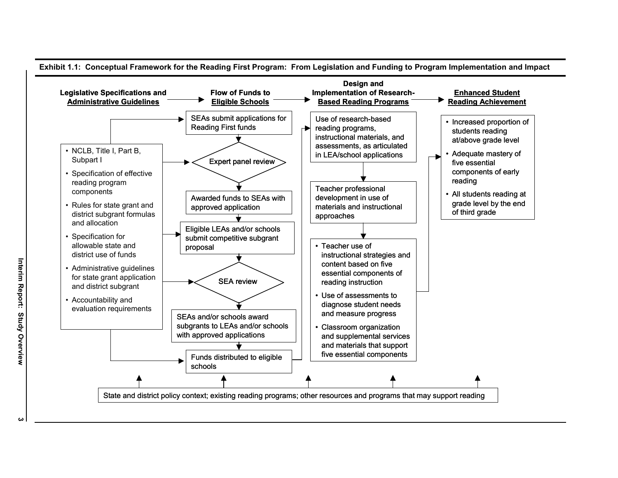

**س**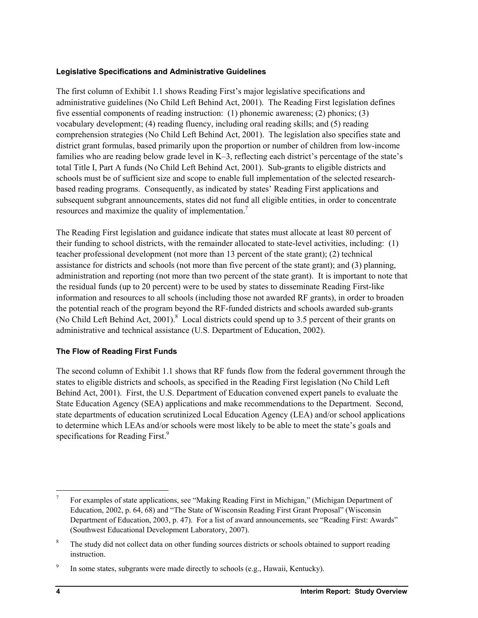### **Legislative Specifications and Administrative Guidelines**

The first column of Exhibit 1.1 shows Reading First's major legislative specifications and administrative guidelines (No Child Left Behind Act, 2001). The Reading First legislation defines five essential components of reading instruction: (1) phonemic awareness; (2) phonics; (3) vocabulary development; (4) reading fluency, including oral reading skills; and (5) reading comprehension strategies (No Child Left Behind Act, 2001). The legislation also specifies state and district grant formulas, based primarily upon the proportion or number of children from low-income families who are reading below grade level in K–3, reflecting each district's percentage of the state's total Title I, Part A funds (No Child Left Behind Act, 2001). Sub-grants to eligible districts and schools must be of sufficient size and scope to enable full implementation of the selected researchbased reading programs. Consequently, as indicated by states' Reading First applications and subsequent subgrant announcements, states did not fund all eligible entities, in order to concentrate resources and maximize the quality of implementation.<sup>7</sup>

The Reading First legislation and guidance indicate that states must allocate at least 80 percent of their funding to school districts, with the remainder allocated to state-level activities, including: (1) teacher professional development (not more than 13 percent of the state grant); (2) technical assistance for districts and schools (not more than five percent of the state grant); and (3) planning, administration and reporting (not more than two percent of the state grant). It is important to note that the residual funds (up to 20 percent) were to be used by states to disseminate Reading First-like information and resources to all schools (including those not awarded RF grants), in order to broaden the potential reach of the program beyond the RF-funded districts and schools awarded sub-grants (No Child Left Behind Act, 2001). $8$  Local districts could spend up to 3.5 percent of their grants on administrative and technical assistance (U.S. Department of Education, 2002).

## **The Flow of Reading First Funds**

The second column of Exhibit 1.1 shows that RF funds flow from the federal government through the states to eligible districts and schools, as specified in the Reading First legislation (No Child Left Behind Act, 2001). First, the U.S. Department of Education convened expert panels to evaluate the State Education Agency (SEA) applications and make recommendations to the Department. Second, state departments of education scrutinized Local Education Agency (LEA) and/or school applications to determine which LEAs and/or schools were most likely to be able to meet the state's goals and specifications for Reading First.<sup>9</sup>

-

<sup>7</sup> For examples of state applications, see "Making Reading First in Michigan," (Michigan Department of Education, 2002, p. 64, 68) and "The State of Wisconsin Reading First Grant Proposal" (Wisconsin Department of Education, 2003, p. 47). For a list of award announcements, see "Reading First: Awards" (Southwest Educational Development Laboratory, 2007).

<sup>8</sup> The study did not collect data on other funding sources districts or schools obtained to support reading instruction.

<sup>9</sup> In some states, subgrants were made directly to schools (e.g., Hawaii, Kentucky).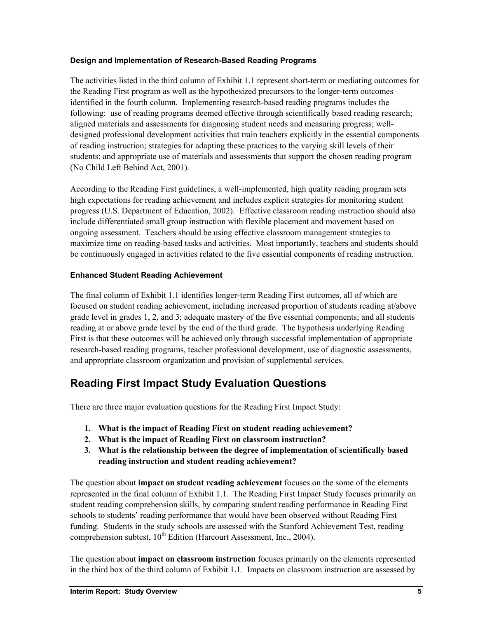## **Design and Implementation of Research-Based Reading Programs**

The activities listed in the third column of Exhibit 1.1 represent short-term or mediating outcomes for the Reading First program as well as the hypothesized precursors to the longer-term outcomes identified in the fourth column. Implementing research-based reading programs includes the following: use of reading programs deemed effective through scientifically based reading research; aligned materials and assessments for diagnosing student needs and measuring progress; welldesigned professional development activities that train teachers explicitly in the essential components of reading instruction; strategies for adapting these practices to the varying skill levels of their students; and appropriate use of materials and assessments that support the chosen reading program (No Child Left Behind Act, 2001).

According to the Reading First guidelines, a well-implemented, high quality reading program sets high expectations for reading achievement and includes explicit strategies for monitoring student progress (U.S. Department of Education, 2002). Effective classroom reading instruction should also include differentiated small group instruction with flexible placement and movement based on ongoing assessment. Teachers should be using effective classroom management strategies to maximize time on reading-based tasks and activities. Most importantly, teachers and students should be continuously engaged in activities related to the five essential components of reading instruction.

## **Enhanced Student Reading Achievement**

The final column of Exhibit 1.1 identifies longer-term Reading First outcomes, all of which are focused on student reading achievement, including increased proportion of students reading at/above grade level in grades 1, 2, and 3; adequate mastery of the five essential components; and all students reading at or above grade level by the end of the third grade. The hypothesis underlying Reading First is that these outcomes will be achieved only through successful implementation of appropriate research-based reading programs, teacher professional development, use of diagnostic assessments, and appropriate classroom organization and provision of supplemental services.

## **Reading First Impact Study Evaluation Questions**

There are three major evaluation questions for the Reading First Impact Study:

- **1. What is the impact of Reading First on student reading achievement?**
- **2. What is the impact of Reading First on classroom instruction?**
- **3. What is the relationship between the degree of implementation of scientifically based reading instruction and student reading achievement?**

The question about **impact on student reading achievement** focuses on the some of the elements represented in the final column of Exhibit 1.1. The Reading First Impact Study focuses primarily on student reading comprehension skills, by comparing student reading performance in Reading First schools to students' reading performance that would have been observed without Reading First funding. Students in the study schools are assessed with the Stanford Achievement Test, reading comprehension subtest,  $10^{th}$  Edition (Harcourt Assessment, Inc., 2004).

The question about **impact on classroom instruction** focuses primarily on the elements represented in the third box of the third column of Exhibit 1.1. Impacts on classroom instruction are assessed by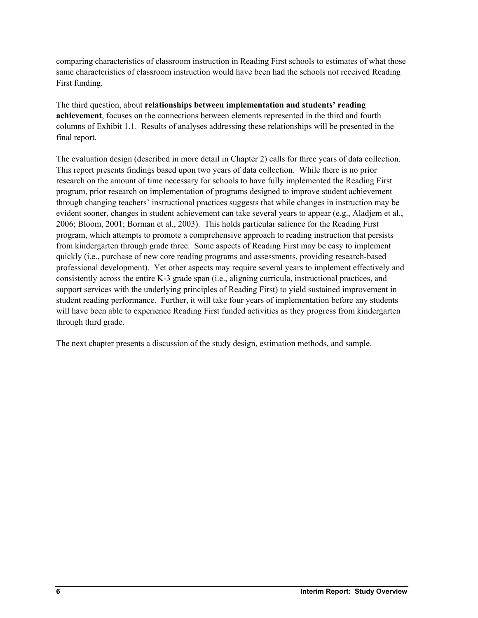comparing characteristics of classroom instruction in Reading First schools to estimates of what those same characteristics of classroom instruction would have been had the schools not received Reading First funding.

The third question, about **relationships between implementation and students' reading achievement**, focuses on the connections between elements represented in the third and fourth columns of Exhibit 1.1. Results of analyses addressing these relationships will be presented in the final report.

The evaluation design (described in more detail in Chapter 2) calls for three years of data collection. This report presents findings based upon two years of data collection. While there is no prior research on the amount of time necessary for schools to have fully implemented the Reading First program, prior research on implementation of programs designed to improve student achievement through changing teachers' instructional practices suggests that while changes in instruction may be evident sooner, changes in student achievement can take several years to appear (e.g., Aladjem et al., 2006; Bloom, 2001; Borman et al., 2003). This holds particular salience for the Reading First program, which attempts to promote a comprehensive approach to reading instruction that persists from kindergarten through grade three. Some aspects of Reading First may be easy to implement quickly (i.e., purchase of new core reading programs and assessments, providing research-based professional development). Yet other aspects may require several years to implement effectively and consistently across the entire K-3 grade span (i.e., aligning curricula, instructional practices, and support services with the underlying principles of Reading First) to yield sustained improvement in student reading performance. Further, it will take four years of implementation before any students will have been able to experience Reading First funded activities as they progress from kindergarten through third grade.

The next chapter presents a discussion of the study design, estimation methods, and sample.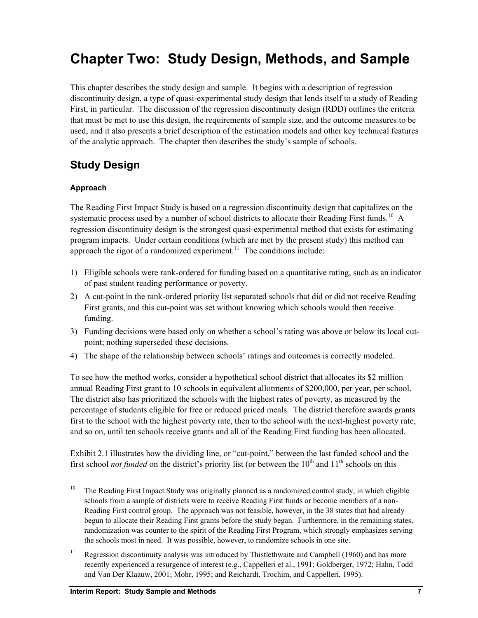# **Chapter Two: Study Design, Methods, and Sample**

This chapter describes the study design and sample. It begins with a description of regression discontinuity design, a type of quasi-experimental study design that lends itself to a study of Reading First, in particular. The discussion of the regression discontinuity design (RDD) outlines the criteria that must be met to use this design, the requirements of sample size, and the outcome measures to be used, and it also presents a brief description of the estimation models and other key technical features of the analytic approach. The chapter then describes the study's sample of schools.

## **Study Design**

## **Approach**

l

The Reading First Impact Study is based on a regression discontinuity design that capitalizes on the systematic process used by a number of school districts to allocate their Reading First funds.<sup>10</sup> A regression discontinuity design is the strongest quasi-experimental method that exists for estimating program impacts. Under certain conditions (which are met by the present study) this method can approach the rigor of a randomized experiment.<sup>11</sup> The conditions include:

- 1) Eligible schools were rank-ordered for funding based on a quantitative rating, such as an indicator of past student reading performance or poverty.
- 2) A cut-point in the rank-ordered priority list separated schools that did or did not receive Reading First grants, and this cut-point was set without knowing which schools would then receive funding.
- 3) Funding decisions were based only on whether a school's rating was above or below its local cutpoint; nothing superseded these decisions.
- 4) The shape of the relationship between schools' ratings and outcomes is correctly modeled.

To see how the method works, consider a hypothetical school district that allocates its \$2 million annual Reading First grant to 10 schools in equivalent allotments of \$200,000, per year, per school. The district also has prioritized the schools with the highest rates of poverty, as measured by the percentage of students eligible for free or reduced priced meals. The district therefore awards grants first to the school with the highest poverty rate, then to the school with the next-highest poverty rate, and so on, until ten schools receive grants and all of the Reading First funding has been allocated.

Exhibit 2.1 illustrates how the dividing line, or "cut-point," between the last funded school and the first school *not funded* on the district's priority list (or between the  $10<sup>th</sup>$  and  $11<sup>th</sup>$  schools on this

<sup>&</sup>lt;sup>10</sup> The Reading First Impact Study was originally planned as a randomized control study, in which eligible schools from a sample of districts were to receive Reading First funds or become members of a non-Reading First control group. The approach was not feasible, however, in the 38 states that had already begun to allocate their Reading First grants before the study began. Furthermore, in the remaining states, randomization was counter to the spirit of the Reading First Program, which strongly emphasizes serving the schools most in need. It was possible, however, to randomize schools in one site.

<sup>&</sup>lt;sup>11</sup> Regression discontinuity analysis was introduced by Thistlethwaite and Campbell (1960) and has more recently experienced a resurgence of interest (e.g., Cappelleri et al., 1991; Goldberger, 1972; Hahn, Todd and Van Der Klaauw, 2001; Mohr, 1995; and Reichardt, Trochim, and Cappelleri, 1995).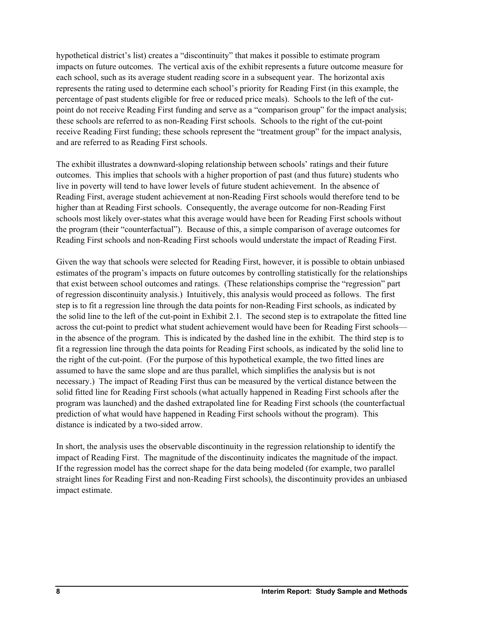hypothetical district's list) creates a "discontinuity" that makes it possible to estimate program impacts on future outcomes. The vertical axis of the exhibit represents a future outcome measure for each school, such as its average student reading score in a subsequent year. The horizontal axis represents the rating used to determine each school's priority for Reading First (in this example, the percentage of past students eligible for free or reduced price meals). Schools to the left of the cutpoint do not receive Reading First funding and serve as a "comparison group" for the impact analysis; these schools are referred to as non-Reading First schools. Schools to the right of the cut-point receive Reading First funding; these schools represent the "treatment group" for the impact analysis, and are referred to as Reading First schools.

The exhibit illustrates a downward-sloping relationship between schools' ratings and their future outcomes. This implies that schools with a higher proportion of past (and thus future) students who live in poverty will tend to have lower levels of future student achievement. In the absence of Reading First, average student achievement at non-Reading First schools would therefore tend to be higher than at Reading First schools. Consequently, the average outcome for non-Reading First schools most likely over-states what this average would have been for Reading First schools without the program (their "counterfactual"). Because of this, a simple comparison of average outcomes for Reading First schools and non-Reading First schools would understate the impact of Reading First.

Given the way that schools were selected for Reading First, however, it is possible to obtain unbiased estimates of the program's impacts on future outcomes by controlling statistically for the relationships that exist between school outcomes and ratings. (These relationships comprise the "regression" part of regression discontinuity analysis.) Intuitively, this analysis would proceed as follows. The first step is to fit a regression line through the data points for non-Reading First schools, as indicated by the solid line to the left of the cut-point in Exhibit 2.1. The second step is to extrapolate the fitted line across the cut-point to predict what student achievement would have been for Reading First schools in the absence of the program. This is indicated by the dashed line in the exhibit. The third step is to fit a regression line through the data points for Reading First schools, as indicated by the solid line to the right of the cut-point. (For the purpose of this hypothetical example, the two fitted lines are assumed to have the same slope and are thus parallel, which simplifies the analysis but is not necessary.) The impact of Reading First thus can be measured by the vertical distance between the solid fitted line for Reading First schools (what actually happened in Reading First schools after the program was launched) and the dashed extrapolated line for Reading First schools (the counterfactual prediction of what would have happened in Reading First schools without the program). This distance is indicated by a two-sided arrow.

In short, the analysis uses the observable discontinuity in the regression relationship to identify the impact of Reading First. The magnitude of the discontinuity indicates the magnitude of the impact. If the regression model has the correct shape for the data being modeled (for example, two parallel straight lines for Reading First and non-Reading First schools), the discontinuity provides an unbiased impact estimate.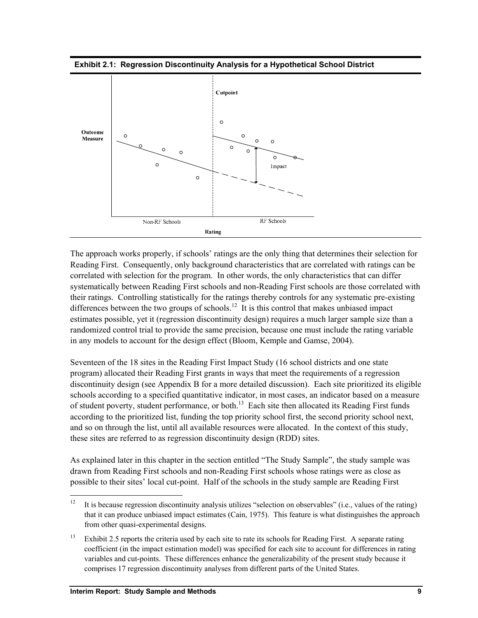



The approach works properly, if schools' ratings are the only thing that determines their selection for Reading First. Consequently, only background characteristics that are correlated with ratings can be correlated with selection for the program. In other words, the only characteristics that can differ systematically between Reading First schools and non-Reading First schools are those correlated with their ratings. Controlling statistically for the ratings thereby controls for any systematic pre-existing differences between the two groups of schools.<sup>12</sup> It is this control that makes unbiased impact estimates possible, yet it (regression discontinuity design) requires a much larger sample size than a randomized control trial to provide the same precision, because one must include the rating variable in any models to account for the design effect (Bloom, Kemple and Gamse, 2004).

Seventeen of the 18 sites in the Reading First Impact Study (16 school districts and one state program) allocated their Reading First grants in ways that meet the requirements of a regression discontinuity design (see Appendix B for a more detailed discussion). Each site prioritized its eligible schools according to a specified quantitative indicator, in most cases, an indicator based on a measure of student poverty, student performance, or both.<sup>13</sup> Each site then allocated its Reading First funds according to the prioritized list, funding the top priority school first, the second priority school next, and so on through the list, until all available resources were allocated. In the context of this study, these sites are referred to as regression discontinuity design (RDD) sites.

As explained later in this chapter in the section entitled "The Study Sample", the study sample was drawn from Reading First schools and non-Reading First schools whose ratings were as close as possible to their sites' local cut-point. Half of the schools in the study sample are Reading First

-

<sup>&</sup>lt;sup>12</sup> It is because regression discontinuity analysis utilizes "selection on observables" (i.e., values of the rating) that it can produce unbiased impact estimates (Cain, 1975). This feature is what distinguishes the approach from other quasi-experimental designs.

<sup>&</sup>lt;sup>13</sup> Exhibit 2.5 reports the criteria used by each site to rate its schools for Reading First. A separate rating coefficient (in the impact estimation model) was specified for each site to account for differences in rating variables and cut-points. These differences enhance the generalizability of the present study because it comprises 17 regression discontinuity analyses from different parts of the United States.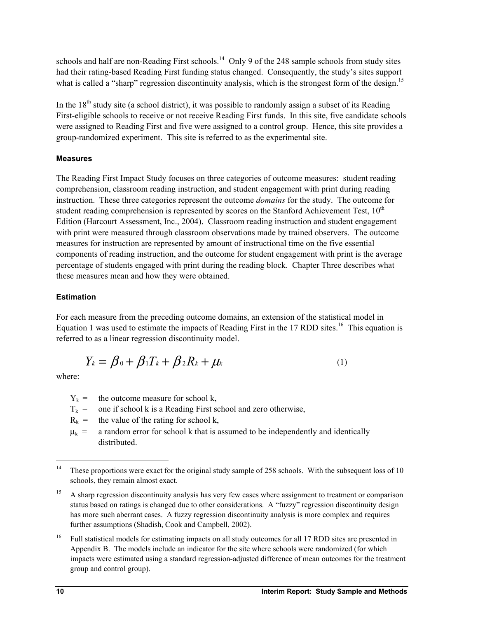schools and half are non-Reading First schools.<sup>14</sup> Only 9 of the 248 sample schools from study sites had their rating-based Reading First funding status changed. Consequently, the study's sites support what is called a "sharp" regression discontinuity analysis, which is the strongest form of the design.<sup>15</sup>

In the  $18<sup>th</sup>$  study site (a school district), it was possible to randomly assign a subset of its Reading First-eligible schools to receive or not receive Reading First funds. In this site, five candidate schools were assigned to Reading First and five were assigned to a control group. Hence, this site provides a group-randomized experiment. This site is referred to as the experimental site.

## **Measures**

The Reading First Impact Study focuses on three categories of outcome measures: student reading comprehension, classroom reading instruction, and student engagement with print during reading instruction. These three categories represent the outcome *domains* for the study. The outcome for student reading comprehension is represented by scores on the Stanford Achievement Test, 10<sup>th</sup> Edition (Harcourt Assessment, Inc., 2004). Classroom reading instruction and student engagement with print were measured through classroom observations made by trained observers. The outcome measures for instruction are represented by amount of instructional time on the five essential components of reading instruction, and the outcome for student engagement with print is the average percentage of students engaged with print during the reading block. Chapter Three describes what these measures mean and how they were obtained.

## **Estimation**

For each measure from the preceding outcome domains, an extension of the statistical model in Equation 1 was used to estimate the impacts of Reading First in the 17 RDD sites.<sup>16</sup> This equation is referred to as a linear regression discontinuity model.

$$
Y_k = \beta_0 + \beta_1 T_k + \beta_2 R_k + \mu_k \tag{1}
$$

where:

- $Y_k$  = the outcome measure for school k,
- $T_k$  = one if school k is a Reading First school and zero otherwise,

 $R_k$  = the value of the rating for school k,

 $\mu_k$  = a random error for school k that is assumed to be independently and identically distributed.

<sup>16</sup> Full statistical models for estimating impacts on all study outcomes for all 17 RDD sites are presented in Appendix B. The models include an indicator for the site where schools were randomized (for which impacts were estimated using a standard regression-adjusted difference of mean outcomes for the treatment group and control group).

 $14$ These proportions were exact for the original study sample of 258 schools. With the subsequent loss of 10 schools, they remain almost exact.

<sup>15</sup> A sharp regression discontinuity analysis has very few cases where assignment to treatment or comparison status based on ratings is changed due to other considerations. A "fuzzy" regression discontinuity design has more such aberrant cases. A fuzzy regression discontinuity analysis is more complex and requires further assumptions (Shadish, Cook and Campbell, 2002).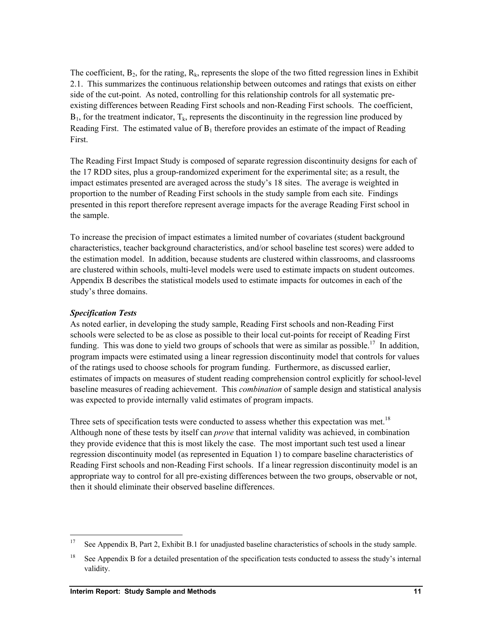The coefficient,  $B_2$ , for the rating,  $R_k$ , represents the slope of the two fitted regression lines in Exhibit 2.1. This summarizes the continuous relationship between outcomes and ratings that exists on either side of the cut-point. As noted, controlling for this relationship controls for all systematic preexisting differences between Reading First schools and non-Reading First schools. The coefficient,  $B_1$ , for the treatment indicator,  $T_k$ , represents the discontinuity in the regression line produced by Reading First. The estimated value of  $B_1$  therefore provides an estimate of the impact of Reading First.

The Reading First Impact Study is composed of separate regression discontinuity designs for each of the 17 RDD sites, plus a group-randomized experiment for the experimental site; as a result, the impact estimates presented are averaged across the study's 18 sites. The average is weighted in proportion to the number of Reading First schools in the study sample from each site. Findings presented in this report therefore represent average impacts for the average Reading First school in the sample.

To increase the precision of impact estimates a limited number of covariates (student background characteristics, teacher background characteristics, and/or school baseline test scores) were added to the estimation model. In addition, because students are clustered within classrooms, and classrooms are clustered within schools, multi-level models were used to estimate impacts on student outcomes. Appendix B describes the statistical models used to estimate impacts for outcomes in each of the study's three domains.

## *Specification Tests*

l

As noted earlier, in developing the study sample, Reading First schools and non-Reading First schools were selected to be as close as possible to their local cut-points for receipt of Reading First funding. This was done to yield two groups of schools that were as similar as possible.<sup>17</sup> In addition, program impacts were estimated using a linear regression discontinuity model that controls for values of the ratings used to choose schools for program funding. Furthermore, as discussed earlier, estimates of impacts on measures of student reading comprehension control explicitly for school-level baseline measures of reading achievement. This *combination* of sample design and statistical analysis was expected to provide internally valid estimates of program impacts.

Three sets of specification tests were conducted to assess whether this expectation was met.<sup>18</sup> Although none of these tests by itself can *prove* that internal validity was achieved, in combination they provide evidence that this is most likely the case. The most important such test used a linear regression discontinuity model (as represented in Equation 1) to compare baseline characteristics of Reading First schools and non-Reading First schools. If a linear regression discontinuity model is an appropriate way to control for all pre-existing differences between the two groups, observable or not, then it should eliminate their observed baseline differences.

<sup>&</sup>lt;sup>17</sup> See Appendix B, Part 2, Exhibit B.1 for unadjusted baseline characteristics of schools in the study sample.

<sup>&</sup>lt;sup>18</sup> See Appendix B for a detailed presentation of the specification tests conducted to assess the study's internal validity.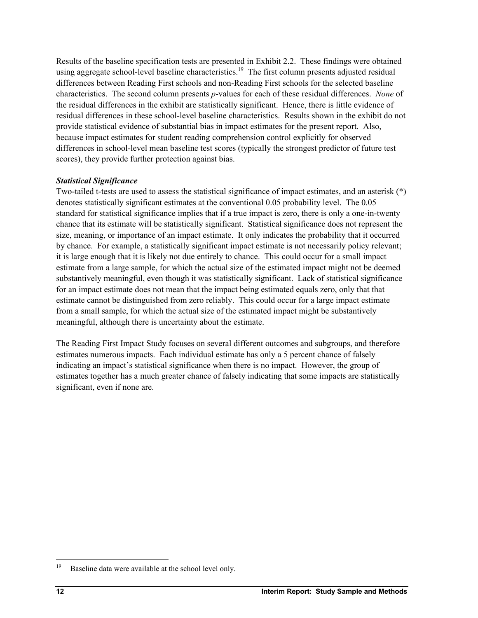Results of the baseline specification tests are presented in Exhibit 2.2. These findings were obtained using aggregate school-level baseline characteristics.<sup>19</sup> The first column presents adjusted residual differences between Reading First schools and non-Reading First schools for the selected baseline characteristics. The second column presents *p*-values for each of these residual differences. *None* of the residual differences in the exhibit are statistically significant. Hence, there is little evidence of residual differences in these school-level baseline characteristics. Results shown in the exhibit do not provide statistical evidence of substantial bias in impact estimates for the present report. Also, because impact estimates for student reading comprehension control explicitly for observed differences in school-level mean baseline test scores (typically the strongest predictor of future test scores), they provide further protection against bias.

### *Statistical Significance*

Two-tailed t-tests are used to assess the statistical significance of impact estimates, and an asterisk (\*) denotes statistically significant estimates at the conventional 0.05 probability level. The 0.05 standard for statistical significance implies that if a true impact is zero, there is only a one-in-twenty chance that its estimate will be statistically significant. Statistical significance does not represent the size, meaning, or importance of an impact estimate. It only indicates the probability that it occurred by chance. For example, a statistically significant impact estimate is not necessarily policy relevant; it is large enough that it is likely not due entirely to chance. This could occur for a small impact estimate from a large sample, for which the actual size of the estimated impact might not be deemed substantively meaningful, even though it was statistically significant. Lack of statistical significance for an impact estimate does not mean that the impact being estimated equals zero, only that that estimate cannot be distinguished from zero reliably. This could occur for a large impact estimate from a small sample, for which the actual size of the estimated impact might be substantively meaningful, although there is uncertainty about the estimate.

The Reading First Impact Study focuses on several different outcomes and subgroups, and therefore estimates numerous impacts. Each individual estimate has only a 5 percent chance of falsely indicating an impact's statistical significance when there is no impact. However, the group of estimates together has a much greater chance of falsely indicating that some impacts are statistically significant, even if none are.

l

<sup>&</sup>lt;sup>19</sup> Baseline data were available at the school level only.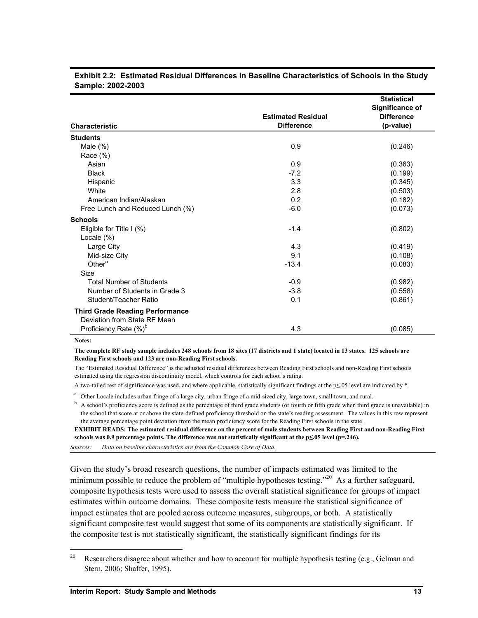|                                        |                           | <b>Statistical</b>     |
|----------------------------------------|---------------------------|------------------------|
|                                        |                           | <b>Significance of</b> |
|                                        | <b>Estimated Residual</b> | <b>Difference</b>      |
| <b>Characteristic</b>                  | <b>Difference</b>         | (p-value)              |
| <b>Students</b>                        |                           |                        |
| Male $(\%)$                            | 0.9                       | (0.246)                |
| Race $(\%)$                            |                           |                        |
| Asian                                  | 0.9                       | (0.363)                |
| <b>Black</b>                           | $-7.2$                    | (0.199)                |
| Hispanic                               | 3.3                       | (0.345)                |
| White                                  | 2.8                       | (0.503)                |
| American Indian/Alaskan                | 0.2                       | (0.182)                |
| Free Lunch and Reduced Lunch (%)       | $-6.0$                    | (0.073)                |
| <b>Schools</b>                         |                           |                        |
| Eligible for Title I (%)               | $-1.4$                    | (0.802)                |
| Locale $(\%)$                          |                           |                        |
| Large City                             | 4.3                       | (0.419)                |
| Mid-size City                          | 9.1                       | (0.108)                |
| Other <sup>a</sup>                     | $-13.4$                   | (0.083)                |
| Size                                   |                           |                        |
| <b>Total Number of Students</b>        | $-0.9$                    | (0.982)                |
| Number of Students in Grade 3          | $-3.8$                    | (0.558)                |
| Student/Teacher Ratio                  | 0.1                       | (0.861)                |
| <b>Third Grade Reading Performance</b> |                           |                        |
| Deviation from State RF Mean           |                           |                        |
| Proficiency Rate (%) <sup>b</sup>      | 4.3                       | (0.085)                |

#### **Exhibit 2.2: Estimated Residual Differences in Baseline Characteristics of Schools in the Study Sample: 2002-2003**

**Notes:** 

l

#### **The complete RF study sample includes 248 schools from 18 sites (17 districts and 1 state) located in 13 states. 125 schools are Reading First schools and 123 are non-Reading First schools.**

The "Estimated Residual Difference" is the adjusted residual differences between Reading First schools and non-Reading First schools estimated using the regression discontinuity model, which controls for each school's rating.

A two-tailed test of significance was used, and where applicable, statistically significant findings at the p≤.05 level are indicated by \*.

<sup>a</sup> Other Locale includes urban fringe of a large city, urban fringe of a mid-sized city, large town, small town, and rural.  $\frac{b}{2}$ 

<sup>b</sup> A school's proficiency score is defined as the percentage of third grade students (or fourth or fifth grade when third grade is unavailable) in the school that score at or above the state-defined proficiency threshold on the state's reading assessment. The values in this row represent the average percentage point deviation from the mean proficiency score for the Reading First schools in the state.

**EXHIBIT READS: The estimated residual difference on the percent of male students between Reading First and non-Reading First**  schools was 0.9 percentage points. The difference was not statistically significant at the p≤05 level (p=.246).

*Sources: Data on baseline characteristics are from the Common Core of Data.* 

Given the study's broad research questions, the number of impacts estimated was limited to the minimum possible to reduce the problem of "multiple hypotheses testing."<sup>20</sup> As a further safeguard, composite hypothesis tests were used to assess the overall statistical significance for groups of impact estimates within outcome domains. These composite tests measure the statistical significance of impact estimates that are pooled across outcome measures, subgroups, or both. A statistically significant composite test would suggest that some of its components are statistically significant. If the composite test is not statistically significant, the statistically significant findings for its

<sup>&</sup>lt;sup>20</sup> Researchers disagree about whether and how to account for multiple hypothesis testing (e.g., Gelman and Stern, 2006; Shaffer, 1995).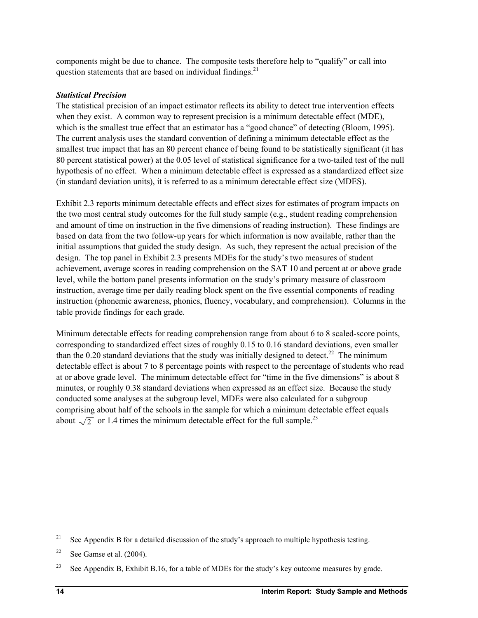components might be due to chance. The composite tests therefore help to "qualify" or call into question statements that are based on individual findings. $21$ 

## *Statistical Precision*

The statistical precision of an impact estimator reflects its ability to detect true intervention effects when they exist. A common way to represent precision is a minimum detectable effect (MDE), which is the smallest true effect that an estimator has a "good chance" of detecting (Bloom, 1995). The current analysis uses the standard convention of defining a minimum detectable effect as the smallest true impact that has an 80 percent chance of being found to be statistically significant (it has 80 percent statistical power) at the 0.05 level of statistical significance for a two-tailed test of the null hypothesis of no effect. When a minimum detectable effect is expressed as a standardized effect size (in standard deviation units), it is referred to as a minimum detectable effect size (MDES).

Exhibit 2.3 reports minimum detectable effects and effect sizes for estimates of program impacts on the two most central study outcomes for the full study sample (e.g., student reading comprehension and amount of time on instruction in the five dimensions of reading instruction). These findings are based on data from the two follow-up years for which information is now available, rather than the initial assumptions that guided the study design. As such, they represent the actual precision of the design. The top panel in Exhibit 2.3 presents MDEs for the study's two measures of student achievement, average scores in reading comprehension on the SAT 10 and percent at or above grade level, while the bottom panel presents information on the study's primary measure of classroom instruction, average time per daily reading block spent on the five essential components of reading instruction (phonemic awareness, phonics, fluency, vocabulary, and comprehension). Columns in the table provide findings for each grade.

Minimum detectable effects for reading comprehension range from about 6 to 8 scaled-score points, corresponding to standardized effect sizes of roughly 0.15 to 0.16 standard deviations, even smaller than the 0.20 standard deviations that the study was initially designed to detect.<sup>22</sup> The minimum detectable effect is about 7 to 8 percentage points with respect to the percentage of students who read at or above grade level. The minimum detectable effect for "time in the five dimensions" is about 8 minutes, or roughly 0.38 standard deviations when expressed as an effect size. Because the study conducted some analyses at the subgroup level, MDEs were also calculated for a subgroup comprising about half of the schools in the sample for which a minimum detectable effect equals about  $\sqrt{2}$  or 1.4 times the minimum detectable effect for the full sample.<sup>23</sup>

 $21$ See Appendix B for a detailed discussion of the study's approach to multiple hypothesis testing.

<sup>&</sup>lt;sup>22</sup> See Gamse et al.  $(2004)$ .

<sup>&</sup>lt;sup>23</sup> See Appendix B, Exhibit B.16, for a table of MDEs for the study's key outcome measures by grade.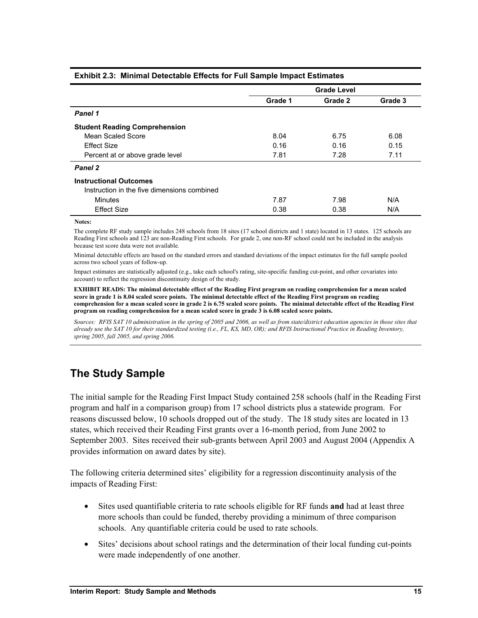| Exilibit E.G. Thining Dotoglable Encold for Fall Cample impact Ecumeted |                    |         |         |  |  |  |  |  |  |  |
|-------------------------------------------------------------------------|--------------------|---------|---------|--|--|--|--|--|--|--|
|                                                                         | <b>Grade Level</b> |         |         |  |  |  |  |  |  |  |
|                                                                         | Grade 1            | Grade 2 | Grade 3 |  |  |  |  |  |  |  |
| Panel 1                                                                 |                    |         |         |  |  |  |  |  |  |  |
| <b>Student Reading Comprehension</b>                                    |                    |         |         |  |  |  |  |  |  |  |
| Mean Scaled Score                                                       | 8.04               | 6.75    | 6.08    |  |  |  |  |  |  |  |
| <b>Effect Size</b>                                                      | 0.16               | 0.16    | 0.15    |  |  |  |  |  |  |  |
| Percent at or above grade level                                         | 7.81               | 7.28    | 7.11    |  |  |  |  |  |  |  |
| Panel 2                                                                 |                    |         |         |  |  |  |  |  |  |  |
| <b>Instructional Outcomes</b>                                           |                    |         |         |  |  |  |  |  |  |  |
| Instruction in the five dimensions combined                             |                    |         |         |  |  |  |  |  |  |  |
| <b>Minutes</b>                                                          | 7.87               | 7.98    | N/A     |  |  |  |  |  |  |  |
| <b>Effect Size</b>                                                      | 0.38               | 0.38    | N/A     |  |  |  |  |  |  |  |

#### **Exhibit 2.3: Minimal Detectable Effects for Full Sample Impact Estimates**

**Notes:**

The complete RF study sample includes 248 schools from 18 sites (17 school districts and 1 state) located in 13 states. 125 schools are Reading First schools and 123 are non-Reading First schools. For grade 2, one non-RF school could not be included in the analysis because test score data were not available.

Minimal detectable effects are based on the standard errors and standard deviations of the impact estimates for the full sample pooled across two school years of follow-up.

Impact estimates are statistically adjusted (e.g., take each school's rating, site-specific funding cut-point, and other covariates into account) to reflect the regression discontinuity design of the study.

**EXHIBIT READS: The minimal detectable effect of the Reading First program on reading comprehension for a mean scaled score in grade 1 is 8.04 scaled score points. The minimal detectable effect of the Reading First program on reading comprehension for a mean scaled score in grade 2 is 6.75 scaled score points. The minimal detectable effect of the Reading First program on reading comprehension for a mean scaled score in grade 3 is 6.08 scaled score points.** 

*Sources: RFIS SAT 10 administration in the spring of 2005 and 2006, as well as from state/district education agencies in those sites that already use the SAT 10 for their standardized testing (i.e., FL, KS, MD, OR); and RFIS Instructional Practice in Reading Inventory, spring 2005, fall 2005, and spring 2006.* 

# **The Study Sample**

The initial sample for the Reading First Impact Study contained 258 schools (half in the Reading First program and half in a comparison group) from 17 school districts plus a statewide program. For reasons discussed below, 10 schools dropped out of the study. The 18 study sites are located in 13 states, which received their Reading First grants over a 16-month period, from June 2002 to September 2003. Sites received their sub-grants between April 2003 and August 2004 (Appendix A provides information on award dates by site).

The following criteria determined sites' eligibility for a regression discontinuity analysis of the impacts of Reading First:

- Sites used quantifiable criteria to rate schools eligible for RF funds **and** had at least three more schools than could be funded, thereby providing a minimum of three comparison schools. Any quantifiable criteria could be used to rate schools.
- Sites' decisions about school ratings and the determination of their local funding cut-points were made independently of one another.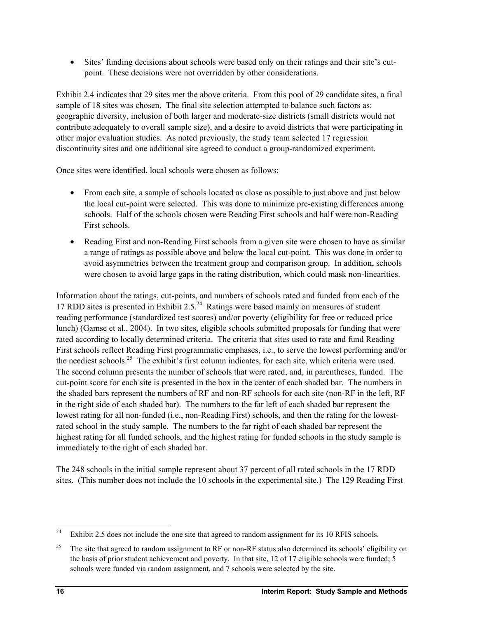• Sites' funding decisions about schools were based only on their ratings and their site's cutpoint. These decisions were not overridden by other considerations.

Exhibit 2.4 indicates that 29 sites met the above criteria. From this pool of 29 candidate sites, a final sample of 18 sites was chosen. The final site selection attempted to balance such factors as: geographic diversity, inclusion of both larger and moderate-size districts (small districts would not contribute adequately to overall sample size), and a desire to avoid districts that were participating in other major evaluation studies. As noted previously, the study team selected 17 regression discontinuity sites and one additional site agreed to conduct a group-randomized experiment.

Once sites were identified, local schools were chosen as follows:

- From each site, a sample of schools located as close as possible to just above and just below the local cut-point were selected. This was done to minimize pre-existing differences among schools. Half of the schools chosen were Reading First schools and half were non-Reading First schools.
- Reading First and non-Reading First schools from a given site were chosen to have as similar a range of ratings as possible above and below the local cut-point. This was done in order to avoid asymmetries between the treatment group and comparison group. In addition, schools were chosen to avoid large gaps in the rating distribution, which could mask non-linearities.

Information about the ratings, cut-points, and numbers of schools rated and funded from each of the 17 RDD sites is presented in Exhibit  $2.5<sup>24</sup>$  Ratings were based mainly on measures of student reading performance (standardized test scores) and/or poverty (eligibility for free or reduced price lunch) (Gamse et al., 2004). In two sites, eligible schools submitted proposals for funding that were rated according to locally determined criteria. The criteria that sites used to rate and fund Reading First schools reflect Reading First programmatic emphases, i.e., to serve the lowest performing and/or the neediest schools.<sup>25</sup> The exhibit's first column indicates, for each site, which criteria were used. The second column presents the number of schools that were rated, and, in parentheses, funded. The cut-point score for each site is presented in the box in the center of each shaded bar. The numbers in the shaded bars represent the numbers of RF and non-RF schools for each site (non-RF in the left, RF in the right side of each shaded bar). The numbers to the far left of each shaded bar represent the lowest rating for all non-funded (i.e., non-Reading First) schools, and then the rating for the lowestrated school in the study sample. The numbers to the far right of each shaded bar represent the highest rating for all funded schools, and the highest rating for funded schools in the study sample is immediately to the right of each shaded bar.

The 248 schools in the initial sample represent about 37 percent of all rated schools in the 17 RDD sites. (This number does not include the 10 schools in the experimental site.) The 129 Reading First

l

<sup>&</sup>lt;sup>24</sup> Exhibit 2.5 does not include the one site that agreed to random assignment for its 10 RFIS schools.

<sup>&</sup>lt;sup>25</sup> The site that agreed to random assignment to RF or non-RF status also determined its schools' eligibility on the basis of prior student achievement and poverty. In that site, 12 of 17 eligible schools were funded; 5 schools were funded via random assignment, and 7 schools were selected by the site.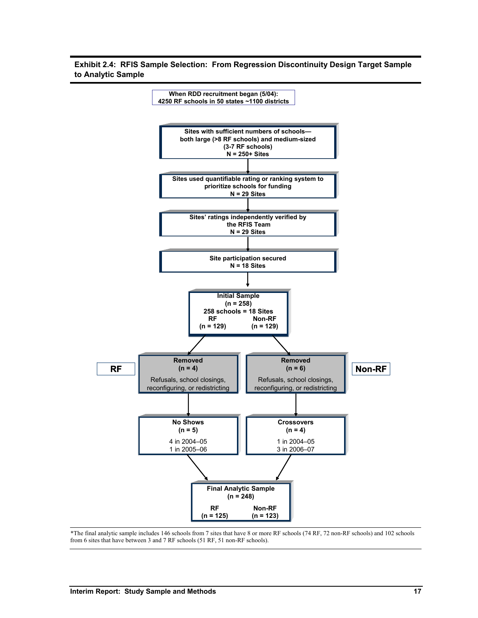**Exhibit 2.4: RFIS Sample Selection: From Regression Discontinuity Design Target Sample to Analytic Sample** 



\*The final analytic sample includes 146 schools from 7 sites that have 8 or more RF schools (74 RF, 72 non-RF schools) and 102 schools from 6 sites that have between 3 and 7 RF schools (51 RF, 51 non-RF schools).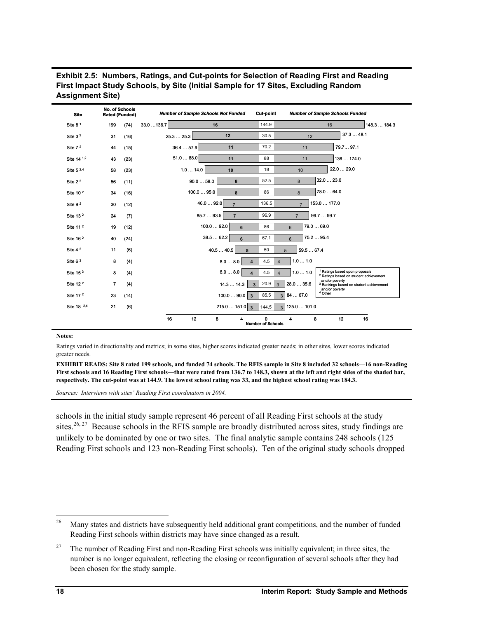| <b>Site</b>            | <b>No. of Schools</b><br>Rated (Funded) |      | <b>Number of Sample Schools Not Funded</b> |                            | <b>Cut-point</b>                                          |                              | <b>Number of Sample Schools Funded</b>                                                         |
|------------------------|-----------------------------------------|------|--------------------------------------------|----------------------------|-----------------------------------------------------------|------------------------------|------------------------------------------------------------------------------------------------|
| Site 8 <sup>1</sup>    | 199                                     | (74) | 33.0136.7                                  | 16                         | 144.9                                                     |                              | 148.3  184.3<br>16                                                                             |
| Site $32$              | 31                                      | (16) | 25.325.3                                   | 12                         | 30.5                                                      | 12                           | 37.348.1                                                                                       |
| Site 7 <sup>2</sup>    | 44                                      | (15) | 36.457.9                                   | 11                         | 70.2                                                      | 11                           | 79.7 97.1                                                                                      |
| Site 14 1,2            | 43                                      | (23) | 51.088.0                                   | 11                         | 88                                                        | 11                           | 136  174.0                                                                                     |
| Site 5 2,4             | 58                                      | (23) | 1.014.0                                    | 10                         | 18                                                        | 10                           | 22.0  29.0                                                                                     |
| Site 2 <sup>2</sup>    | 56                                      | (11) | 90.058.0                                   | 8                          | 52.5                                                      | 8                            | 32.023.0                                                                                       |
| Site 10 <sup>2</sup>   | 34                                      | (16) | 100.095.0                                  | 8                          | 86                                                        | 8                            | 78.0  64.0                                                                                     |
| Site 9 <sup>2</sup>    | 30                                      | (12) | 46.0  92.0                                 | $\overline{7}$             | 136.5                                                     | $\overline{7}$               | 153.0  177.0                                                                                   |
| Site 13 <sup>2</sup>   | 24                                      | (7)  | 85.793.5                                   | $\overline{7}$             | 96.9                                                      | 99.7  99.7<br>$\overline{7}$ |                                                                                                |
| Site 11 <sup>2</sup>   | 19                                      | (12) | 100.092.0                                  | 6                          | 86                                                        | 79.0  69.0<br>$6\phantom{a}$ |                                                                                                |
| Site 16 <sup>2</sup>   | 40                                      | (24) |                                            | 38.562.2<br>6              | 67.1                                                      | 75.2  95.4<br>6              |                                                                                                |
| Site 4 <sup>2</sup>    | 11                                      | (6)  |                                            | 40.540.5<br>5              | 50                                                        | 59.567.4<br>5                |                                                                                                |
| Site $63$              | 8                                       | (4)  |                                            | 8.08.0<br>$\blacktriangle$ | 4.5<br>$\overline{\mathbf{A}}$                            | 1.01.0                       |                                                                                                |
| Site $153$             | 8                                       | (4)  |                                            | 8.08.0                     | 4.5<br>$\overline{\mathbf{A}}$<br>$\overline{\mathbf{A}}$ | 1.01.0                       | <sup>1</sup> Ratings based upon proposals<br><sup>2</sup> Ratings based on student achievement |
| Site 12 <sup>2</sup>   | $\overline{7}$                          | (4)  |                                            | 14.314.3                   | 20.9<br>3<br>$\overline{3}$                               | 28.0  35.6                   | and/or poverty<br><sup>3</sup> Rankings based on student achievement                           |
| Site 17 <sup>2</sup>   | 23                                      | (14) |                                            | $100.090.0$ 3              | 85.5<br>3                                                 | 84  67.0                     | and/or poverty<br><sup>4</sup> Other                                                           |
| Site 18 <sup>2,4</sup> | 21                                      | (6)  |                                            | $215.0151.0$ 3             | 144.5<br>3 <sup>1</sup>                                   | 125.0  101.0                 |                                                                                                |
|                        |                                         |      | 16<br>12                                   | 8<br>4                     | 0<br><b>Number of Schools</b>                             | 8<br>4                       | 12<br>16                                                                                       |

**Exhibit 2.5: Numbers, Ratings, and Cut-points for Selection of Reading First and Reading First Impact Study Schools, by Site (Initial Sample for 17 Sites, Excluding Random Assignment Site)** 

#### **Notes:**

Ratings varied in directionality and metrics; in some sites, higher scores indicated greater needs; in other sites, lower scores indicated greater needs.

**EXHIBIT READS: Site 8 rated 199 schools, and funded 74 schools. The RFIS sample in Site 8 included 32 schools—16 non-Reading First schools and 16 Reading First schools—that were rated from 136.7 to 148.3, shown at the left and right sides of the shaded bar, respectively. The cut-point was at 144.9. The lowest school rating was 33, and the highest school rating was 184.3.** 

*Sources: Interviews with sites' Reading First coordinators in 2004.* 

schools in the initial study sample represent 46 percent of all Reading First schools at the study sites.<sup>26, 27</sup> Because schools in the RFIS sample are broadly distributed across sites, study findings are unlikely to be dominated by one or two sites. The final analytic sample contains 248 schools (125 Reading First schools and 123 non-Reading First schools). Ten of the original study schools dropped

l

<sup>&</sup>lt;sup>26</sup> Many states and districts have subsequently held additional grant competitions, and the number of funded Reading First schools within districts may have since changed as a result.

<sup>&</sup>lt;sup>27</sup> The number of Reading First and non-Reading First schools was initially equivalent; in three sites, the number is no longer equivalent, reflecting the closing or reconfiguration of several schools after they had been chosen for the study sample.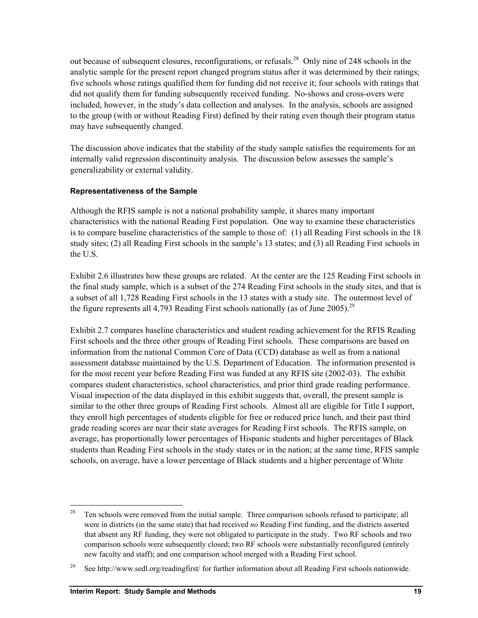out because of subsequent closures, reconfigurations, or refusals.<sup>28</sup> Only nine of 248 schools in the analytic sample for the present report changed program status after it was determined by their ratings; five schools whose ratings qualified them for funding did not receive it; four schools with ratings that did not qualify them for funding subsequently received funding. No-shows and cross-overs were included, however, in the study's data collection and analyses. In the analysis, schools are assigned to the group (with or without Reading First) defined by their rating even though their program status may have subsequently changed.

The discussion above indicates that the stability of the study sample satisfies the requirements for an internally valid regression discontinuity analysis. The discussion below assesses the sample's generalizability or external validity.

## **Representativeness of the Sample**

Although the RFIS sample is not a national probability sample, it shares many important characteristics with the national Reading First population. One way to examine these characteristics is to compare baseline characteristics of the sample to those of: (1) all Reading First schools in the 18 study sites; (2) all Reading First schools in the sample's 13 states; and (3) all Reading First schools in the U.S.

Exhibit 2.6 illustrates how these groups are related. At the center are the 125 Reading First schools in the final study sample, which is a subset of the 274 Reading First schools in the study sites, and that is a subset of all 1,728 Reading First schools in the 13 states with a study site. The outermost level of the figure represents all 4,793 Reading First schools nationally (as of June 2005).<sup>29</sup>

Exhibit 2.7 compares baseline characteristics and student reading achievement for the RFIS Reading First schools and the three other groups of Reading First schools. These comparisons are based on information from the national Common Core of Data (CCD) database as well as from a national assessment database maintained by the U.S. Department of Education. The information presented is for the most recent year before Reading First was funded at any RFIS site (2002-03). The exhibit compares student characteristics, school characteristics, and prior third grade reading performance. Visual inspection of the data displayed in this exhibit suggests that, overall, the present sample is similar to the other three groups of Reading First schools. Almost all are eligible for Title I support, they enroll high percentages of students eligible for free or reduced price lunch, and their past third grade reading scores are near their state averages for Reading First schools. The RFIS sample, on average, has proportionally lower percentages of Hispanic students and higher percentages of Black students than Reading First schools in the study states or in the nation; at the same time, RFIS sample schools, on average, have a lower percentage of Black students and a higher percentage of White

1

 $28$  Ten schools were removed from the initial sample. Three comparison schools refused to participate; all were in districts (in the same state) that had received *no* Reading First funding, and the districts asserted that absent any RF funding, they were not obligated to participate in the study. Two RF schools and two comparison schools were subsequently closed; two RF schools were substantially reconfigured (entirely new faculty and staff); and one comparison school merged with a Reading First school.

<sup>&</sup>lt;sup>29</sup> See http://www.sedl.org/readingfirst/ for further information about all Reading First schools nationwide.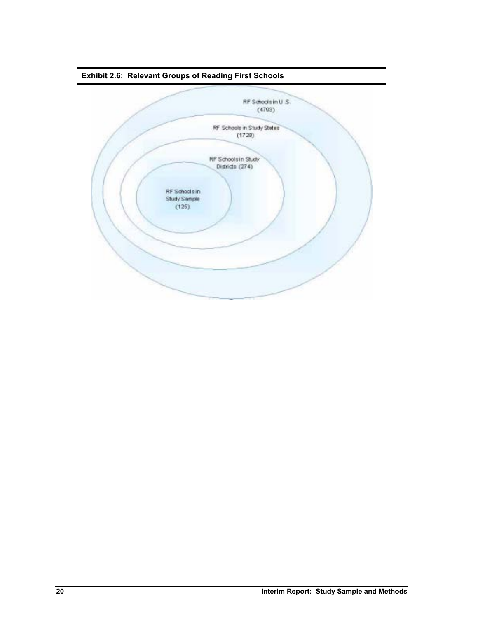

**Exhibit 2.6: Relevant Groups of Reading First Schools**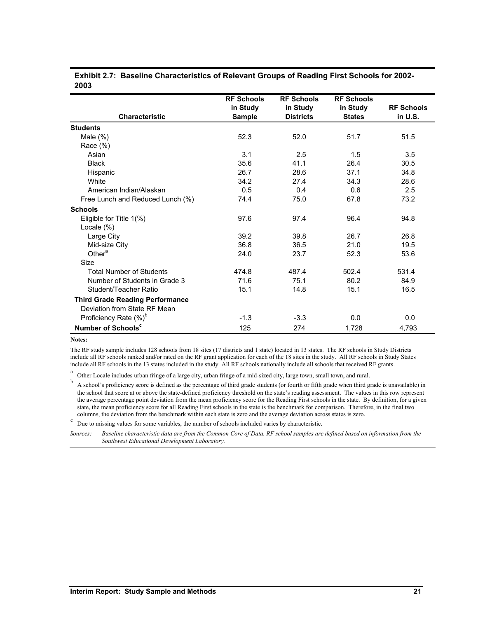| <b>Characteristic</b>                                                  | <b>RF Schools</b><br>in Study<br><b>Sample</b> | <b>RF Schools</b><br>in Study<br><b>Districts</b> | <b>RF Schools</b><br>in Study<br><b>States</b> | <b>RF Schools</b><br>in U.S. |
|------------------------------------------------------------------------|------------------------------------------------|---------------------------------------------------|------------------------------------------------|------------------------------|
| <b>Students</b>                                                        |                                                |                                                   |                                                |                              |
| Male $(\%)$                                                            | 52.3                                           | 52.0                                              | 51.7                                           | 51.5                         |
| Race $(\%)$                                                            |                                                |                                                   |                                                |                              |
| Asian                                                                  | 3.1                                            | 2.5                                               | 1.5                                            | 3.5                          |
| <b>Black</b>                                                           | 35.6                                           | 41.1                                              | 26.4                                           | 30.5                         |
| Hispanic                                                               | 26.7                                           | 28.6                                              | 37.1                                           | 34.8                         |
| White                                                                  | 34.2                                           | 27.4                                              | 34.3                                           | 28.6                         |
| American Indian/Alaskan                                                | 0.5                                            | 0.4                                               | 0.6                                            | 2.5                          |
| Free Lunch and Reduced Lunch (%)                                       | 74.4                                           | 75.0                                              | 67.8                                           | 73.2                         |
| <b>Schools</b>                                                         |                                                |                                                   |                                                |                              |
| Eligible for Title 1(%)                                                | 97.6                                           | 97.4                                              | 96.4                                           | 94.8                         |
| Locale (%)                                                             |                                                |                                                   |                                                |                              |
| Large City                                                             | 39.2                                           | 39.8                                              | 26.7                                           | 26.8                         |
| Mid-size City                                                          | 36.8                                           | 36.5                                              | 21.0                                           | 19.5                         |
| Other <sup>a</sup>                                                     | 24.0                                           | 23.7                                              | 52.3                                           | 53.6                         |
| Size                                                                   |                                                |                                                   |                                                |                              |
| <b>Total Number of Students</b>                                        | 474.8                                          | 487.4                                             | 502.4                                          | 531.4                        |
| Number of Students in Grade 3                                          | 71.6                                           | 75.1                                              | 80.2                                           | 84.9                         |
| Student/Teacher Ratio                                                  | 15.1                                           | 14.8                                              | 15.1                                           | 16.5                         |
| <b>Third Grade Reading Performance</b><br>Deviation from State RF Mean |                                                |                                                   |                                                |                              |
| Proficiency Rate (%) <sup>b</sup>                                      | $-1.3$                                         | $-3.3$                                            | 0.0                                            | 0.0                          |
| Number of Schools <sup>c</sup>                                         | 125                                            | 274                                               | 1,728                                          | 4,793                        |

#### **Exhibit 2.7: Baseline Characteristics of Relevant Groups of Reading First Schools for 2002- 2003**

#### **Notes:**

The RF study sample includes 128 schools from 18 sites (17 districts and 1 state) located in 13 states. The RF schools in Study Districts include all RF schools ranked and/or rated on the RF grant application for each of the 18 sites in the study. All RF schools in Study States include all RF schools in the 13 states included in the study. All RF schools nationally include all schools that received RF grants.

a Other Locale includes urban fringe of a large city, urban fringe of a mid-sized city, large town, small town, and rural.

b A school's proficiency score is defined as the percentage of third grade students (or fourth or fifth grade when third grade is unavailable) in the school that score at or above the state-defined proficiency threshold on the state's reading assessment. The values in this row represent the average percentage point deviation from the mean proficiency score for the Reading First schools in the state. By definition, for a given state, the mean proficiency score for all Reading First schools in the state is the benchmark for comparison. Therefore, in the final two columns, the deviation from the benchmark within each state is zero and the average deviation across states is zero.  $\frac{c}{c}$  Due to miscing values for some variables, the number of schools included varies by characteris

Due to missing values for some variables, the number of schools included varies by characteristic.

*Sources: Baseline characteristic data are from the Common Core of Data. RF school samples are defined based on information from the Southwest Educational Development Laboratory.*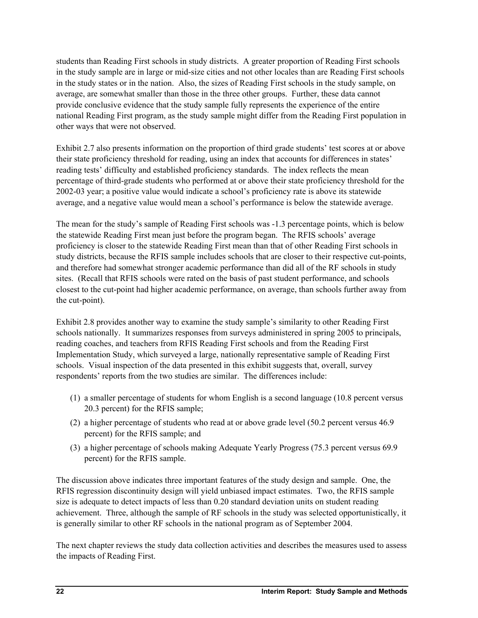students than Reading First schools in study districts. A greater proportion of Reading First schools in the study sample are in large or mid-size cities and not other locales than are Reading First schools in the study states or in the nation. Also, the sizes of Reading First schools in the study sample, on average, are somewhat smaller than those in the three other groups. Further, these data cannot provide conclusive evidence that the study sample fully represents the experience of the entire national Reading First program, as the study sample might differ from the Reading First population in other ways that were not observed.

Exhibit 2.7 also presents information on the proportion of third grade students' test scores at or above their state proficiency threshold for reading, using an index that accounts for differences in states' reading tests' difficulty and established proficiency standards. The index reflects the mean percentage of third-grade students who performed at or above their state proficiency threshold for the 2002-03 year; a positive value would indicate a school's proficiency rate is above its statewide average, and a negative value would mean a school's performance is below the statewide average.

The mean for the study's sample of Reading First schools was -1.3 percentage points, which is below the statewide Reading First mean just before the program began. The RFIS schools' average proficiency is closer to the statewide Reading First mean than that of other Reading First schools in study districts, because the RFIS sample includes schools that are closer to their respective cut-points, and therefore had somewhat stronger academic performance than did all of the RF schools in study sites. (Recall that RFIS schools were rated on the basis of past student performance, and schools closest to the cut-point had higher academic performance, on average, than schools further away from the cut-point).

Exhibit 2.8 provides another way to examine the study sample's similarity to other Reading First schools nationally. It summarizes responses from surveys administered in spring 2005 to principals, reading coaches, and teachers from RFIS Reading First schools and from the Reading First Implementation Study, which surveyed a large, nationally representative sample of Reading First schools. Visual inspection of the data presented in this exhibit suggests that, overall, survey respondents' reports from the two studies are similar. The differences include:

- (1) a smaller percentage of students for whom English is a second language (10.8 percent versus 20.3 percent) for the RFIS sample;
- (2) a higher percentage of students who read at or above grade level (50.2 percent versus 46.9 percent) for the RFIS sample; and
- (3) a higher percentage of schools making Adequate Yearly Progress (75.3 percent versus 69.9 percent) for the RFIS sample.

The discussion above indicates three important features of the study design and sample. One, the RFIS regression discontinuity design will yield unbiased impact estimates. Two, the RFIS sample size is adequate to detect impacts of less than 0.20 standard deviation units on student reading achievement. Three, although the sample of RF schools in the study was selected opportunistically, it is generally similar to other RF schools in the national program as of September 2004.

The next chapter reviews the study data collection activities and describes the measures used to assess the impacts of Reading First.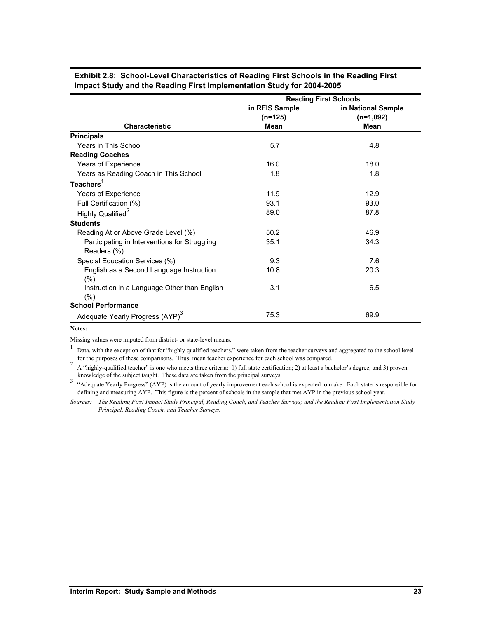|                                                              | <b>Reading First Schools</b> |                    |  |  |  |  |  |
|--------------------------------------------------------------|------------------------------|--------------------|--|--|--|--|--|
|                                                              | in RFIS Sample               | in National Sample |  |  |  |  |  |
|                                                              | $(n=125)$                    | $(n=1,092)$        |  |  |  |  |  |
| <b>Characteristic</b>                                        | Mean                         | Mean               |  |  |  |  |  |
| <b>Principals</b>                                            |                              |                    |  |  |  |  |  |
| Years in This School                                         | 5.7                          | 4.8                |  |  |  |  |  |
| <b>Reading Coaches</b>                                       |                              |                    |  |  |  |  |  |
| Years of Experience                                          | 16.0                         | 18.0               |  |  |  |  |  |
| Years as Reading Coach in This School                        | 1.8                          | 1.8                |  |  |  |  |  |
| Teachers <sup>1</sup>                                        |                              |                    |  |  |  |  |  |
| Years of Experience                                          | 11.9                         | 12.9               |  |  |  |  |  |
| Full Certification (%)                                       | 93.1                         | 93.0               |  |  |  |  |  |
| Highly Qualified <sup>2</sup>                                | 89.0                         | 87.8               |  |  |  |  |  |
| <b>Students</b>                                              |                              |                    |  |  |  |  |  |
| Reading At or Above Grade Level (%)                          | 50.2                         | 46.9               |  |  |  |  |  |
| Participating in Interventions for Struggling<br>Readers (%) | 35.1                         | 34.3               |  |  |  |  |  |
| Special Education Services (%)                               | 9.3                          | 7.6                |  |  |  |  |  |
| English as a Second Language Instruction<br>$(\% )$          | 10.8                         | 20.3               |  |  |  |  |  |
| Instruction in a Language Other than English<br>$(\% )$      | 3.1                          | 6.5                |  |  |  |  |  |
| <b>School Performance</b>                                    |                              |                    |  |  |  |  |  |
| Adequate Yearly Progress (AYP) <sup>3</sup>                  | 75.3                         | 69.9               |  |  |  |  |  |

**Exhibit 2.8: School-Level Characteristics of Reading First Schools in the Reading First Impact Study and the Reading First Implementation Study for 2004-2005** 

#### **Notes:**

Missing values were imputed from district- or state-level means.

1 Data, with the exception of that for "highly qualified teachers," were taken from the teacher surveys and aggregated to the school level for the purposes of these comparisons. Thus, mean teacher experience for each school was compared.

<sup>2</sup> A "highly-qualified teacher" is one who meets three criteria: 1) full state certification; 2) at least a bachelor's degree; and 3) proven knowledge of the subject taught. These data are taken from the principal surveys.

<sup>3</sup> "Adequate Yearly Progress" (AYP) is the amount of yearly improvement each school is expected to make. Each state is responsible for defining and measuring AYP. This figure is the percent of schools in the sample that met AYP in the previous school year.

*Sources: The Reading First Impact Study Principal, Reading Coach, and Teacher Surveys; and the Reading First Implementation Study Principal, Reading Coach, and Teacher Surveys.*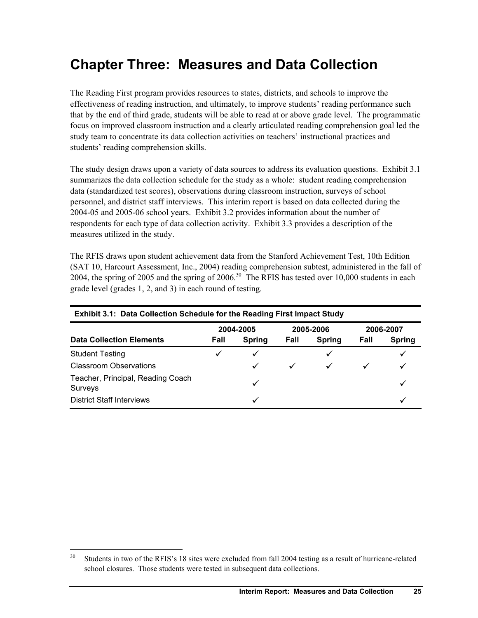# **Chapter Three: Measures and Data Collection**

The Reading First program provides resources to states, districts, and schools to improve the effectiveness of reading instruction, and ultimately, to improve students' reading performance such that by the end of third grade, students will be able to read at or above grade level. The programmatic focus on improved classroom instruction and a clearly articulated reading comprehension goal led the study team to concentrate its data collection activities on teachers' instructional practices and students' reading comprehension skills.

The study design draws upon a variety of data sources to address its evaluation questions. Exhibit 3.1 summarizes the data collection schedule for the study as a whole: student reading comprehension data (standardized test scores), observations during classroom instruction, surveys of school personnel, and district staff interviews. This interim report is based on data collected during the 2004-05 and 2005-06 school years. Exhibit 3.2 provides information about the number of respondents for each type of data collection activity. Exhibit 3.3 provides a description of the measures utilized in the study.

The RFIS draws upon student achievement data from the Stanford Achievement Test, 10th Edition (SAT 10, Harcourt Assessment, Inc., 2004) reading comprehension subtest, administered in the fall of 2004, the spring of 2005 and the spring of  $2006$ <sup>30</sup>. The RFIS has tested over 10,000 students in each grade level (grades 1, 2, and 3) in each round of testing.

| <b>Exhibit 3.1: Data Collection Schedule for the Reading First Impact Study</b> |      |               |              |               |           |               |  |  |  |  |
|---------------------------------------------------------------------------------|------|---------------|--------------|---------------|-----------|---------------|--|--|--|--|
|                                                                                 |      | 2004-2005     |              | 2005-2006     | 2006-2007 |               |  |  |  |  |
| <b>Data Collection Elements</b>                                                 | Fall | <b>Spring</b> | Fall         | <b>Spring</b> | Fall      | <b>Spring</b> |  |  |  |  |
| <b>Student Testing</b>                                                          |      | $\checkmark$  |              | ✓             |           |               |  |  |  |  |
| <b>Classroom Observations</b>                                                   |      | ✓             | $\checkmark$ | $\checkmark$  |           |               |  |  |  |  |
| Teacher, Principal, Reading Coach<br>Surveys                                    |      |               |              |               |           |               |  |  |  |  |
| <b>District Staff Interviews</b>                                                |      | ✓             |              |               |           | ✓             |  |  |  |  |

l

Students in two of the RFIS's 18 sites were excluded from fall 2004 testing as a result of hurricane-related school closures. Those students were tested in subsequent data collections.

**Interim Report: Measures and Data Collection 25**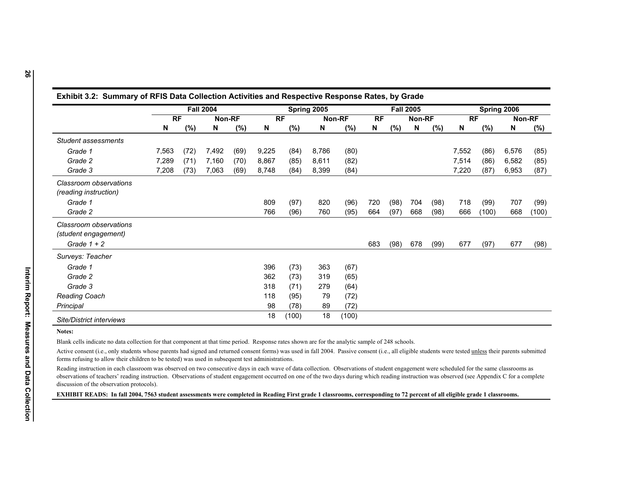|                                                                                                                                                                                                                                                                                                                                                                                                                                         |       |      | <b>Fall 2004</b> |        |       |       | Spring 2005 |               |     |      | <b>Fall 2005</b> |      |       |       | Spring 2006 |       |
|-----------------------------------------------------------------------------------------------------------------------------------------------------------------------------------------------------------------------------------------------------------------------------------------------------------------------------------------------------------------------------------------------------------------------------------------|-------|------|------------------|--------|-------|-------|-------------|---------------|-----|------|------------------|------|-------|-------|-------------|-------|
|                                                                                                                                                                                                                                                                                                                                                                                                                                         | RF    |      |                  | Non-RF |       | RF    |             | <b>Non-RF</b> | RF  |      | Non-RF           |      | RF    |       | Non-RF      |       |
|                                                                                                                                                                                                                                                                                                                                                                                                                                         | N     | (%)  | N                | (%)    | N     | (%)   | N           | (%)           | N   | (%)  | N                | (%)  | N     | (%)   | N           | (%)   |
| Student assessments                                                                                                                                                                                                                                                                                                                                                                                                                     |       |      |                  |        |       |       |             |               |     |      |                  |      |       |       |             |       |
| Grade 1                                                                                                                                                                                                                                                                                                                                                                                                                                 | 7,563 | (72) | 7,492            | (69)   | 9,225 | (84)  | 8,786       | (80)          |     |      |                  |      | 7,552 | (86)  | 6,576       |       |
| Grade 2                                                                                                                                                                                                                                                                                                                                                                                                                                 | 7,289 | (71) | 7,160            | (70)   | 8,867 | (85)  | 8,611       | (82)          |     |      |                  |      | 7,514 | (86)  | 6,582       |       |
| Grade 3                                                                                                                                                                                                                                                                                                                                                                                                                                 | 7,208 | (73) | 7,063            | (69)   | 8,748 | (84)  | 8,399       | (84)          |     |      |                  |      | 7,220 | (87)  | 6,953       |       |
| Classroom observations<br>(reading instruction)                                                                                                                                                                                                                                                                                                                                                                                         |       |      |                  |        |       |       |             |               |     |      |                  |      |       |       |             |       |
| Grade 1                                                                                                                                                                                                                                                                                                                                                                                                                                 |       |      |                  |        | 809   | (97)  | 820         | (96)          | 720 | (98) | 704              | (98) | 718   | (99)  | 707         |       |
| Grade 2                                                                                                                                                                                                                                                                                                                                                                                                                                 |       |      |                  |        | 766   | (96)  | 760         | (95)          | 664 | (97) | 668              | (98) | 666   | (100) | 668         | (100) |
| Classroom observations<br>(student engagement)<br>Grade $1 + 2$                                                                                                                                                                                                                                                                                                                                                                         |       |      |                  |        |       |       |             |               | 683 | (98) | 678              | (99) | 677   | (97)  | 677         |       |
| Surveys: Teacher                                                                                                                                                                                                                                                                                                                                                                                                                        |       |      |                  |        |       |       |             |               |     |      |                  |      |       |       |             |       |
| Grade 1                                                                                                                                                                                                                                                                                                                                                                                                                                 |       |      |                  |        | 396   | (73)  | 363         | (67)          |     |      |                  |      |       |       |             |       |
| Grade 2                                                                                                                                                                                                                                                                                                                                                                                                                                 |       |      |                  |        | 362   | (73)  | 319         | (65)          |     |      |                  |      |       |       |             |       |
| Grade 3                                                                                                                                                                                                                                                                                                                                                                                                                                 |       |      |                  |        | 318   | (71)  | 279         | (64)          |     |      |                  |      |       |       |             |       |
| <b>Reading Coach</b>                                                                                                                                                                                                                                                                                                                                                                                                                    |       |      |                  |        | 118   | (95)  | 79          | (72)          |     |      |                  |      |       |       |             |       |
| Principal                                                                                                                                                                                                                                                                                                                                                                                                                               |       |      |                  |        | 98    | (78)  | 89          | (72)          |     |      |                  |      |       |       |             |       |
| Site/District interviews                                                                                                                                                                                                                                                                                                                                                                                                                |       |      |                  |        | 18    | (100) | 18          | (100)         |     |      |                  |      |       |       |             |       |
| Notes:                                                                                                                                                                                                                                                                                                                                                                                                                                  |       |      |                  |        |       |       |             |               |     |      |                  |      |       |       |             |       |
| Blank cells indicate no data collection for that component at that time period. Response rates shown are for the analytic sample of 248 schools.                                                                                                                                                                                                                                                                                        |       |      |                  |        |       |       |             |               |     |      |                  |      |       |       |             |       |
| Active consent (i.e., only students whose parents had signed and returned consent forms) was used in fall 2004. Passive consent (i.e., all eligible students were tested unless their parents submitted                                                                                                                                                                                                                                 |       |      |                  |        |       |       |             |               |     |      |                  |      |       |       |             |       |
| forms refusing to allow their children to be tested) was used in subsequent test administrations.                                                                                                                                                                                                                                                                                                                                       |       |      |                  |        |       |       |             |               |     |      |                  |      |       |       |             |       |
| Reading instruction in each classroom was observed on two consecutive days in each wave of data collection. Observations of student engagement were scheduled for the same classrooms as<br>observations of teachers' reading instruction. Observations of student engagement occurred on one of the two days during which reading instruction was observed (see Appendix C for a complete<br>discussion of the observation protocols). |       |      |                  |        |       |       |             |               |     |      |                  |      |       |       |             |       |
| EXHIBIT READS: In fall 2004, 7563 student assessments were completed in Reading First grade 1 classrooms, corresponding to 72 percent of all eligible grade 1 classrooms.                                                                                                                                                                                                                                                               |       |      |                  |        |       |       |             |               |     |      |                  |      |       |       |             |       |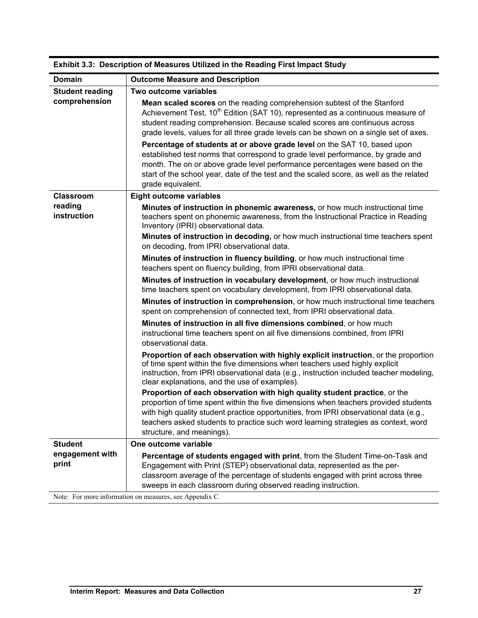| Domain                   | <b>Outcome Measure and Description</b>                                                                                                                                                                                                                                                                                                                                                                                                                                                                                                                                                                                                                                                                       |
|--------------------------|--------------------------------------------------------------------------------------------------------------------------------------------------------------------------------------------------------------------------------------------------------------------------------------------------------------------------------------------------------------------------------------------------------------------------------------------------------------------------------------------------------------------------------------------------------------------------------------------------------------------------------------------------------------------------------------------------------------|
| <b>Student reading</b>   | Two outcome variables                                                                                                                                                                                                                                                                                                                                                                                                                                                                                                                                                                                                                                                                                        |
| comprehension            | Mean scaled scores on the reading comprehension subtest of the Stanford<br>Achievement Test, 10 <sup>th</sup> Edition (SAT 10), represented as a continuous measure of<br>student reading comprehension. Because scaled scores are continuous across<br>grade levels, values for all three grade levels can be shown on a single set of axes.<br>Percentage of students at or above grade level on the SAT 10, based upon<br>established test norms that correspond to grade level performance, by grade and<br>month. The on or above grade level performance percentages were based on the<br>start of the school year, date of the test and the scaled score, as well as the related<br>grade equivalent. |
| <b>Classroom</b>         | <b>Eight outcome variables</b>                                                                                                                                                                                                                                                                                                                                                                                                                                                                                                                                                                                                                                                                               |
| reading<br>instruction   | Minutes of instruction in phonemic awareness, or how much instructional time<br>teachers spent on phonemic awareness, from the Instructional Practice in Reading<br>Inventory (IPRI) observational data.                                                                                                                                                                                                                                                                                                                                                                                                                                                                                                     |
|                          | Minutes of instruction in decoding, or how much instructional time teachers spent<br>on decoding, from IPRI observational data.                                                                                                                                                                                                                                                                                                                                                                                                                                                                                                                                                                              |
|                          | Minutes of instruction in fluency building, or how much instructional time<br>teachers spent on fluency building, from IPRI observational data.                                                                                                                                                                                                                                                                                                                                                                                                                                                                                                                                                              |
|                          | Minutes of instruction in vocabulary development, or how much instructional<br>time teachers spent on vocabulary development, from IPRI observational data.                                                                                                                                                                                                                                                                                                                                                                                                                                                                                                                                                  |
|                          | Minutes of instruction in comprehension, or how much instructional time teachers<br>spent on comprehension of connected text, from IPRI observational data.                                                                                                                                                                                                                                                                                                                                                                                                                                                                                                                                                  |
|                          | Minutes of instruction in all five dimensions combined, or how much<br>instructional time teachers spent on all five dimensions combined, from IPRI<br>observational data.                                                                                                                                                                                                                                                                                                                                                                                                                                                                                                                                   |
|                          | Proportion of each observation with highly explicit instruction, or the proportion<br>of time spent within the five dimensions when teachers used highly explicit<br>instruction, from IPRI observational data (e.g., instruction included teacher modeling,<br>clear explanations, and the use of examples).                                                                                                                                                                                                                                                                                                                                                                                                |
|                          | Proportion of each observation with high quality student practice, or the<br>proportion of time spent within the five dimensions when teachers provided students<br>with high quality student practice opportunities, from IPRI observational data (e.g.,<br>teachers asked students to practice such word learning strategies as context, word<br>structure, and meanings).                                                                                                                                                                                                                                                                                                                                 |
| <b>Student</b>           | One outcome variable                                                                                                                                                                                                                                                                                                                                                                                                                                                                                                                                                                                                                                                                                         |
| engagement with<br>print | Percentage of students engaged with print, from the Student Time-on-Task and<br>Engagement with Print (STEP) observational data, represented as the per-<br>classroom average of the percentage of students engaged with print across three<br>sweeps in each classroom during observed reading instruction.                                                                                                                                                                                                                                                                                                                                                                                                 |

**Exhibit 3.3: Description of Measures Utilized in the Reading First Impact Study** 

Note: For more information on measures, see Appendix C.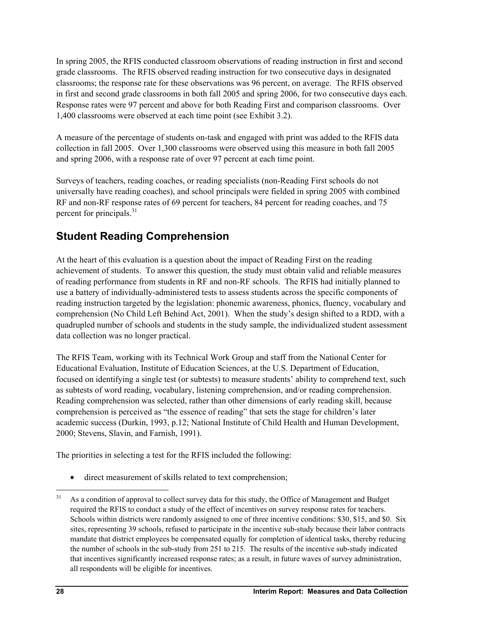In spring 2005, the RFIS conducted classroom observations of reading instruction in first and second grade classrooms. The RFIS observed reading instruction for two consecutive days in designated classrooms; the response rate for these observations was 96 percent, on average. The RFIS observed in first and second grade classrooms in both fall 2005 and spring 2006, for two consecutive days each. Response rates were 97 percent and above for both Reading First and comparison classrooms. Over 1,400 classrooms were observed at each time point (see Exhibit 3.2).

A measure of the percentage of students on-task and engaged with print was added to the RFIS data collection in fall 2005. Over 1,300 classrooms were observed using this measure in both fall 2005 and spring 2006, with a response rate of over 97 percent at each time point.

Surveys of teachers, reading coaches, or reading specialists (non-Reading First schools do not universally have reading coaches), and school principals were fielded in spring 2005 with combined RF and non-RF response rates of 69 percent for teachers, 84 percent for reading coaches, and 75 percent for principals. $31$ 

# **Student Reading Comprehension**

At the heart of this evaluation is a question about the impact of Reading First on the reading achievement of students. To answer this question, the study must obtain valid and reliable measures of reading performance from students in RF and non-RF schools. The RFIS had initially planned to use a battery of individually-administered tests to assess students across the specific components of reading instruction targeted by the legislation: phonemic awareness, phonics, fluency, vocabulary and comprehension (No Child Left Behind Act, 2001). When the study's design shifted to a RDD, with a quadrupled number of schools and students in the study sample, the individualized student assessment data collection was no longer practical.

The RFIS Team, working with its Technical Work Group and staff from the National Center for Educational Evaluation, Institute of Education Sciences, at the U.S. Department of Education, focused on identifying a single test (or subtests) to measure students' ability to comprehend text, such as subtests of word reading, vocabulary, listening comprehension, and/or reading comprehension. Reading comprehension was selected, rather than other dimensions of early reading skill, because comprehension is perceived as "the essence of reading" that sets the stage for children's later academic success (Durkin, 1993, p.12; National Institute of Child Health and Human Development, 2000; Stevens, Slavin, and Farnish, 1991).

The priorities in selecting a test for the RFIS included the following:

• direct measurement of skills related to text comprehension;

 $31$ As a condition of approval to collect survey data for this study, the Office of Management and Budget required the RFIS to conduct a study of the effect of incentives on survey response rates for teachers. Schools within districts were randomly assigned to one of three incentive conditions: \$30, \$15, and \$0. Six sites, representing 39 schools, refused to participate in the incentive sub-study because their labor contracts mandate that district employees be compensated equally for completion of identical tasks, thereby reducing the number of schools in the sub-study from 251 to 215. The results of the incentive sub-study indicated that incentives significantly increased response rates; as a result, in future waves of survey administration, all respondents will be eligible for incentives.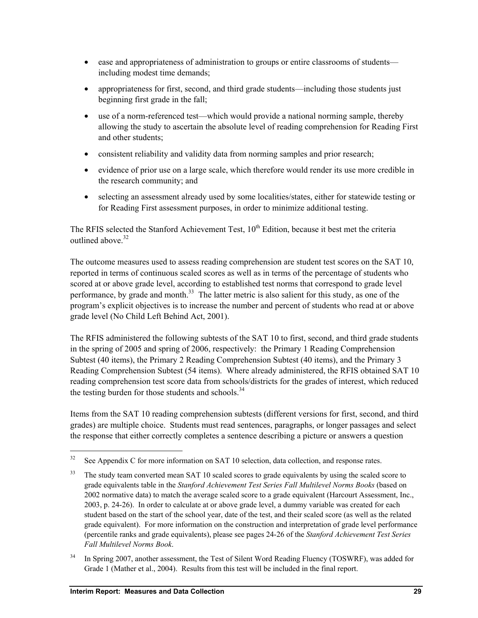- ease and appropriateness of administration to groups or entire classrooms of students including modest time demands;
- appropriateness for first, second, and third grade students—including those students just beginning first grade in the fall;
- use of a norm-referenced test—which would provide a national norming sample, thereby allowing the study to ascertain the absolute level of reading comprehension for Reading First and other students;
- consistent reliability and validity data from norming samples and prior research;
- evidence of prior use on a large scale, which therefore would render its use more credible in the research community; and
- selecting an assessment already used by some localities/states, either for statewide testing or for Reading First assessment purposes, in order to minimize additional testing.

The RFIS selected the Stanford Achievement Test,  $10<sup>th</sup>$  Edition, because it best met the criteria outlined above.<sup>32</sup>

The outcome measures used to assess reading comprehension are student test scores on the SAT 10, reported in terms of continuous scaled scores as well as in terms of the percentage of students who scored at or above grade level, according to established test norms that correspond to grade level performance, by grade and month.<sup>33</sup> The latter metric is also salient for this study, as one of the program's explicit objectives is to increase the number and percent of students who read at or above grade level (No Child Left Behind Act, 2001).

The RFIS administered the following subtests of the SAT 10 to first, second, and third grade students in the spring of 2005 and spring of 2006, respectively: the Primary 1 Reading Comprehension Subtest (40 items), the Primary 2 Reading Comprehension Subtest (40 items), and the Primary 3 Reading Comprehension Subtest (54 items). Where already administered, the RFIS obtained SAT 10 reading comprehension test score data from schools/districts for the grades of interest, which reduced the testing burden for those students and schools. $34$ 

Items from the SAT 10 reading comprehension subtests (different versions for first, second, and third grades) are multiple choice. Students must read sentences, paragraphs, or longer passages and select the response that either correctly completes a sentence describing a picture or answers a question

 $\overline{a}$ 

 $32$  See Appendix C for more information on SAT 10 selection, data collection, and response rates.

<sup>&</sup>lt;sup>33</sup> The study team converted mean SAT 10 scaled scores to grade equivalents by using the scaled score to grade equivalents table in the *Stanford Achievement Test Series Fall Multilevel Norms Books* (based on 2002 normative data) to match the average scaled score to a grade equivalent (Harcourt Assessment, Inc., 2003, p. 24-26). In order to calculate at or above grade level, a dummy variable was created for each student based on the start of the school year, date of the test, and their scaled score (as well as the related grade equivalent). For more information on the construction and interpretation of grade level performance (percentile ranks and grade equivalents), please see pages 24-26 of the *Stanford Achievement Test Series Fall Multilevel Norms Book*.

In Spring 2007, another assessment, the Test of Silent Word Reading Fluency (TOSWRF), was added for Grade 1 (Mather et al., 2004). Results from this test will be included in the final report.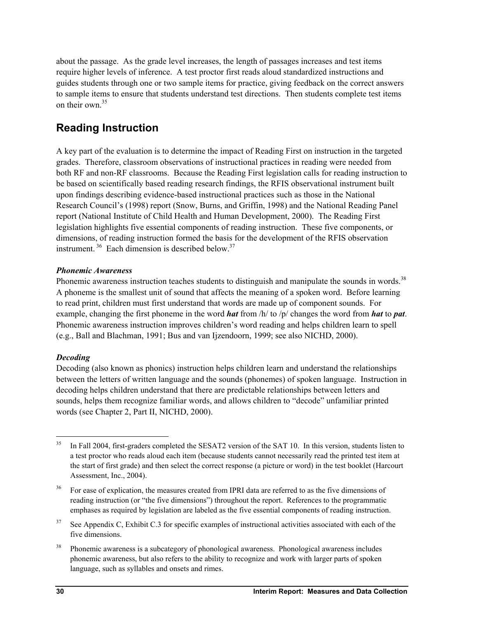about the passage. As the grade level increases, the length of passages increases and test items require higher levels of inference. A test proctor first reads aloud standardized instructions and guides students through one or two sample items for practice, giving feedback on the correct answers to sample items to ensure that students understand test directions. Then students complete test items on their own  $35$ 

# **Reading Instruction**

A key part of the evaluation is to determine the impact of Reading First on instruction in the targeted grades. Therefore, classroom observations of instructional practices in reading were needed from both RF and non-RF classrooms. Because the Reading First legislation calls for reading instruction to be based on scientifically based reading research findings, the RFIS observational instrument built upon findings describing evidence-based instructional practices such as those in the National Research Council's (1998) report (Snow, Burns, and Griffin, 1998) and the National Reading Panel report (National Institute of Child Health and Human Development, 2000). The Reading First legislation highlights five essential components of reading instruction. These five components, or dimensions, of reading instruction formed the basis for the development of the RFIS observation instrument.  $36$  Each dimension is described below.  $37$ 

## *Phonemic Awareness*

Phonemic awareness instruction teaches students to distinguish and manipulate the sounds in words.<sup>38</sup> A phoneme is the smallest unit of sound that affects the meaning of a spoken word. Before learning to read print, children must first understand that words are made up of component sounds. For example, changing the first phoneme in the word *hat* from /h/ to /p/ changes the word from *hat* to *pat*. Phonemic awareness instruction improves children's word reading and helps children learn to spell (e.g., Ball and Blachman, 1991; Bus and van Ijzendoorn, 1999; see also NICHD, 2000).

## *Decoding*

l

Decoding (also known as phonics) instruction helps children learn and understand the relationships between the letters of written language and the sounds (phonemes) of spoken language. Instruction in decoding helps children understand that there are predictable relationships between letters and sounds, helps them recognize familiar words, and allows children to "decode" unfamiliar printed words (see Chapter 2, Part II, NICHD, 2000).

<sup>&</sup>lt;sup>35</sup> In Fall 2004, first-graders completed the SESAT2 version of the SAT 10. In this version, students listen to a test proctor who reads aloud each item (because students cannot necessarily read the printed test item at the start of first grade) and then select the correct response (a picture or word) in the test booklet (Harcourt Assessment, Inc., 2004).

<sup>&</sup>lt;sup>36</sup> For ease of explication, the measures created from IPRI data are referred to as the five dimensions of reading instruction (or "the five dimensions") throughout the report. References to the programmatic emphases as required by legislation are labeled as the five essential components of reading instruction.

<sup>&</sup>lt;sup>37</sup> See Appendix C, Exhibit C.3 for specific examples of instructional activities associated with each of the five dimensions.

<sup>&</sup>lt;sup>38</sup> Phonemic awareness is a subcategory of phonological awareness. Phonological awareness includes phonemic awareness, but also refers to the ability to recognize and work with larger parts of spoken language, such as syllables and onsets and rimes.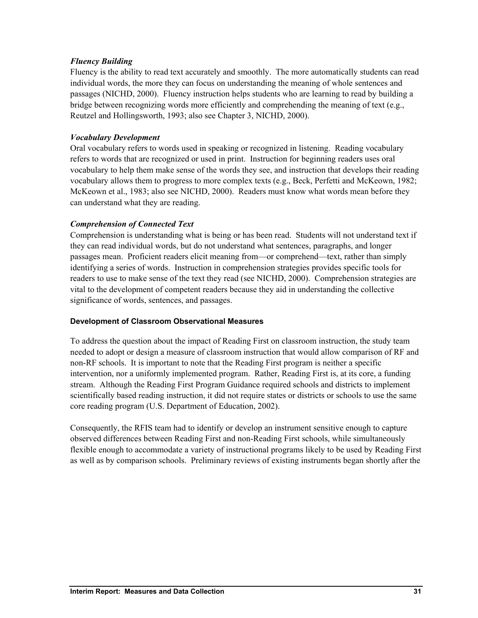## *Fluency Building*

Fluency is the ability to read text accurately and smoothly. The more automatically students can read individual words, the more they can focus on understanding the meaning of whole sentences and passages (NICHD, 2000). Fluency instruction helps students who are learning to read by building a bridge between recognizing words more efficiently and comprehending the meaning of text (e.g., Reutzel and Hollingsworth, 1993; also see Chapter 3, NICHD, 2000).

## *Vocabulary Development*

Oral vocabulary refers to words used in speaking or recognized in listening. Reading vocabulary refers to words that are recognized or used in print. Instruction for beginning readers uses oral vocabulary to help them make sense of the words they see, and instruction that develops their reading vocabulary allows them to progress to more complex texts (e.g., Beck, Perfetti and McKeown, 1982; McKeown et al., 1983; also see NICHD, 2000). Readers must know what words mean before they can understand what they are reading.

### *Comprehension of Connected Text*

Comprehension is understanding what is being or has been read. Students will not understand text if they can read individual words, but do not understand what sentences, paragraphs, and longer passages mean. Proficient readers elicit meaning from—or comprehend—text, rather than simply identifying a series of words. Instruction in comprehension strategies provides specific tools for readers to use to make sense of the text they read (see NICHD, 2000). Comprehension strategies are vital to the development of competent readers because they aid in understanding the collective significance of words, sentences, and passages.

#### **Development of Classroom Observational Measures**

To address the question about the impact of Reading First on classroom instruction, the study team needed to adopt or design a measure of classroom instruction that would allow comparison of RF and non-RF schools. It is important to note that the Reading First program is neither a specific intervention, nor a uniformly implemented program. Rather, Reading First is, at its core, a funding stream. Although the Reading First Program Guidance required schools and districts to implement scientifically based reading instruction, it did not require states or districts or schools to use the same core reading program (U.S. Department of Education, 2002).

Consequently, the RFIS team had to identify or develop an instrument sensitive enough to capture observed differences between Reading First and non-Reading First schools, while simultaneously flexible enough to accommodate a variety of instructional programs likely to be used by Reading First as well as by comparison schools. Preliminary reviews of existing instruments began shortly after the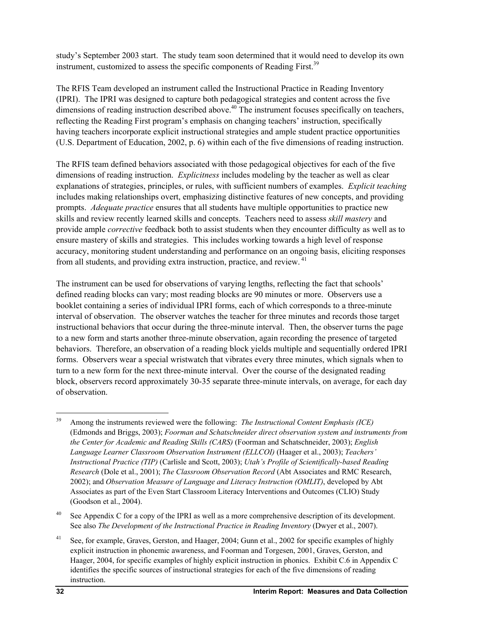study's September 2003 start. The study team soon determined that it would need to develop its own instrument, customized to assess the specific components of Reading First.<sup>39</sup>

The RFIS Team developed an instrument called the Instructional Practice in Reading Inventory (IPRI). The IPRI was designed to capture both pedagogical strategies and content across the five dimensions of reading instruction described above.<sup>40</sup> The instrument focuses specifically on teachers, reflecting the Reading First program's emphasis on changing teachers' instruction, specifically having teachers incorporate explicit instructional strategies and ample student practice opportunities (U.S. Department of Education, 2002, p. 6) within each of the five dimensions of reading instruction.

The RFIS team defined behaviors associated with those pedagogical objectives for each of the five dimensions of reading instruction. *Explicitness* includes modeling by the teacher as well as clear explanations of strategies, principles, or rules, with sufficient numbers of examples. *Explicit teaching* includes making relationships overt, emphasizing distinctive features of new concepts, and providing prompts. *Adequate practice* ensures that all students have multiple opportunities to practice new skills and review recently learned skills and concepts. Teachers need to assess *skill mastery* and provide ample *corrective* feedback both to assist students when they encounter difficulty as well as to ensure mastery of skills and strategies. This includes working towards a high level of response accuracy, monitoring student understanding and performance on an ongoing basis, eliciting responses from all students, and providing extra instruction, practice, and review. 41

The instrument can be used for observations of varying lengths, reflecting the fact that schools' defined reading blocks can vary; most reading blocks are 90 minutes or more. Observers use a booklet containing a series of individual IPRI forms, each of which corresponds to a three-minute interval of observation. The observer watches the teacher for three minutes and records those target instructional behaviors that occur during the three-minute interval. Then, the observer turns the page to a new form and starts another three-minute observation, again recording the presence of targeted behaviors. Therefore, an observation of a reading block yields multiple and sequentially ordered IPRI forms. Observers wear a special wristwatch that vibrates every three minutes, which signals when to turn to a new form for the next three-minute interval. Over the course of the designated reading block, observers record approximately 30-35 separate three-minute intervals, on average, for each day of observation.

<sup>40</sup> See Appendix C for a copy of the IPRI as well as a more comprehensive description of its development. See also *The Development of the Instructional Practice in Reading Inventory* (Dwyer et al., 2007).

<sup>41</sup> See, for example, Graves, Gerston, and Haager, 2004; Gunn et al., 2002 for specific examples of highly explicit instruction in phonemic awareness, and Foorman and Torgesen, 2001, Graves, Gerston, and Haager, 2004, for specific examples of highly explicit instruction in phonics. Exhibit C.6 in Appendix C identifies the specific sources of instructional strategies for each of the five dimensions of reading instruction.

 $\overline{a}$ 

<sup>39</sup> Among the instruments reviewed were the following: *The Instructional Content Emphasis (ICE)* (Edmonds and Briggs, 2003); *Foorman and Schatschneider direct observation system and instruments from the Center for Academic and Reading Skills (CARS)* (Foorman and Schatschneider, 2003); *English Language Learner Classroom Observation Instrument (ELLCOI)* (Haager et al., 2003); *Teachers' Instructional Practice (TIP)* (Carlisle and Scott, 2003); *Utah's Profile of Scientifically-based Reading Research* (Dole et al., 2001); *The Classroom Observation Record* (Abt Associates and RMC Research, 2002); and *Observation Measure of Language and Literacy Instruction (OMLIT)*, developed by Abt Associates as part of the Even Start Classroom Literacy Interventions and Outcomes (CLIO) Study (Goodson et al., 2004).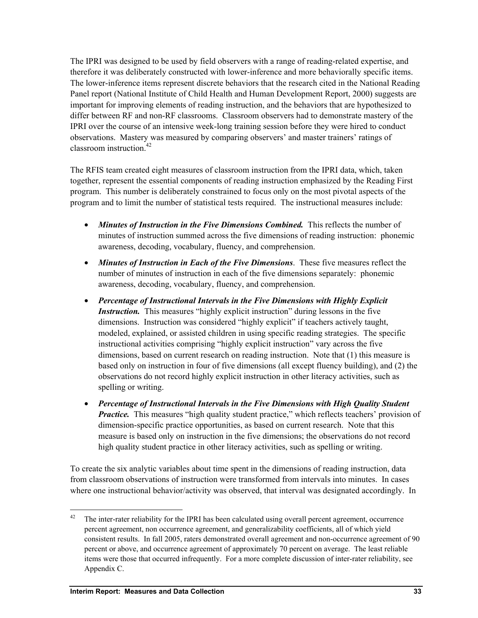The IPRI was designed to be used by field observers with a range of reading-related expertise, and therefore it was deliberately constructed with lower-inference and more behaviorally specific items. The lower-inference items represent discrete behaviors that the research cited in the National Reading Panel report (National Institute of Child Health and Human Development Report, 2000) suggests are important for improving elements of reading instruction, and the behaviors that are hypothesized to differ between RF and non-RF classrooms. Classroom observers had to demonstrate mastery of the IPRI over the course of an intensive week-long training session before they were hired to conduct observations. Mastery was measured by comparing observers' and master trainers' ratings of classroom instruction  $42$ 

The RFIS team created eight measures of classroom instruction from the IPRI data, which, taken together, represent the essential components of reading instruction emphasized by the Reading First program. This number is deliberately constrained to focus only on the most pivotal aspects of the program and to limit the number of statistical tests required. The instructional measures include:

- *Minutes of Instruction in the Five Dimensions Combined.* This reflects the number of minutes of instruction summed across the five dimensions of reading instruction: phonemic awareness, decoding, vocabulary, fluency, and comprehension.
- *Minutes of Instruction in Each of the Five Dimensions*. These five measures reflect the number of minutes of instruction in each of the five dimensions separately: phonemic awareness, decoding, vocabulary, fluency, and comprehension.
- *Percentage of Instructional Intervals in the Five Dimensions with Highly Explicit Instruction.* This measures "highly explicit instruction" during lessons in the five dimensions. Instruction was considered "highly explicit" if teachers actively taught, modeled, explained, or assisted children in using specific reading strategies. The specific instructional activities comprising "highly explicit instruction" vary across the five dimensions, based on current research on reading instruction. Note that (1) this measure is based only on instruction in four of five dimensions (all except fluency building), and (2) the observations do not record highly explicit instruction in other literacy activities, such as spelling or writing.
- *Percentage of Instructional Intervals in the Five Dimensions with High Quality Student Practice.* This measures "high quality student practice," which reflects teachers' provision of dimension-specific practice opportunities, as based on current research. Note that this measure is based only on instruction in the five dimensions; the observations do not record high quality student practice in other literacy activities, such as spelling or writing.

To create the six analytic variables about time spent in the dimensions of reading instruction, data from classroom observations of instruction were transformed from intervals into minutes. In cases where one instructional behavior/activity was observed, that interval was designated accordingly. In

1

 $42$  The inter-rater reliability for the IPRI has been calculated using overall percent agreement, occurrence percent agreement, non occurrence agreement, and generalizability coefficients, all of which yield consistent results. In fall 2005, raters demonstrated overall agreement and non-occurrence agreement of 90 percent or above, and occurrence agreement of approximately 70 percent on average. The least reliable items were those that occurred infrequently. For a more complete discussion of inter-rater reliability, see Appendix C.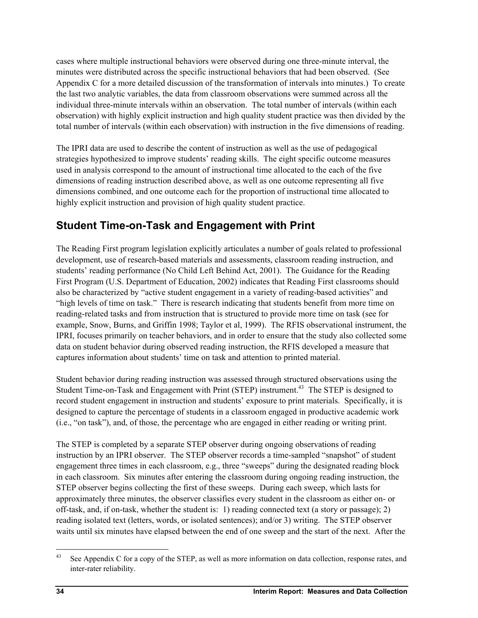cases where multiple instructional behaviors were observed during one three-minute interval, the minutes were distributed across the specific instructional behaviors that had been observed. (See Appendix C for a more detailed discussion of the transformation of intervals into minutes.) To create the last two analytic variables, the data from classroom observations were summed across all the individual three-minute intervals within an observation. The total number of intervals (within each observation) with highly explicit instruction and high quality student practice was then divided by the total number of intervals (within each observation) with instruction in the five dimensions of reading.

The IPRI data are used to describe the content of instruction as well as the use of pedagogical strategies hypothesized to improve students' reading skills. The eight specific outcome measures used in analysis correspond to the amount of instructional time allocated to the each of the five dimensions of reading instruction described above, as well as one outcome representing all five dimensions combined, and one outcome each for the proportion of instructional time allocated to highly explicit instruction and provision of high quality student practice.

# **Student Time-on-Task and Engagement with Print**

The Reading First program legislation explicitly articulates a number of goals related to professional development, use of research-based materials and assessments, classroom reading instruction, and students' reading performance (No Child Left Behind Act, 2001). The Guidance for the Reading First Program (U.S. Department of Education, 2002) indicates that Reading First classrooms should also be characterized by "active student engagement in a variety of reading-based activities" and "high levels of time on task." There is research indicating that students benefit from more time on reading-related tasks and from instruction that is structured to provide more time on task (see for example, Snow, Burns, and Griffin 1998; Taylor et al, 1999). The RFIS observational instrument, the IPRI, focuses primarily on teacher behaviors, and in order to ensure that the study also collected some data on student behavior during observed reading instruction, the RFIS developed a measure that captures information about students' time on task and attention to printed material.

Student behavior during reading instruction was assessed through structured observations using the Student Time-on-Task and Engagement with Print (STEP) instrument.<sup>43</sup> The STEP is designed to record student engagement in instruction and students' exposure to print materials. Specifically, it is designed to capture the percentage of students in a classroom engaged in productive academic work (i.e., "on task"), and, of those, the percentage who are engaged in either reading or writing print.

The STEP is completed by a separate STEP observer during ongoing observations of reading instruction by an IPRI observer. The STEP observer records a time-sampled "snapshot" of student engagement three times in each classroom, e.g., three "sweeps" during the designated reading block in each classroom. Six minutes after entering the classroom during ongoing reading instruction, the STEP observer begins collecting the first of these sweeps. During each sweep, which lasts for approximately three minutes, the observer classifies every student in the classroom as either on- or off-task, and, if on-task, whether the student is: 1) reading connected text (a story or passage); 2) reading isolated text (letters, words, or isolated sentences); and/or 3) writing. The STEP observer waits until six minutes have elapsed between the end of one sweep and the start of the next. After the

1

<sup>&</sup>lt;sup>43</sup> See Appendix C for a copy of the STEP, as well as more information on data collection, response rates, and inter-rater reliability.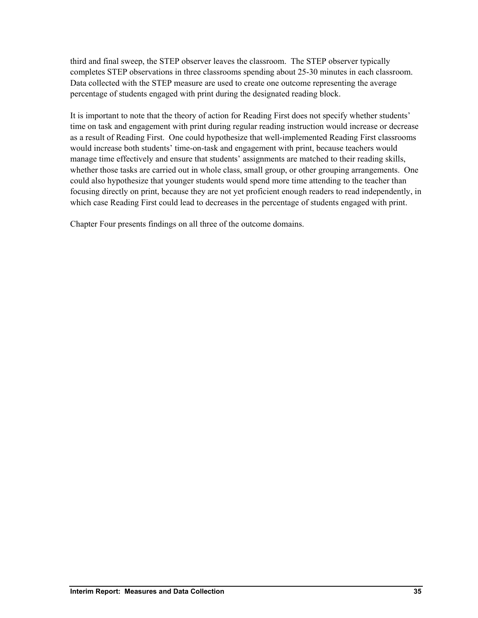third and final sweep, the STEP observer leaves the classroom. The STEP observer typically completes STEP observations in three classrooms spending about 25-30 minutes in each classroom. Data collected with the STEP measure are used to create one outcome representing the average percentage of students engaged with print during the designated reading block.

It is important to note that the theory of action for Reading First does not specify whether students' time on task and engagement with print during regular reading instruction would increase or decrease as a result of Reading First. One could hypothesize that well-implemented Reading First classrooms would increase both students' time-on-task and engagement with print, because teachers would manage time effectively and ensure that students' assignments are matched to their reading skills, whether those tasks are carried out in whole class, small group, or other grouping arrangements. One could also hypothesize that younger students would spend more time attending to the teacher than focusing directly on print, because they are not yet proficient enough readers to read independently, in which case Reading First could lead to decreases in the percentage of students engaged with print.

Chapter Four presents findings on all three of the outcome domains.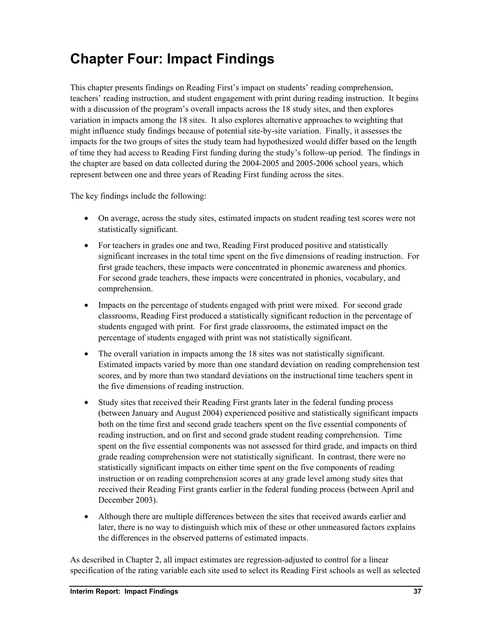# **Chapter Four: Impact Findings**

This chapter presents findings on Reading First's impact on students' reading comprehension, teachers' reading instruction, and student engagement with print during reading instruction. It begins with a discussion of the program's overall impacts across the 18 study sites, and then explores variation in impacts among the 18 sites. It also explores alternative approaches to weighting that might influence study findings because of potential site-by-site variation. Finally, it assesses the impacts for the two groups of sites the study team had hypothesized would differ based on the length of time they had access to Reading First funding during the study's follow-up period. The findings in the chapter are based on data collected during the 2004-2005 and 2005-2006 school years, which represent between one and three years of Reading First funding across the sites.

The key findings include the following:

- On average, across the study sites, estimated impacts on student reading test scores were not statistically significant.
- For teachers in grades one and two, Reading First produced positive and statistically significant increases in the total time spent on the five dimensions of reading instruction. For first grade teachers, these impacts were concentrated in phonemic awareness and phonics. For second grade teachers, these impacts were concentrated in phonics, vocabulary, and comprehension.
- Impacts on the percentage of students engaged with print were mixed. For second grade classrooms, Reading First produced a statistically significant reduction in the percentage of students engaged with print. For first grade classrooms, the estimated impact on the percentage of students engaged with print was not statistically significant.
- The overall variation in impacts among the 18 sites was not statistically significant. Estimated impacts varied by more than one standard deviation on reading comprehension test scores, and by more than two standard deviations on the instructional time teachers spent in the five dimensions of reading instruction.
- Study sites that received their Reading First grants later in the federal funding process (between January and August 2004) experienced positive and statistically significant impacts both on the time first and second grade teachers spent on the five essential components of reading instruction, and on first and second grade student reading comprehension. Time spent on the five essential components was not assessed for third grade, and impacts on third grade reading comprehension were not statistically significant. In contrast, there were no statistically significant impacts on either time spent on the five components of reading instruction or on reading comprehension scores at any grade level among study sites that received their Reading First grants earlier in the federal funding process (between April and December 2003).
- Although there are multiple differences between the sites that received awards earlier and later, there is no way to distinguish which mix of these or other unmeasured factors explains the differences in the observed patterns of estimated impacts.

As described in Chapter 2, all impact estimates are regression-adjusted to control for a linear specification of the rating variable each site used to select its Reading First schools as well as selected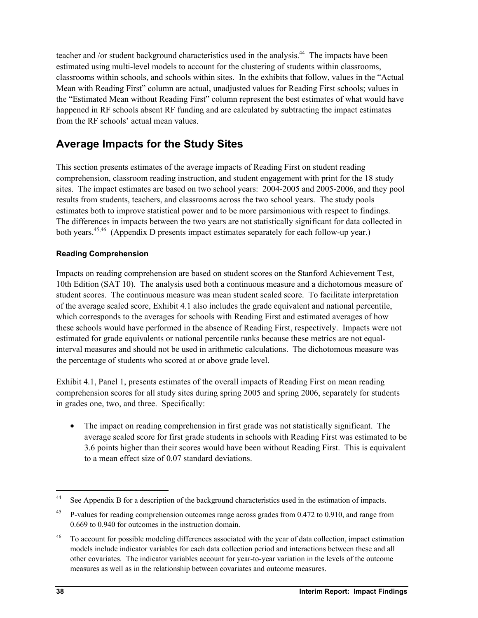teacher and /or student background characteristics used in the analysis.<sup>44</sup> The impacts have been estimated using multi-level models to account for the clustering of students within classrooms, classrooms within schools, and schools within sites. In the exhibits that follow, values in the "Actual Mean with Reading First" column are actual, unadjusted values for Reading First schools; values in the "Estimated Mean without Reading First" column represent the best estimates of what would have happened in RF schools absent RF funding and are calculated by subtracting the impact estimates from the RF schools' actual mean values.

# **Average Impacts for the Study Sites**

This section presents estimates of the average impacts of Reading First on student reading comprehension, classroom reading instruction, and student engagement with print for the 18 study sites. The impact estimates are based on two school years: 2004-2005 and 2005-2006, and they pool results from students, teachers, and classrooms across the two school years. The study pools estimates both to improve statistical power and to be more parsimonious with respect to findings. The differences in impacts between the two years are not statistically significant for data collected in both years.<sup>45,46</sup> (Appendix D presents impact estimates separately for each follow-up year.)

## **Reading Comprehension**

Impacts on reading comprehension are based on student scores on the Stanford Achievement Test, 10th Edition (SAT 10). The analysis used both a continuous measure and a dichotomous measure of student scores. The continuous measure was mean student scaled score. To facilitate interpretation of the average scaled score, Exhibit 4.1 also includes the grade equivalent and national percentile, which corresponds to the averages for schools with Reading First and estimated averages of how these schools would have performed in the absence of Reading First, respectively. Impacts were not estimated for grade equivalents or national percentile ranks because these metrics are not equalinterval measures and should not be used in arithmetic calculations. The dichotomous measure was the percentage of students who scored at or above grade level.

Exhibit 4.1, Panel 1, presents estimates of the overall impacts of Reading First on mean reading comprehension scores for all study sites during spring 2005 and spring 2006, separately for students in grades one, two, and three. Specifically:

• The impact on reading comprehension in first grade was not statistically significant. The average scaled score for first grade students in schools with Reading First was estimated to be 3.6 points higher than their scores would have been without Reading First. This is equivalent to a mean effect size of 0.07 standard deviations.

 $44$ See Appendix B for a description of the background characteristics used in the estimation of impacts.

<sup>&</sup>lt;sup>45</sup> P-values for reading comprehension outcomes range across grades from 0.472 to 0.910, and range from 0.669 to 0.940 for outcomes in the instruction domain.

<sup>&</sup>lt;sup>46</sup> To account for possible modeling differences associated with the year of data collection, impact estimation models include indicator variables for each data collection period and interactions between these and all other covariates. The indicator variables account for year-to-year variation in the levels of the outcome measures as well as in the relationship between covariates and outcome measures.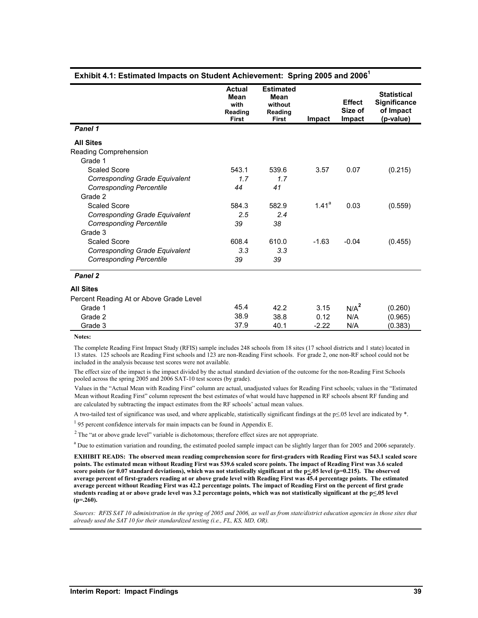|                                         | <b>Actual</b><br>Mean<br>with<br>Reading<br><b>First</b> | <b>Estimated</b><br>Mean<br>without<br>Reading<br><b>First</b> | Impact   | <b>Effect</b><br>Size of<br>Impact | <b>Statistical</b><br><b>Significance</b><br>of Impact<br>(p-value) |
|-----------------------------------------|----------------------------------------------------------|----------------------------------------------------------------|----------|------------------------------------|---------------------------------------------------------------------|
| Panel 1                                 |                                                          |                                                                |          |                                    |                                                                     |
| <b>All Sites</b>                        |                                                          |                                                                |          |                                    |                                                                     |
| Reading Comprehension                   |                                                          |                                                                |          |                                    |                                                                     |
| Grade 1                                 |                                                          |                                                                |          |                                    |                                                                     |
| Scaled Score                            | 543.1                                                    | 539.6                                                          | 3.57     | 0.07                               | (0.215)                                                             |
| Corresponding Grade Equivalent          | 1.7                                                      | 1.7                                                            |          |                                    |                                                                     |
| <b>Corresponding Percentile</b>         | 44                                                       | 41                                                             |          |                                    |                                                                     |
| Grade 2                                 |                                                          |                                                                |          |                                    |                                                                     |
| Scaled Score                            | 584.3                                                    | 582.9                                                          | $1.41^a$ | 0.03                               | (0.559)                                                             |
| Corresponding Grade Equivalent          | 2.5                                                      | 2.4                                                            |          |                                    |                                                                     |
| <b>Corresponding Percentile</b>         | 39                                                       | 38                                                             |          |                                    |                                                                     |
| Grade 3                                 |                                                          |                                                                |          |                                    |                                                                     |
| <b>Scaled Score</b>                     | 608.4                                                    | 610.0                                                          | $-1.63$  | $-0.04$                            | (0.455)                                                             |
| Corresponding Grade Equivalent          | 3.3                                                      | 3.3                                                            |          |                                    |                                                                     |
| <b>Corresponding Percentile</b>         | 39                                                       | 39                                                             |          |                                    |                                                                     |
| Panel 2                                 |                                                          |                                                                |          |                                    |                                                                     |
| All Sites                               |                                                          |                                                                |          |                                    |                                                                     |
| Percent Reading At or Above Grade Level |                                                          |                                                                |          |                                    |                                                                     |
| Grade 1                                 | 45.4                                                     | 42.2                                                           | 3.15     | N/A <sup>2</sup>                   | (0.260)                                                             |
| Grade 2                                 | 38.9                                                     | 38.8                                                           | 0.12     | N/A                                | (0.965)                                                             |
| Grade 3                                 | 37.9                                                     | 40.1                                                           | $-2.22$  | N/A                                | (0.383)                                                             |

#### **Exhibit 4.1: Estimated Impacts on Student Achievement: Spring 2005 and 2006<sup>1</sup>**

The complete Reading First Impact Study (RFIS) sample includes 248 schools from 18 sites (17 school districts and 1 state) located in 13 states. 125 schools are Reading First schools and 123 are non-Reading First schools. For grade 2, one non-RF school could not be included in the analysis because test scores were not available.

The effect size of the impact is the impact divided by the actual standard deviation of the outcome for the non-Reading First Schools pooled across the spring 2005 and 2006 SAT-10 test scores (by grade).

Values in the "Actual Mean with Reading First" column are actual, unadjusted values for Reading First schools; values in the "Estimated Mean without Reading First" column represent the best estimates of what would have happened in RF schools absent RF funding and are calculated by subtracting the impact estimates from the RF schools' actual mean values.

A two-tailed test of significance was used, and where applicable, statistically significant findings at the p≤.05 level are indicated by \*.

<sup>1</sup> 95 percent confidence intervals for main impacts can be found in Appendix E.

<sup>2</sup> The "at or above grade level" variable is dichotomous; therefore effect sizes are not appropriate.

<sup>a</sup> Due to estimation variation and rounding, the estimated pooled sample impact can be slightly larger than for 2005 and 2006 separately.

**EXHIBIT READS: The observed mean reading comprehension score for first-graders with Reading First was 543.1 scaled score points. The estimated mean without Reading First was 539.6 scaled score points. The impact of Reading First was 3.6 scaled**  score points (or 0.07 standard deviations), which was not statistically significant at the p<05 level (p=0.215). The observed **average percent of first-graders reading at or above grade level with Reading First was 45.4 percentage points. The estimated average percent without Reading First was 42.2 percentage points. The impact of Reading First on the percent of first grade**  students reading at or above grade level was 3.2 percentage points, which was not statistically significant at the p $\leq 05$  level **(p=.260).**

*Sources: RFIS SAT 10 administration in the spring of 2005 and 2006, as well as from state/district education agencies in those sites that already used the SAT 10 for their standardized testing (i.e., FL, KS, MD, OR).* 

**Notes:**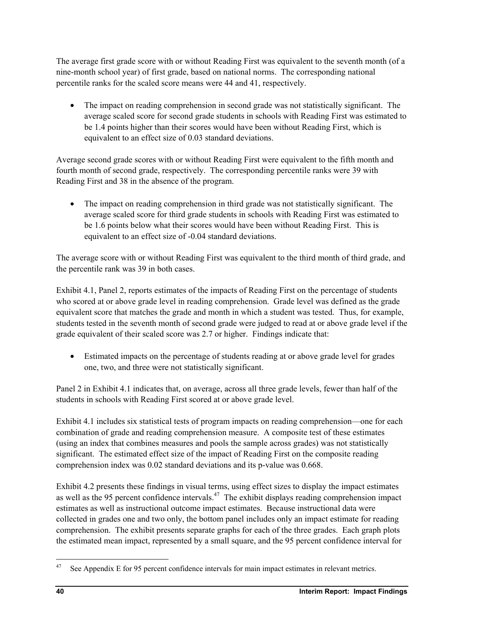The average first grade score with or without Reading First was equivalent to the seventh month (of a nine-month school year) of first grade, based on national norms. The corresponding national percentile ranks for the scaled score means were 44 and 41, respectively.

• The impact on reading comprehension in second grade was not statistically significant. The average scaled score for second grade students in schools with Reading First was estimated to be 1.4 points higher than their scores would have been without Reading First, which is equivalent to an effect size of 0.03 standard deviations.

Average second grade scores with or without Reading First were equivalent to the fifth month and fourth month of second grade, respectively. The corresponding percentile ranks were 39 with Reading First and 38 in the absence of the program.

• The impact on reading comprehension in third grade was not statistically significant. The average scaled score for third grade students in schools with Reading First was estimated to be 1.6 points below what their scores would have been without Reading First. This is equivalent to an effect size of -0.04 standard deviations.

The average score with or without Reading First was equivalent to the third month of third grade, and the percentile rank was 39 in both cases.

Exhibit 4.1, Panel 2, reports estimates of the impacts of Reading First on the percentage of students who scored at or above grade level in reading comprehension. Grade level was defined as the grade equivalent score that matches the grade and month in which a student was tested. Thus, for example, students tested in the seventh month of second grade were judged to read at or above grade level if the grade equivalent of their scaled score was 2.7 or higher. Findings indicate that:

• Estimated impacts on the percentage of students reading at or above grade level for grades one, two, and three were not statistically significant.

Panel 2 in Exhibit 4.1 indicates that, on average, across all three grade levels, fewer than half of the students in schools with Reading First scored at or above grade level.

Exhibit 4.1 includes six statistical tests of program impacts on reading comprehension—one for each combination of grade and reading comprehension measure. A composite test of these estimates (using an index that combines measures and pools the sample across grades) was not statistically significant. The estimated effect size of the impact of Reading First on the composite reading comprehension index was 0.02 standard deviations and its p-value was 0.668.

Exhibit 4.2 presents these findings in visual terms, using effect sizes to display the impact estimates as well as the 95 percent confidence intervals.<sup>47</sup> The exhibit displays reading comprehension impact estimates as well as instructional outcome impact estimates. Because instructional data were collected in grades one and two only, the bottom panel includes only an impact estimate for reading comprehension. The exhibit presents separate graphs for each of the three grades. Each graph plots the estimated mean impact, represented by a small square, and the 95 percent confidence interval for

1

<sup>&</sup>lt;sup>47</sup> See Appendix E for 95 percent confidence intervals for main impact estimates in relevant metrics.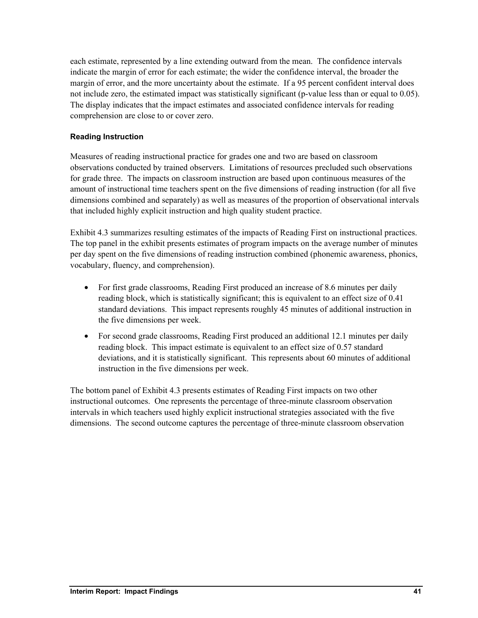each estimate, represented by a line extending outward from the mean. The confidence intervals indicate the margin of error for each estimate; the wider the confidence interval, the broader the margin of error, and the more uncertainty about the estimate. If a 95 percent confident interval does not include zero, the estimated impact was statistically significant (p-value less than or equal to 0.05). The display indicates that the impact estimates and associated confidence intervals for reading comprehension are close to or cover zero.

## **Reading Instruction**

Measures of reading instructional practice for grades one and two are based on classroom observations conducted by trained observers. Limitations of resources precluded such observations for grade three. The impacts on classroom instruction are based upon continuous measures of the amount of instructional time teachers spent on the five dimensions of reading instruction (for all five dimensions combined and separately) as well as measures of the proportion of observational intervals that included highly explicit instruction and high quality student practice.

Exhibit 4.3 summarizes resulting estimates of the impacts of Reading First on instructional practices. The top panel in the exhibit presents estimates of program impacts on the average number of minutes per day spent on the five dimensions of reading instruction combined (phonemic awareness, phonics, vocabulary, fluency, and comprehension).

- For first grade classrooms, Reading First produced an increase of 8.6 minutes per daily reading block, which is statistically significant; this is equivalent to an effect size of 0.41 standard deviations. This impact represents roughly 45 minutes of additional instruction in the five dimensions per week.
- For second grade classrooms, Reading First produced an additional 12.1 minutes per daily reading block. This impact estimate is equivalent to an effect size of 0.57 standard deviations, and it is statistically significant. This represents about 60 minutes of additional instruction in the five dimensions per week.

The bottom panel of Exhibit 4.3 presents estimates of Reading First impacts on two other instructional outcomes. One represents the percentage of three-minute classroom observation intervals in which teachers used highly explicit instructional strategies associated with the five dimensions. The second outcome captures the percentage of three-minute classroom observation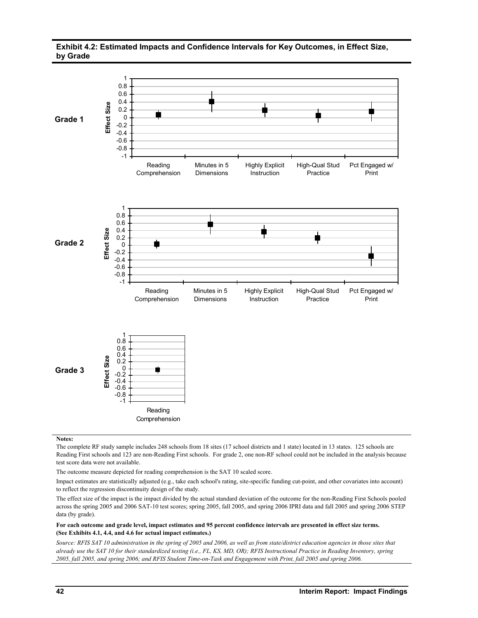#### **Exhibit 4.2: Estimated Impacts and Confidence Intervals for Key Outcomes, in Effect Size, by Grade**



**Notes:**

The complete RF study sample includes 248 schools from 18 sites (17 school districts and 1 state) located in 13 states. 125 schools are Reading First schools and 123 are non-Reading First schools. For grade 2, one non-RF school could not be included in the analysis because test score data were not available.

The outcome measure depicted for reading comprehension is the SAT 10 scaled score.

Impact estimates are statistically adjusted (e.g., take each school's rating, site-specific funding cut-point, and other covariates into account) to reflect the regression discontinuity design of the study.

The effect size of the impact is the impact divided by the actual standard deviation of the outcome for the non-Reading First Schools pooled across the spring 2005 and 2006 SAT-10 test scores; spring 2005, fall 2005, and spring 2006 IPRI data and fall 2005 and spring 2006 STEP data (by grade).

#### **For each outcome and grade level, impact estimates and 95 percent confidence intervals are presented in effect size terms. (See Exhibits 4.1, 4.4, and 4.6 for actual impact estimates.)**

*Source: RFIS SAT 10 administration in the spring of 2005 and 2006, as well as from state/district education agencies in those sites that already use the SAT 10 for their standardized testing (i.e., FL, KS, MD, OR); RFIS Instructional Practice in Reading Inventory, spring 2005, fall 2005, and spring 2006; and RFIS Student Time-on-Task and Engagement with Print, fall 2005 and spring 2006.*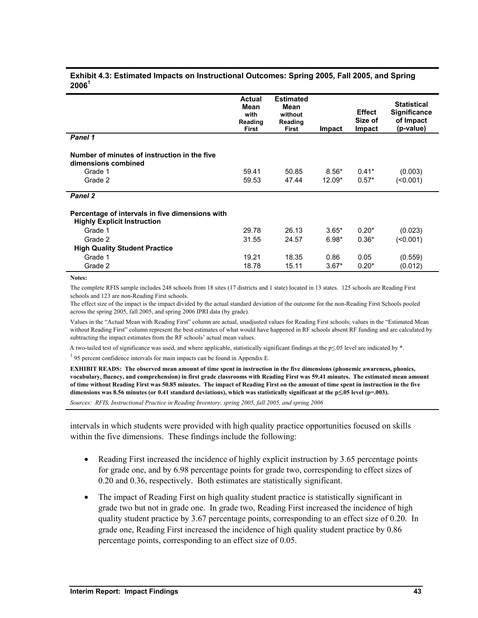| <b>Actual</b><br>Mean<br>with<br>Reading<br><b>First</b> | <b>Estimated</b><br>Mean<br>without<br>Reading<br><b>First</b> | <b>Impact</b> | <b>Effect</b><br>Size of<br>Impact | <b>Statistical</b><br><b>Significance</b><br>of Impact<br>(p-value) |
|----------------------------------------------------------|----------------------------------------------------------------|---------------|------------------------------------|---------------------------------------------------------------------|
|                                                          |                                                                |               |                                    |                                                                     |
|                                                          |                                                                |               |                                    |                                                                     |
| 59.41                                                    | 50.85                                                          | $8.56*$       | $0.41*$                            | (0.003)                                                             |
| 59.53                                                    | 47.44                                                          | 12.09*        | $0.57*$                            | (50.001)                                                            |
|                                                          |                                                                |               |                                    |                                                                     |
|                                                          |                                                                |               |                                    |                                                                     |
| 29.78                                                    | 26.13                                                          | $3.65*$       | $0.20*$                            | (0.023)                                                             |
| 31.55                                                    | 24.57                                                          | $6.98*$       | $0.36*$                            | (0.001)                                                             |
|                                                          |                                                                |               |                                    |                                                                     |
| 19.21                                                    | 18.35                                                          | 0.86          | 0.05                               | (0.559)                                                             |
| 18.78                                                    | 15.11                                                          | $3.67*$       | $0.20*$                            | (0.012)                                                             |
|                                                          |                                                                |               |                                    |                                                                     |

#### **Exhibit 4.3: Estimated Impacts on Instructional Outcomes: Spring 2005, Fall 2005, and Spring 2006<sup>1</sup>**

**Notes:** 

The complete RFIS sample includes 248 schools from 18 sites (17 districts and 1 state) located in 13 states. 125 schools are Reading First schools and 123 are non-Reading First schools.

The effect size of the impact is the impact divided by the actual standard deviation of the outcome for the non-Reading First Schools pooled across the spring 2005, fall 2005, and spring 2006 IPRI data (by grade).

Values in the "Actual Mean with Reading First" column are actual, unadjusted values for Reading First schools; values in the "Estimated Mean without Reading First" column represent the best estimates of what would have happened in RF schools absent RF funding and are calculated by subtracting the impact estimates from the RF schools' actual mean values.

A two-tailed test of significance was used, and where applicable, statistically significant findings at the p≤.05 level are indicated by \*.

 $195$  percent confidence intervals for main impacts can be found in Appendix E.

**EXHIBIT READS: The observed mean amount of time spent in instruction in the five dimensions (phonemic awareness, phonics, vocabulary, fluency, and comprehension) in first grade classrooms with Reading First was 59.41 minutes. The estimated mean amount of time without Reading First was 50.85 minutes. The impact of Reading First on the amount of time spent in instruction in the five dimensions was 8.56 minutes (or 0.41 standard deviations), which was statistically significant at the p≤.05 level (p=.003).** 

*Sources: RFIS, Instructional Practice in Reading Inventory, spring 2005, fall 2005, and spring 2006* 

intervals in which students were provided with high quality practice opportunities focused on skills within the five dimensions. These findings include the following:

- Reading First increased the incidence of highly explicit instruction by 3.65 percentage points for grade one, and by 6.98 percentage points for grade two, corresponding to effect sizes of 0.20 and 0.36, respectively. Both estimates are statistically significant.
- The impact of Reading First on high quality student practice is statistically significant in grade two but not in grade one. In grade two, Reading First increased the incidence of high quality student practice by 3.67 percentage points, corresponding to an effect size of 0.20. In grade one, Reading First increased the incidence of high quality student practice by 0.86 percentage points, corresponding to an effect size of 0.05.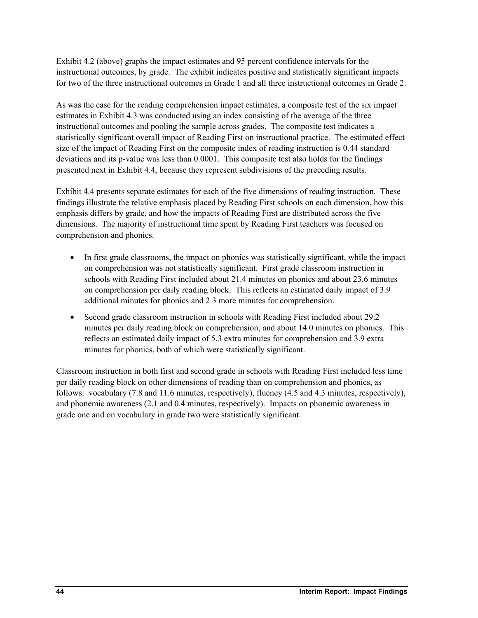Exhibit 4.2 (above) graphs the impact estimates and 95 percent confidence intervals for the instructional outcomes, by grade. The exhibit indicates positive and statistically significant impacts for two of the three instructional outcomes in Grade 1 and all three instructional outcomes in Grade 2.

As was the case for the reading comprehension impact estimates, a composite test of the six impact estimates in Exhibit 4.3 was conducted using an index consisting of the average of the three instructional outcomes and pooling the sample across grades. The composite test indicates a statistically significant overall impact of Reading First on instructional practice. The estimated effect size of the impact of Reading First on the composite index of reading instruction is 0.44 standard deviations and its p-value was less than 0.0001. This composite test also holds for the findings presented next in Exhibit 4.4, because they represent subdivisions of the preceding results.

Exhibit 4.4 presents separate estimates for each of the five dimensions of reading instruction. These findings illustrate the relative emphasis placed by Reading First schools on each dimension, how this emphasis differs by grade, and how the impacts of Reading First are distributed across the five dimensions. The majority of instructional time spent by Reading First teachers was focused on comprehension and phonics.

- In first grade classrooms, the impact on phonics was statistically significant, while the impact on comprehension was not statistically significant. First grade classroom instruction in schools with Reading First included about 21.4 minutes on phonics and about 23.6 minutes on comprehension per daily reading block. This reflects an estimated daily impact of 3.9 additional minutes for phonics and 2.3 more minutes for comprehension.
- Second grade classroom instruction in schools with Reading First included about 29.2 minutes per daily reading block on comprehension, and about 14.0 minutes on phonics. This reflects an estimated daily impact of 5.3 extra minutes for comprehension and 3.9 extra minutes for phonics, both of which were statistically significant.

Classroom instruction in both first and second grade in schools with Reading First included less time per daily reading block on other dimensions of reading than on comprehension and phonics, as follows: vocabulary (7.8 and 11.6 minutes, respectively), fluency (4.5 and 4.3 minutes, respectively), and phonemic awareness (2.1 and 0.4 minutes, respectively). Impacts on phonemic awareness in grade one and on vocabulary in grade two were statistically significant.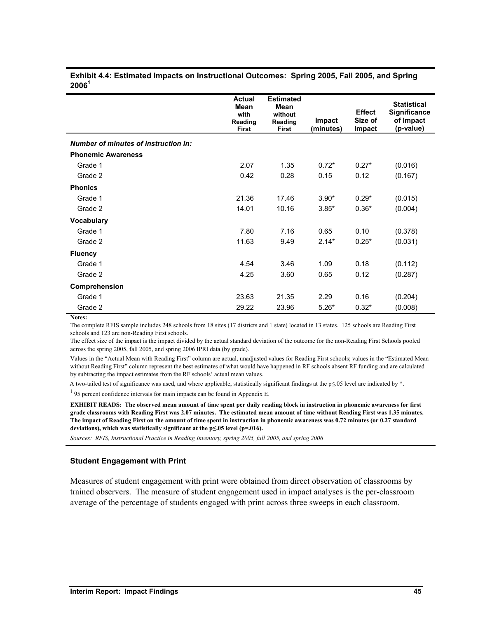|                                      | <b>Actual</b><br><b>Mean</b><br>with<br>Reading<br><b>First</b> | <b>Estimated</b><br>Mean<br>without<br>Reading<br><b>First</b> | Impact<br>(minutes) | <b>Effect</b><br>Size of<br><b>Impact</b> | <b>Statistical</b><br><b>Significance</b><br>of Impact<br>(p-value) |
|--------------------------------------|-----------------------------------------------------------------|----------------------------------------------------------------|---------------------|-------------------------------------------|---------------------------------------------------------------------|
| Number of minutes of instruction in: |                                                                 |                                                                |                     |                                           |                                                                     |
| <b>Phonemic Awareness</b>            |                                                                 |                                                                |                     |                                           |                                                                     |
| Grade 1                              | 2.07                                                            | 1.35                                                           | $0.72*$             | $0.27*$                                   | (0.016)                                                             |
| Grade 2                              | 0.42                                                            | 0.28                                                           | 0.15                | 0.12                                      | (0.167)                                                             |
| <b>Phonics</b>                       |                                                                 |                                                                |                     |                                           |                                                                     |
| Grade 1                              | 21.36                                                           | 17.46                                                          | $3.90*$             | $0.29*$                                   | (0.015)                                                             |
| Grade 2                              | 14.01                                                           | 10.16                                                          | $3.85*$             | $0.36*$                                   | (0.004)                                                             |
| <b>Vocabulary</b>                    |                                                                 |                                                                |                     |                                           |                                                                     |
| Grade 1                              | 7.80                                                            | 7.16                                                           | 0.65                | 0.10                                      | (0.378)                                                             |
| Grade 2                              | 11.63                                                           | 9.49                                                           | $2.14*$             | $0.25*$                                   | (0.031)                                                             |
| <b>Fluency</b>                       |                                                                 |                                                                |                     |                                           |                                                                     |
| Grade 1                              | 4.54                                                            | 3.46                                                           | 1.09                | 0.18                                      | (0.112)                                                             |
| Grade 2                              | 4.25                                                            | 3.60                                                           | 0.65                | 0.12                                      | (0.287)                                                             |
| Comprehension                        |                                                                 |                                                                |                     |                                           |                                                                     |
| Grade 1                              | 23.63                                                           | 21.35                                                          | 2.29                | 0.16                                      | (0.204)                                                             |
| Grade 2                              | 29.22                                                           | 23.96                                                          | $5.26*$             | $0.32*$                                   | (0.008)                                                             |

#### **Exhibit 4.4: Estimated Impacts on Instructional Outcomes: Spring 2005, Fall 2005, and Spring 2006<sup>1</sup>**

#### **Notes:**

The complete RFIS sample includes 248 schools from 18 sites (17 districts and 1 state) located in 13 states. 125 schools are Reading First schools and 123 are non-Reading First schools.

The effect size of the impact is the impact divided by the actual standard deviation of the outcome for the non-Reading First Schools pooled across the spring 2005, fall 2005, and spring 2006 IPRI data (by grade).

Values in the "Actual Mean with Reading First" column are actual, unadjusted values for Reading First schools; values in the "Estimated Mean without Reading First" column represent the best estimates of what would have happened in RF schools absent RF funding and are calculated by subtracting the impact estimates from the RF schools' actual mean values.

A two-tailed test of significance was used, and where applicable, statistically significant findings at the p≤.05 level are indicated by \*.

<sup>1</sup> 95 percent confidence intervals for main impacts can be found in Appendix E.

**EXHIBIT READS: The observed mean amount of time spent per daily reading block in instruction in phonemic awareness for first grade classrooms with Reading First was 2.07 minutes. The estimated mean amount of time without Reading First was 1.35 minutes. The impact of Reading First on the amount of time spent in instruction in phonemic awareness was 0.72 minutes (or 0.27 standard deviations), which was statistically significant at the p≤.05 level (p=.016).** 

*Sources: RFIS, Instructional Practice in Reading Inventory, spring 2005, fall 2005, and spring 2006* 

#### **Student Engagement with Print**

Measures of student engagement with print were obtained from direct observation of classrooms by trained observers. The measure of student engagement used in impact analyses is the per-classroom average of the percentage of students engaged with print across three sweeps in each classroom.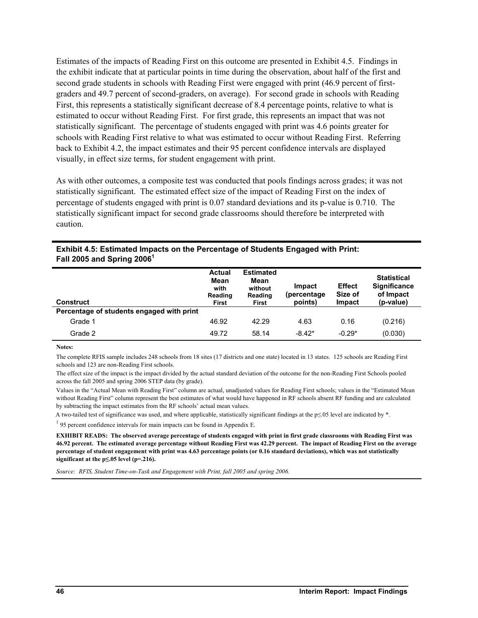Estimates of the impacts of Reading First on this outcome are presented in Exhibit 4.5. Findings in the exhibit indicate that at particular points in time during the observation, about half of the first and second grade students in schools with Reading First were engaged with print (46.9 percent of firstgraders and 49.7 percent of second-graders, on average). For second grade in schools with Reading First, this represents a statistically significant decrease of 8.4 percentage points, relative to what is estimated to occur without Reading First. For first grade, this represents an impact that was not statistically significant. The percentage of students engaged with print was 4.6 points greater for schools with Reading First relative to what was estimated to occur without Reading First. Referring back to Exhibit 4.2, the impact estimates and their 95 percent confidence intervals are displayed visually, in effect size terms, for student engagement with print.

As with other outcomes, a composite test was conducted that pools findings across grades; it was not statistically significant. The estimated effect size of the impact of Reading First on the index of percentage of students engaged with print is 0.07 standard deviations and its p-value is 0.710. The statistically significant impact for second grade classrooms should therefore be interpreted with caution.

| <b>Construct</b>                          | <b>Actual</b><br>Mean<br>with<br>Reading<br><b>First</b> | <b>Estimated</b><br>Mean<br>without<br>Reading<br><b>First</b> | Impact<br>(percentage)<br>points) | <b>Effect</b><br>Size of<br>Impact | <b>Statistical</b><br><b>Significance</b><br>of Impact<br>(p-value) |
|-------------------------------------------|----------------------------------------------------------|----------------------------------------------------------------|-----------------------------------|------------------------------------|---------------------------------------------------------------------|
| Percentage of students engaged with print |                                                          |                                                                |                                   |                                    |                                                                     |
| Grade 1                                   | 46.92                                                    | 42.29                                                          | 4.63                              | 0.16                               | (0.216)                                                             |
| Grade 2                                   | 49.72                                                    | 58.14                                                          | $-8.42*$                          | $-0.29*$                           | (0.030)                                                             |

#### **Exhibit 4.5: Estimated Impacts on the Percentage of Students Engaged with Print: Fall 2005 and Spring 2006<sup>1</sup>**

**Notes:** 

The complete RFIS sample includes 248 schools from 18 sites (17 districts and one state) located in 13 states. 125 schools are Reading First schools and 123 are non-Reading First schools.

The effect size of the impact is the impact divided by the actual standard deviation of the outcome for the non-Reading First Schools pooled across the fall 2005 and spring 2006 STEP data (by grade).

Values in the "Actual Mean with Reading First" column are actual, unadjusted values for Reading First schools; values in the "Estimated Mean without Reading First" column represent the best estimates of what would have happened in RF schools absent RF funding and are calculated by subtracting the impact estimates from the RF schools' actual mean values.

A two-tailed test of significance was used, and where applicable, statistically significant findings at the p≤.05 level are indicated by \*.

 $195$  percent confidence intervals for main impacts can be found in Appendix E.

**EXHIBIT READS: The observed average percentage of students engaged with print in first grade classrooms with Reading First was 46.92 percent. The estimated average percentage without Reading First was 42.29 percent. The impact of Reading First on the average percentage of student engagement with print was 4.63 percentage points (or 0.16 standard deviations), which was not statistically significant at the p≤.05 level (p=.216).** 

*Source: RFIS, Student Time-on-Task and Engagement with Print, fall 2005 and spring 2006.*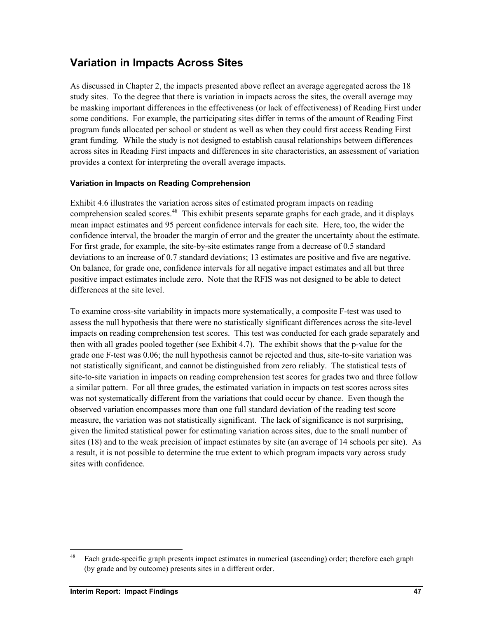## **Variation in Impacts Across Sites**

As discussed in Chapter 2, the impacts presented above reflect an average aggregated across the 18 study sites. To the degree that there is variation in impacts across the sites, the overall average may be masking important differences in the effectiveness (or lack of effectiveness) of Reading First under some conditions. For example, the participating sites differ in terms of the amount of Reading First program funds allocated per school or student as well as when they could first access Reading First grant funding. While the study is not designed to establish causal relationships between differences across sites in Reading First impacts and differences in site characteristics, an assessment of variation provides a context for interpreting the overall average impacts.

## **Variation in Impacts on Reading Comprehension**

Exhibit 4.6 illustrates the variation across sites of estimated program impacts on reading comprehension scaled scores.<sup>48</sup> This exhibit presents separate graphs for each grade, and it displays mean impact estimates and 95 percent confidence intervals for each site. Here, too, the wider the confidence interval, the broader the margin of error and the greater the uncertainty about the estimate. For first grade, for example, the site-by-site estimates range from a decrease of 0.5 standard deviations to an increase of 0.7 standard deviations; 13 estimates are positive and five are negative. On balance, for grade one, confidence intervals for all negative impact estimates and all but three positive impact estimates include zero. Note that the RFIS was not designed to be able to detect differences at the site level.

To examine cross-site variability in impacts more systematically, a composite F-test was used to assess the null hypothesis that there were no statistically significant differences across the site-level impacts on reading comprehension test scores. This test was conducted for each grade separately and then with all grades pooled together (see Exhibit 4.7). The exhibit shows that the p-value for the grade one F-test was 0.06; the null hypothesis cannot be rejected and thus, site-to-site variation was not statistically significant, and cannot be distinguished from zero reliably. The statistical tests of site-to-site variation in impacts on reading comprehension test scores for grades two and three follow a similar pattern. For all three grades, the estimated variation in impacts on test scores across sites was not systematically different from the variations that could occur by chance. Even though the observed variation encompasses more than one full standard deviation of the reading test score measure, the variation was not statistically significant. The lack of significance is not surprising, given the limited statistical power for estimating variation across sites, due to the small number of sites (18) and to the weak precision of impact estimates by site (an average of 14 schools per site). As a result, it is not possible to determine the true extent to which program impacts vary across study sites with confidence.

1

<sup>&</sup>lt;sup>48</sup> Each grade-specific graph presents impact estimates in numerical (ascending) order; therefore each graph (by grade and by outcome) presents sites in a different order.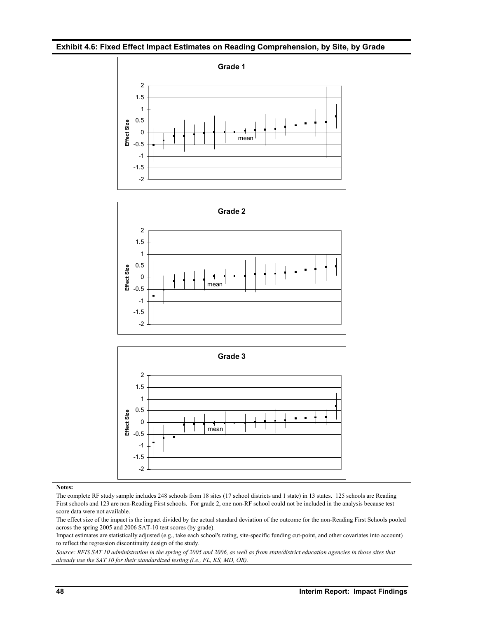#### **Exhibit 4.6: Fixed Effect Impact Estimates on Reading Comprehension, by Site, by Grade**







#### **Notes:**

The complete RF study sample includes 248 schools from 18 sites (17 school districts and 1 state) in 13 states. 125 schools are Reading First schools and 123 are non-Reading First schools. For grade 2, one non-RF school could not be included in the analysis because test score data were not available.

The effect size of the impact is the impact divided by the actual standard deviation of the outcome for the non-Reading First Schools pooled across the spring 2005 and 2006 SAT-10 test scores (by grade).

Impact estimates are statistically adjusted (e.g., take each school's rating, site-specific funding cut-point, and other covariates into account) to reflect the regression discontinuity design of the study.

*Source: RFIS SAT 10 administration in the spring of 2005 and 2006, as well as from state/district education agencies in those sites that already use the SAT 10 for their standardized testing (i.e., FL, KS, MD, OR).*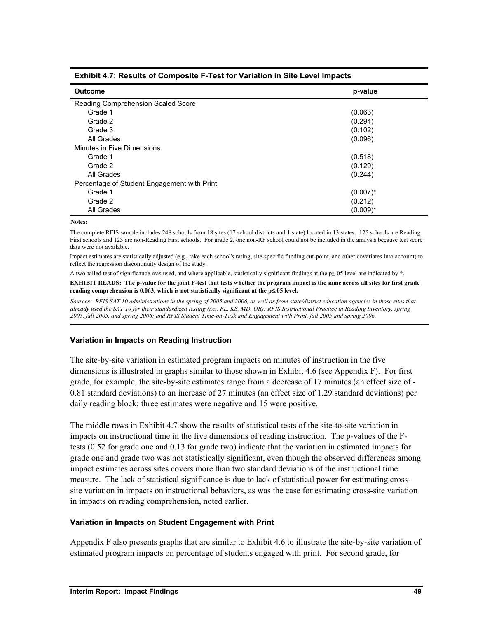| <b>Outcome</b>                              | p-value     |
|---------------------------------------------|-------------|
| Reading Comprehension Scaled Score          |             |
| Grade 1                                     | (0.063)     |
| Grade 2                                     | (0.294)     |
| Grade 3                                     | (0.102)     |
| All Grades                                  | (0.096)     |
| Minutes in Five Dimensions                  |             |
| Grade 1                                     | (0.518)     |
| Grade 2                                     | (0.129)     |
| All Grades                                  | (0.244)     |
| Percentage of Student Engagement with Print |             |
| Grade 1                                     | $(0.007)^*$ |
| Grade 2                                     | (0.212)     |
| All Grades                                  | $(0.009)^*$ |

### **Exhibit 4.7: Results of Composite F-Test for Variation in Site Level Impacts**

#### **Notes:**

The complete RFIS sample includes 248 schools from 18 sites (17 school districts and 1 state) located in 13 states. 125 schools are Reading First schools and 123 are non-Reading First schools. For grade 2, one non-RF school could not be included in the analysis because test score data were not available.

Impact estimates are statistically adjusted (e.g., take each school's rating, site-specific funding cut-point, and other covariates into account) to reflect the regression discontinuity design of the study.

A two-tailed test of significance was used, and where applicable, statistically significant findings at the p≤.05 level are indicated by \*.

**EXHIBIT READS: The p-value for the joint F-test that tests whether the program impact is the same across all sites for first grade reading comprehension is 0.063, which is not statistically significant at the p**≤**.05 level.**

*Sources: RFIS SAT 10 administrations in the spring of 2005 and 2006, as well as from state/district education agencies in those sites that already used the SAT 10 for their standardized testing (i.e., FL, KS, MD, OR); RFIS Instructional Practice in Reading Inventory, spring 2005, fall 2005, and spring 2006; and RFIS Student Time-on-Task and Engagement with Print, fall 2005 and spring 2006.* 

### **Variation in Impacts on Reading Instruction**

The site-by-site variation in estimated program impacts on minutes of instruction in the five dimensions is illustrated in graphs similar to those shown in Exhibit 4.6 (see Appendix F). For first grade, for example, the site-by-site estimates range from a decrease of 17 minutes (an effect size of - 0.81 standard deviations) to an increase of 27 minutes (an effect size of 1.29 standard deviations) per daily reading block; three estimates were negative and 15 were positive.

The middle rows in Exhibit 4.7 show the results of statistical tests of the site-to-site variation in impacts on instructional time in the five dimensions of reading instruction. The p-values of the Ftests (0.52 for grade one and 0.13 for grade two) indicate that the variation in estimated impacts for grade one and grade two was not statistically significant, even though the observed differences among impact estimates across sites covers more than two standard deviations of the instructional time measure. The lack of statistical significance is due to lack of statistical power for estimating crosssite variation in impacts on instructional behaviors, as was the case for estimating cross-site variation in impacts on reading comprehension, noted earlier.

### **Variation in Impacts on Student Engagement with Print**

Appendix F also presents graphs that are similar to Exhibit 4.6 to illustrate the site-by-site variation of estimated program impacts on percentage of students engaged with print. For second grade, for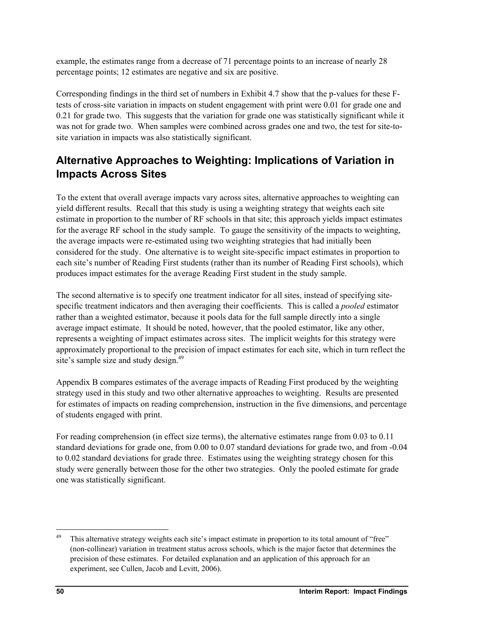example, the estimates range from a decrease of 71 percentage points to an increase of nearly 28 percentage points; 12 estimates are negative and six are positive.

Corresponding findings in the third set of numbers in Exhibit 4.7 show that the p-values for these Ftests of cross-site variation in impacts on student engagement with print were 0.01 for grade one and 0.21 for grade two. This suggests that the variation for grade one was statistically significant while it was not for grade two. When samples were combined across grades one and two, the test for site-tosite variation in impacts was also statistically significant.

# **Alternative Approaches to Weighting: Implications of Variation in Impacts Across Sites**

To the extent that overall average impacts vary across sites, alternative approaches to weighting can yield different results. Recall that this study is using a weighting strategy that weights each site estimate in proportion to the number of RF schools in that site; this approach yields impact estimates for the average RF school in the study sample. To gauge the sensitivity of the impacts to weighting, the average impacts were re-estimated using two weighting strategies that had initially been considered for the study. One alternative is to weight site-specific impact estimates in proportion to each site's number of Reading First students (rather than its number of Reading First schools), which produces impact estimates for the average Reading First student in the study sample.

The second alternative is to specify one treatment indicator for all sites, instead of specifying sitespecific treatment indicators and then averaging their coefficients. This is called a *pooled* estimator rather than a weighted estimator, because it pools data for the full sample directly into a single average impact estimate. It should be noted, however, that the pooled estimator, like any other, represents a weighting of impact estimates across sites. The implicit weights for this strategy were approximately proportional to the precision of impact estimates for each site, which in turn reflect the site's sample size and study design.<sup>49</sup>

Appendix B compares estimates of the average impacts of Reading First produced by the weighting strategy used in this study and two other alternative approaches to weighting. Results are presented for estimates of impacts on reading comprehension, instruction in the five dimensions, and percentage of students engaged with print.

For reading comprehension (in effect size terms), the alternative estimates range from 0.03 to 0.11 standard deviations for grade one, from 0.00 to 0.07 standard deviations for grade two, and from -0.04 to 0.02 standard deviations for grade three. Estimates using the weighting strategy chosen for this study were generally between those for the other two strategies. Only the pooled estimate for grade one was statistically significant.

1

<sup>&</sup>lt;sup>49</sup> This alternative strategy weights each site's impact estimate in proportion to its total amount of "free" (non-collinear) variation in treatment status across schools, which is the major factor that determines the precision of these estimates. For detailed explanation and an application of this approach for an experiment, see Cullen, Jacob and Levitt, 2006).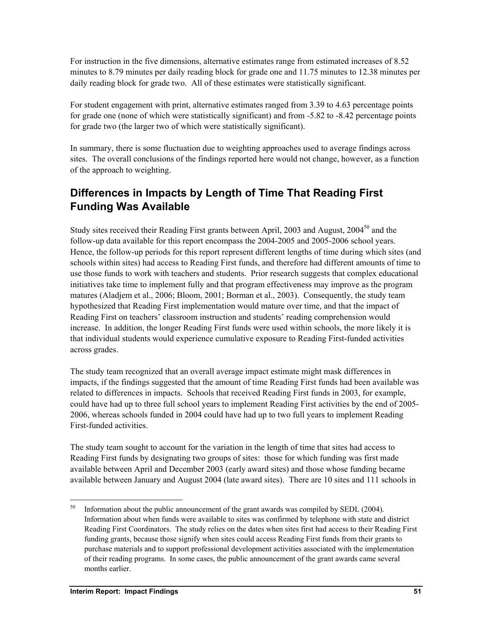For instruction in the five dimensions, alternative estimates range from estimated increases of 8.52 minutes to 8.79 minutes per daily reading block for grade one and 11.75 minutes to 12.38 minutes per daily reading block for grade two. All of these estimates were statistically significant.

For student engagement with print, alternative estimates ranged from 3.39 to 4.63 percentage points for grade one (none of which were statistically significant) and from -5.82 to -8.42 percentage points for grade two (the larger two of which were statistically significant).

In summary, there is some fluctuation due to weighting approaches used to average findings across sites. The overall conclusions of the findings reported here would not change, however, as a function of the approach to weighting.

# **Differences in Impacts by Length of Time That Reading First Funding Was Available**

Study sites received their Reading First grants between April, 2003 and August, 2004<sup>50</sup> and the follow-up data available for this report encompass the 2004-2005 and 2005-2006 school years. Hence, the follow-up periods for this report represent different lengths of time during which sites (and schools within sites) had access to Reading First funds, and therefore had different amounts of time to use those funds to work with teachers and students. Prior research suggests that complex educational initiatives take time to implement fully and that program effectiveness may improve as the program matures (Aladjem et al., 2006; Bloom, 2001; Borman et al., 2003). Consequently, the study team hypothesized that Reading First implementation would mature over time, and that the impact of Reading First on teachers' classroom instruction and students' reading comprehension would increase. In addition, the longer Reading First funds were used within schools, the more likely it is that individual students would experience cumulative exposure to Reading First-funded activities across grades.

The study team recognized that an overall average impact estimate might mask differences in impacts, if the findings suggested that the amount of time Reading First funds had been available was related to differences in impacts. Schools that received Reading First funds in 2003, for example, could have had up to three full school years to implement Reading First activities by the end of 2005- 2006, whereas schools funded in 2004 could have had up to two full years to implement Reading First-funded activities.

The study team sought to account for the variation in the length of time that sites had access to Reading First funds by designating two groups of sites: those for which funding was first made available between April and December 2003 (early award sites) and those whose funding became available between January and August 2004 (late award sites). There are 10 sites and 111 schools in

l

 $50$  Information about the public announcement of the grant awards was compiled by SEDL (2004). Information about when funds were available to sites was confirmed by telephone with state and district Reading First Coordinators. The study relies on the dates when sites first had access to their Reading First funding grants, because those signify when sites could access Reading First funds from their grants to purchase materials and to support professional development activities associated with the implementation of their reading programs. In some cases, the public announcement of the grant awards came several months earlier.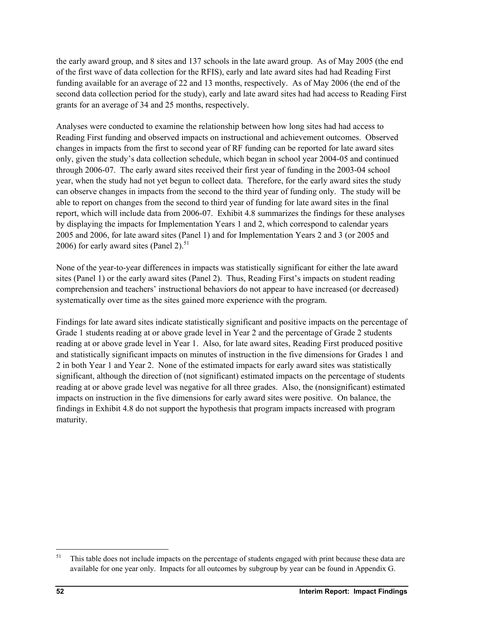the early award group, and 8 sites and 137 schools in the late award group. As of May 2005 (the end of the first wave of data collection for the RFIS), early and late award sites had had Reading First funding available for an average of 22 and 13 months, respectively. As of May 2006 (the end of the second data collection period for the study), early and late award sites had had access to Reading First grants for an average of 34 and 25 months, respectively.

Analyses were conducted to examine the relationship between how long sites had had access to Reading First funding and observed impacts on instructional and achievement outcomes. Observed changes in impacts from the first to second year of RF funding can be reported for late award sites only, given the study's data collection schedule, which began in school year 2004-05 and continued through 2006-07. The early award sites received their first year of funding in the 2003-04 school year, when the study had not yet begun to collect data. Therefore, for the early award sites the study can observe changes in impacts from the second to the third year of funding only. The study will be able to report on changes from the second to third year of funding for late award sites in the final report, which will include data from 2006-07. Exhibit 4.8 summarizes the findings for these analyses by displaying the impacts for Implementation Years 1 and 2, which correspond to calendar years 2005 and 2006, for late award sites (Panel 1) and for Implementation Years 2 and 3 (or 2005 and 2006) for early award sites (Panel 2). $51$ 

None of the year-to-year differences in impacts was statistically significant for either the late award sites (Panel 1) or the early award sites (Panel 2). Thus, Reading First's impacts on student reading comprehension and teachers' instructional behaviors do not appear to have increased (or decreased) systematically over time as the sites gained more experience with the program.

Findings for late award sites indicate statistically significant and positive impacts on the percentage of Grade 1 students reading at or above grade level in Year 2 and the percentage of Grade 2 students reading at or above grade level in Year 1. Also, for late award sites, Reading First produced positive and statistically significant impacts on minutes of instruction in the five dimensions for Grades 1 and 2 in both Year 1 and Year 2. None of the estimated impacts for early award sites was statistically significant, although the direction of (not significant) estimated impacts on the percentage of students reading at or above grade level was negative for all three grades. Also, the (nonsignificant) estimated impacts on instruction in the five dimensions for early award sites were positive. On balance, the findings in Exhibit 4.8 do not support the hypothesis that program impacts increased with program maturity.

l

<sup>&</sup>lt;sup>51</sup> This table does not include impacts on the percentage of students engaged with print because these data are available for one year only. Impacts for all outcomes by subgroup by year can be found in Appendix G.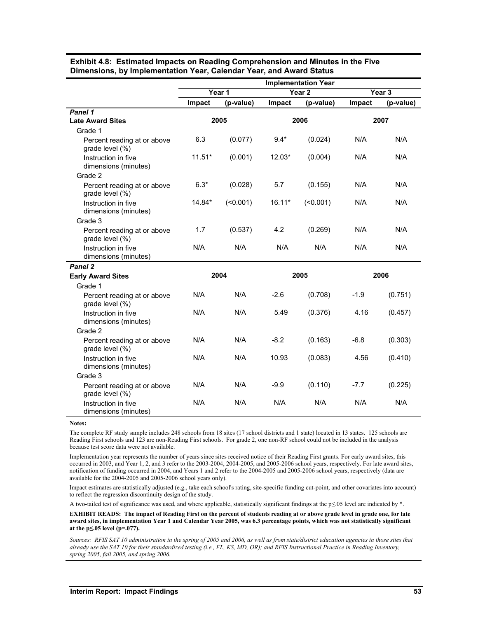|                                                |          |           |          | <b>Implementation Year</b> |        |                   |  |
|------------------------------------------------|----------|-----------|----------|----------------------------|--------|-------------------|--|
|                                                |          | Year 1    |          | Year <sub>2</sub>          |        | Year <sub>3</sub> |  |
|                                                | Impact   | (p-value) | Impact   | (p-value)                  | Impact | (p-value)         |  |
| Panel 1                                        |          |           |          |                            |        |                   |  |
| <b>Late Award Sites</b>                        |          | 2005      |          | 2006                       |        | 2007              |  |
| Grade 1                                        |          |           |          |                            |        |                   |  |
| Percent reading at or above<br>grade level (%) | 6.3      | (0.077)   | $9.4*$   | (0.024)                    | N/A    | N/A               |  |
| Instruction in five<br>dimensions (minutes)    | $11.51*$ | (0.001)   | 12.03*   | (0.004)                    | N/A    | N/A               |  |
| Grade 2                                        |          |           |          |                            |        |                   |  |
| Percent reading at or above<br>grade level (%) | $6.3*$   | (0.028)   | 5.7      | (0.155)                    | N/A    | N/A               |  |
| Instruction in five<br>dimensions (minutes)    | 14.84*   | (50.001)  | $16.11*$ | (50.001)                   | N/A    | N/A               |  |
| Grade 3                                        |          |           |          |                            |        |                   |  |
| Percent reading at or above<br>grade level (%) | 1.7      | (0.537)   | 4.2      | (0.269)                    | N/A    | N/A               |  |
| Instruction in five<br>dimensions (minutes)    | N/A      | N/A       | N/A      | N/A                        | N/A    | N/A               |  |
| Panel 2                                        |          |           |          |                            |        |                   |  |
| <b>Early Award Sites</b>                       |          | 2004      |          | 2005                       |        | 2006              |  |
| Grade 1                                        |          |           |          |                            |        |                   |  |
| Percent reading at or above<br>grade level (%) | N/A      | N/A       | $-2.6$   | (0.708)                    | $-1.9$ | (0.751)           |  |
| Instruction in five<br>dimensions (minutes)    | N/A      | N/A       | 5.49     | (0.376)                    | 4.16   | (0.457)           |  |
| Grade 2                                        |          |           |          |                            |        |                   |  |
| Percent reading at or above<br>grade level (%) | N/A      | N/A       | $-8.2$   | (0.163)                    | $-6.8$ | (0.303)           |  |
| Instruction in five<br>dimensions (minutes)    | N/A      | N/A       | 10.93    | (0.083)                    | 4.56   | (0.410)           |  |
| Grade 3                                        |          |           |          |                            |        |                   |  |
| Percent reading at or above<br>grade level (%) | N/A      | N/A       | $-9.9$   | (0.110)                    | $-7.7$ | (0.225)           |  |
| Instruction in five<br>dimensions (minutes)    | N/A      | N/A       | N/A      | N/A                        | N/A    | N/A               |  |

**Exhibit 4.8: Estimated Impacts on Reading Comprehension and Minutes in the Five Dimensions, by Implementation Year, Calendar Year, and Award Status** 

#### **Notes:**

The complete RF study sample includes 248 schools from 18 sites (17 school districts and 1 state) located in 13 states. 125 schools are Reading First schools and 123 are non-Reading First schools. For grade 2, one non-RF school could not be included in the analysis because test score data were not available.

Implementation year represents the number of years since sites received notice of their Reading First grants. For early award sites, this occurred in 2003, and Year 1, 2, and 3 refer to the 2003-2004, 2004-2005, and 2005-2006 school years, respectively. For late award sites, notification of funding occurred in 2004, and Years 1 and 2 refer to the 2004-2005 and 2005-2006 school years, respectively (data are available for the 2004-2005 and 2005-2006 school years only).

Impact estimates are statistically adjusted (e.g., take each school's rating, site-specific funding cut-point, and other covariates into account) to reflect the regression discontinuity design of the study.

A two-tailed test of significance was used, and where applicable, statistically significant findings at the p≤.05 level are indicated by \*.

**EXHIBIT READS: The impact of Reading First on the percent of students reading at or above grade level in grade one, for late award sites, in implementation Year 1 and Calendar Year 2005, was 6.3 percentage points, which was not statistically significant at the p≤.05 level (p=.077).** 

*Sources: RFIS SAT 10 administration in the spring of 2005 and 2006, as well as from state/district education agencies in those sites that already use the SAT 10 for their standardized testing (i.e., FL, KS, MD, OR); and RFIS Instructional Practice in Reading Inventory, spring 2005, fall 2005, and spring 2006.*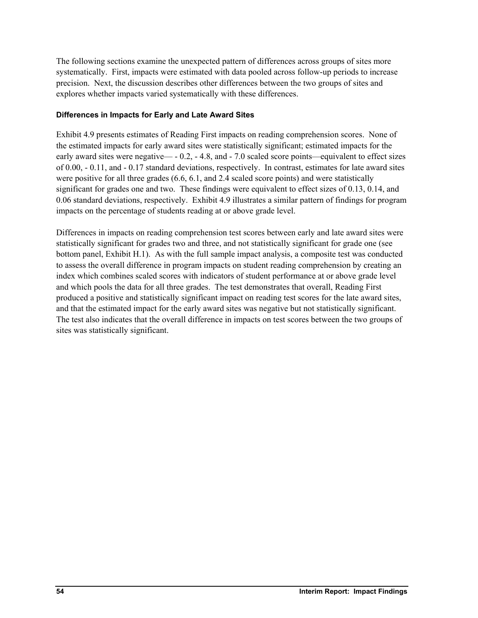The following sections examine the unexpected pattern of differences across groups of sites more systematically. First, impacts were estimated with data pooled across follow-up periods to increase precision. Next, the discussion describes other differences between the two groups of sites and explores whether impacts varied systematically with these differences.

## **Differences in Impacts for Early and Late Award Sites**

Exhibit 4.9 presents estimates of Reading First impacts on reading comprehension scores. None of the estimated impacts for early award sites were statistically significant; estimated impacts for the early award sites were negative— - 0.2, - 4.8, and - 7.0 scaled score points—equivalent to effect sizes of 0.00, - 0.11, and - 0.17 standard deviations, respectively. In contrast, estimates for late award sites were positive for all three grades (6.6, 6.1, and 2.4 scaled score points) and were statistically significant for grades one and two. These findings were equivalent to effect sizes of 0.13, 0.14, and 0.06 standard deviations, respectively. Exhibit 4.9 illustrates a similar pattern of findings for program impacts on the percentage of students reading at or above grade level.

Differences in impacts on reading comprehension test scores between early and late award sites were statistically significant for grades two and three, and not statistically significant for grade one (see bottom panel, Exhibit H.1). As with the full sample impact analysis, a composite test was conducted to assess the overall difference in program impacts on student reading comprehension by creating an index which combines scaled scores with indicators of student performance at or above grade level and which pools the data for all three grades. The test demonstrates that overall, Reading First produced a positive and statistically significant impact on reading test scores for the late award sites, and that the estimated impact for the early award sites was negative but not statistically significant. The test also indicates that the overall difference in impacts on test scores between the two groups of sites was statistically significant.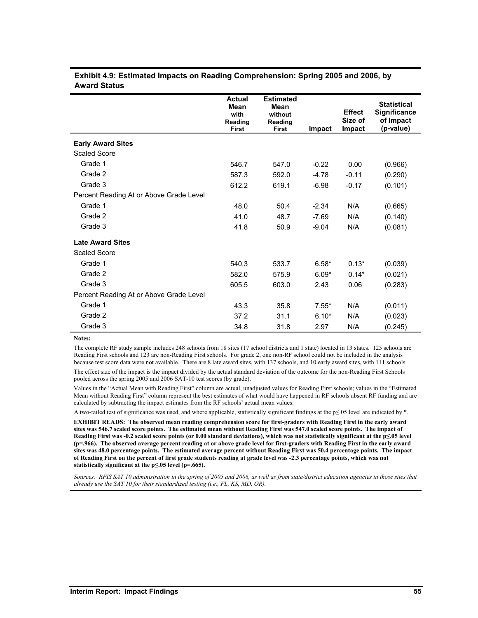| Exhibit 4.9: Estimated Impacts on Reading Comprehension: Spring 2005 and 2006, by |  |
|-----------------------------------------------------------------------------------|--|
| <b>Award Status</b>                                                               |  |

|                                         | <b>Actual</b><br>Mean<br>with<br>Reading<br><b>First</b> | <b>Estimated</b><br><b>Mean</b><br>without<br>Reading<br>First | Impact  | <b>Effect</b><br>Size of<br>Impact | <b>Statistical</b><br><b>Significance</b><br>of Impact<br>(p-value) |
|-----------------------------------------|----------------------------------------------------------|----------------------------------------------------------------|---------|------------------------------------|---------------------------------------------------------------------|
| <b>Early Award Sites</b>                |                                                          |                                                                |         |                                    |                                                                     |
| <b>Scaled Score</b>                     |                                                          |                                                                |         |                                    |                                                                     |
| Grade 1                                 | 546.7                                                    | 547.0                                                          | $-0.22$ | 0.00                               | (0.966)                                                             |
| Grade 2                                 | 587.3                                                    | 592.0                                                          | $-4.78$ | $-0.11$                            | (0.290)                                                             |
| Grade 3                                 | 612.2                                                    | 619.1                                                          | $-6.98$ | $-0.17$                            | (0.101)                                                             |
| Percent Reading At or Above Grade Level |                                                          |                                                                |         |                                    |                                                                     |
| Grade 1                                 | 48.0                                                     | 50.4                                                           | $-2.34$ | N/A                                | (0.665)                                                             |
| Grade 2                                 | 41.0                                                     | 48.7                                                           | $-7.69$ | N/A                                | (0.140)                                                             |
| Grade 3                                 | 41.8                                                     | 50.9                                                           | $-9.04$ | N/A                                | (0.081)                                                             |
| <b>Late Award Sites</b>                 |                                                          |                                                                |         |                                    |                                                                     |
| <b>Scaled Score</b>                     |                                                          |                                                                |         |                                    |                                                                     |
| Grade 1                                 | 540.3                                                    | 533.7                                                          | $6.58*$ | $0.13*$                            | (0.039)                                                             |
| Grade 2                                 | 582.0                                                    | 575.9                                                          | $6.09*$ | $0.14*$                            | (0.021)                                                             |
| Grade 3                                 | 605.5                                                    | 603.0                                                          | 2.43    | 0.06                               | (0.283)                                                             |
| Percent Reading At or Above Grade Level |                                                          |                                                                |         |                                    |                                                                     |
| Grade 1                                 | 43.3                                                     | 35.8                                                           | $7.55*$ | N/A                                | (0.011)                                                             |
| Grade 2                                 | 37.2                                                     | 31.1                                                           | $6.10*$ | N/A                                | (0.023)                                                             |
| Grade 3                                 | 34.8                                                     | 31.8                                                           | 2.97    | N/A                                | (0.245)                                                             |

**Notes:** 

The complete RF study sample includes 248 schools from 18 sites (17 school districts and 1 state) located in 13 states. 125 schools are Reading First schools and 123 are non-Reading First schools. For grade 2, one non-RF school could not be included in the analysis because test score data were not available. There are 8 late award sites, with 137 schools, and 10 early award sites, with 111 schools.

The effect size of the impact is the impact divided by the actual standard deviation of the outcome for the non-Reading First Schools pooled across the spring 2005 and 2006 SAT-10 test scores (by grade).

Values in the "Actual Mean with Reading First" column are actual, unadjusted values for Reading First schools; values in the "Estimated Mean without Reading First" column represent the best estimates of what would have happened in RF schools absent RF funding and are calculated by subtracting the impact estimates from the RF schools' actual mean values.

A two-tailed test of significance was used, and where applicable, statistically significant findings at the p≤.05 level are indicated by \*.

**EXHIBIT READS: The observed mean reading comprehension score for first-graders with Reading First in the early award sites was 546.7 scaled score points. The estimated mean without Reading First was 547.0 scaled score points. The impact of Reading First was -0.2 scaled score points (or 0.00 standard deviations), which was not statistically significant at the p≤.05 level (p=.966). The observed average percent reading at or above grade level for first-graders with Reading First in the early award sites was 48.0 percentage points. The estimated average percent without Reading First was 50.4 percentage points. The impact of Reading First on the percent of first grade students reading at grade level was -2.3 percentage points, which was not statistically significant at the p≤.05 level (p=.665).** 

*Sources: RFIS SAT 10 administration in the spring of 2005 and 2006, as well as from state/district education agencies in those sites that already use the SAT 10 for their standardized testing (i.e., FL, KS, MD, OR).*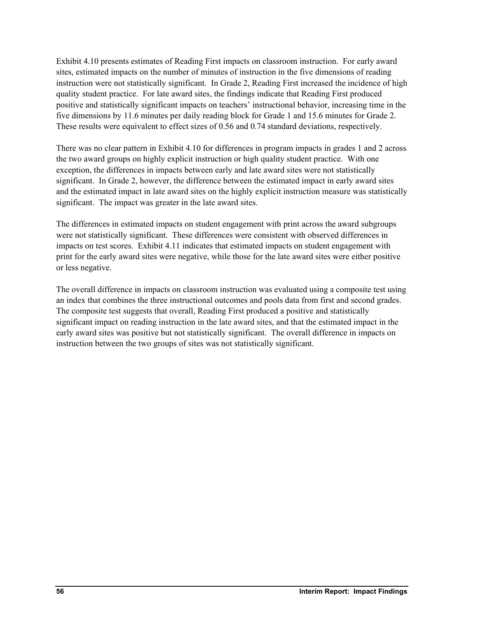Exhibit 4.10 presents estimates of Reading First impacts on classroom instruction. For early award sites, estimated impacts on the number of minutes of instruction in the five dimensions of reading instruction were not statistically significant. In Grade 2, Reading First increased the incidence of high quality student practice. For late award sites, the findings indicate that Reading First produced positive and statistically significant impacts on teachers' instructional behavior, increasing time in the five dimensions by 11.6 minutes per daily reading block for Grade 1 and 15.6 minutes for Grade 2. These results were equivalent to effect sizes of 0.56 and 0.74 standard deviations, respectively.

There was no clear pattern in Exhibit 4.10 for differences in program impacts in grades 1 and 2 across the two award groups on highly explicit instruction or high quality student practice. With one exception, the differences in impacts between early and late award sites were not statistically significant. In Grade 2, however, the difference between the estimated impact in early award sites and the estimated impact in late award sites on the highly explicit instruction measure was statistically significant. The impact was greater in the late award sites.

The differences in estimated impacts on student engagement with print across the award subgroups were not statistically significant. These differences were consistent with observed differences in impacts on test scores. Exhibit 4.11 indicates that estimated impacts on student engagement with print for the early award sites were negative, while those for the late award sites were either positive or less negative.

The overall difference in impacts on classroom instruction was evaluated using a composite test using an index that combines the three instructional outcomes and pools data from first and second grades. The composite test suggests that overall, Reading First produced a positive and statistically significant impact on reading instruction in the late award sites, and that the estimated impact in the early award sites was positive but not statistically significant. The overall difference in impacts on instruction between the two groups of sites was not statistically significant.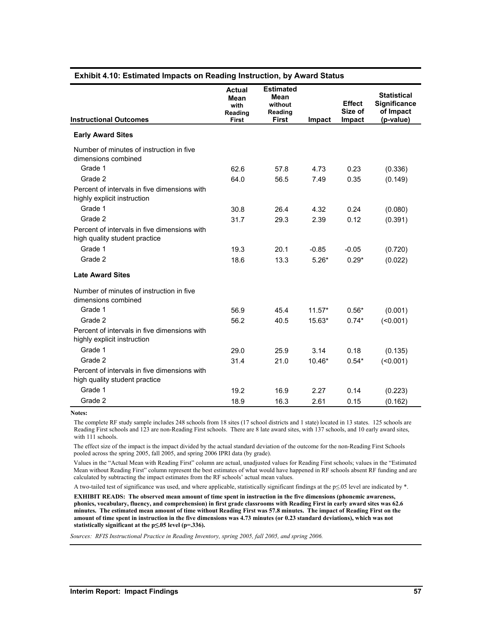| <b>Instructional Outcomes</b>                                                 | <b>Actual</b><br>Mean<br>with<br>Reading<br><b>First</b> | <b>Estimated</b><br>Mean<br>without<br>Reading<br><b>First</b> | Impact   | <b>Effect</b><br>Size of<br>Impact | <b>Statistical</b><br>Significance<br>of Impact<br>(p-value) |
|-------------------------------------------------------------------------------|----------------------------------------------------------|----------------------------------------------------------------|----------|------------------------------------|--------------------------------------------------------------|
| <b>Early Award Sites</b>                                                      |                                                          |                                                                |          |                                    |                                                              |
| Number of minutes of instruction in five<br>dimensions combined               |                                                          |                                                                |          |                                    |                                                              |
| Grade 1                                                                       | 62.6                                                     | 57.8                                                           | 4.73     | 0.23                               | (0.336)                                                      |
| Grade 2                                                                       | 64.0                                                     | 56.5                                                           | 7.49     | 0.35                               | (0.149)                                                      |
| Percent of intervals in five dimensions with<br>highly explicit instruction   |                                                          |                                                                |          |                                    |                                                              |
| Grade 1                                                                       | 30.8                                                     | 26.4                                                           | 4.32     | 0.24                               | (0.080)                                                      |
| Grade 2                                                                       | 31.7                                                     | 29.3                                                           | 2.39     | 0.12                               | (0.391)                                                      |
| Percent of intervals in five dimensions with<br>high quality student practice |                                                          |                                                                |          |                                    |                                                              |
| Grade 1                                                                       | 19.3                                                     | 20.1                                                           | $-0.85$  | $-0.05$                            | (0.720)                                                      |
| Grade 2                                                                       | 18.6                                                     | 13.3                                                           | $5.26*$  | $0.29*$                            | (0.022)                                                      |
| <b>Late Award Sites</b>                                                       |                                                          |                                                                |          |                                    |                                                              |
| Number of minutes of instruction in five<br>dimensions combined               |                                                          |                                                                |          |                                    |                                                              |
| Grade 1                                                                       | 56.9                                                     | 45.4                                                           | $11.57*$ | $0.56*$                            | (0.001)                                                      |
| Grade 2                                                                       | 56.2                                                     | 40.5                                                           | 15.63*   | $0.74*$                            | $($ <0.001)                                                  |
| Percent of intervals in five dimensions with<br>highly explicit instruction   |                                                          |                                                                |          |                                    |                                                              |
| Grade 1                                                                       | 29.0                                                     | 25.9                                                           | 3.14     | 0.18                               | (0.135)                                                      |
| Grade 2                                                                       | 31.4                                                     | 21.0                                                           | 10.46*   | $0.54*$                            | $($ <0.001)                                                  |
| Percent of intervals in five dimensions with<br>high quality student practice |                                                          |                                                                |          |                                    |                                                              |
| Grade 1                                                                       | 19.2                                                     | 16.9                                                           | 2.27     | 0.14                               | (0.223)                                                      |
| Grade 2                                                                       | 18.9                                                     | 16.3                                                           | 2.61     | 0.15                               | (0.162)                                                      |

## **Exhibit 4.10: Estimated Impacts on Reading Instruction, by Award Status**

**Notes:** 

The complete RF study sample includes 248 schools from 18 sites (17 school districts and 1 state) located in 13 states. 125 schools are Reading First schools and 123 are non-Reading First schools. There are 8 late award sites, with 137 schools, and 10 early award sites, with 111 schools.

The effect size of the impact is the impact divided by the actual standard deviation of the outcome for the non-Reading First Schools pooled across the spring 2005, fall 2005, and spring 2006 IPRI data (by grade).

Values in the "Actual Mean with Reading First" column are actual, unadjusted values for Reading First schools; values in the "Estimated Mean without Reading First" column represent the best estimates of what would have happened in RF schools absent RF funding and are calculated by subtracting the impact estimates from the RF schools' actual mean values.

A two-tailed test of significance was used, and where applicable, statistically significant findings at the p≤.05 level are indicated by \*.

**EXHIBIT READS: The observed mean amount of time spent in instruction in the five dimensions (phonemic awareness, phonics, vocabulary, fluency, and comprehension) in first grade classrooms with Reading First in early award sites was 62.6 minutes. The estimated mean amount of time without Reading First was 57.8 minutes. The impact of Reading First on the amount of time spent in instruction in the five dimensions was 4.73 minutes (or 0.23 standard deviations), which was not statistically significant at the p≤.05 level (p=.336).** 

*Sources: RFIS Instructional Practice in Reading Inventory, spring 2005, fall 2005, and spring 2006.*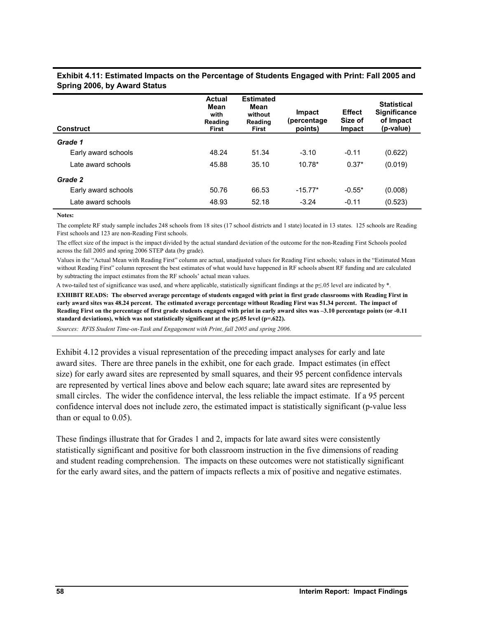| <b>Actual</b><br>Mean<br>with<br>Reading<br>First | <b>Estimated</b><br>Mean<br>without<br>Reading<br>First | Impact<br>(percentage<br>points) | <b>Effect</b><br>Size of<br>Impact | <b>Statistical</b><br><b>Significance</b><br>of Impact<br>(p-value) |
|---------------------------------------------------|---------------------------------------------------------|----------------------------------|------------------------------------|---------------------------------------------------------------------|
|                                                   |                                                         |                                  |                                    |                                                                     |
| 48.24                                             | 51.34                                                   | $-3.10$                          | $-0.11$                            | (0.622)                                                             |
| 45.88                                             | 35.10                                                   | $10.78*$                         | $0.37*$                            | (0.019)                                                             |
|                                                   |                                                         |                                  |                                    |                                                                     |
| 50.76                                             | 66.53                                                   | $-15.77*$                        | $-0.55*$                           | (0.008)                                                             |
| 48.93                                             | 52.18                                                   | $-3.24$                          | $-0.11$                            | (0.523)                                                             |
|                                                   |                                                         |                                  |                                    |                                                                     |

### **Exhibit 4.11: Estimated Impacts on the Percentage of Students Engaged with Print: Fall 2005 and Spring 2006, by Award Status**

#### **Notes:**

The complete RF study sample includes 248 schools from 18 sites (17 school districts and 1 state) located in 13 states. 125 schools are Reading First schools and 123 are non-Reading First schools.

The effect size of the impact is the impact divided by the actual standard deviation of the outcome for the non-Reading First Schools pooled across the fall 2005 and spring 2006 STEP data (by grade).

Values in the "Actual Mean with Reading First" column are actual, unadjusted values for Reading First schools; values in the "Estimated Mean without Reading First" column represent the best estimates of what would have happened in RF schools absent RF funding and are calculated by subtracting the impact estimates from the RF schools' actual mean values.

A two-tailed test of significance was used, and where applicable, statistically significant findings at the p≤.05 level are indicated by \*.

**EXHIBIT READS: The observed average percentage of students engaged with print in first grade classrooms with Reading First in early award sites was 48.24 percent. The estimated average percentage without Reading First was 51.34 percent. The impact of Reading First on the percentage of first grade students engaged with print in early award sites was –3.10 percentage points (or -0.11 standard deviations), which was not statistically significant at the p≤.05 level (p=.622).**

*Sources: RFIS Student Time-on-Task and Engagement with Print, fall 2005 and spring 2006.*

Exhibit 4.12 provides a visual representation of the preceding impact analyses for early and late award sites. There are three panels in the exhibit, one for each grade. Impact estimates (in effect size) for early award sites are represented by small squares, and their 95 percent confidence intervals are represented by vertical lines above and below each square; late award sites are represented by small circles. The wider the confidence interval, the less reliable the impact estimate. If a 95 percent confidence interval does not include zero, the estimated impact is statistically significant (p-value less than or equal to 0.05).

These findings illustrate that for Grades 1 and 2, impacts for late award sites were consistently statistically significant and positive for both classroom instruction in the five dimensions of reading and student reading comprehension. The impacts on these outcomes were not statistically significant for the early award sites, and the pattern of impacts reflects a mix of positive and negative estimates.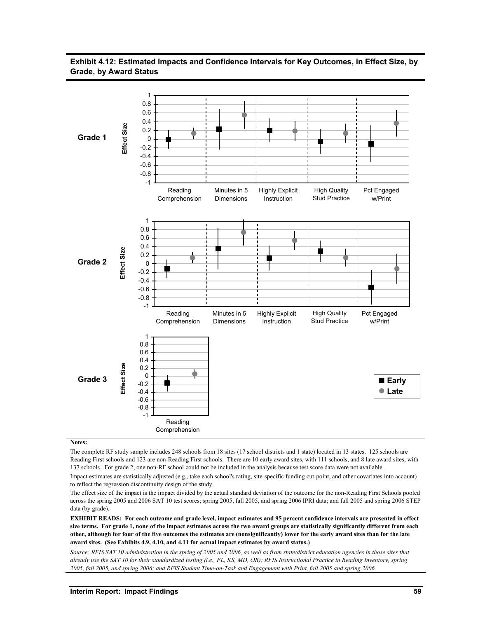### **Exhibit 4.12: Estimated Impacts and Confidence Intervals for Key Outcomes, in Effect Size, by Grade, by Award Status**



**Notes:** 

The complete RF study sample includes 248 schools from 18 sites (17 school districts and 1 state) located in 13 states. 125 schools are Reading First schools and 123 are non-Reading First schools. There are 10 early award sites, with 111 schools, and 8 late award sites, with 137 schools. For grade 2, one non-RF school could not be included in the analysis because test score data were not available.

Impact estimates are statistically adjusted (e.g., take each school's rating, site-specific funding cut-point, and other covariates into account) to reflect the regression discontinuity design of the study.

The effect size of the impact is the impact divided by the actual standard deviation of the outcome for the non-Reading First Schools pooled across the spring 2005 and 2006 SAT 10 test scores; spring 2005, fall 2005, and spring 2006 IPRI data; and fall 2005 and spring 2006 STEP data (by grade).

**EXHIBIT READS: For each outcome and grade level, impact estimates and 95 percent confidence intervals are presented in effect size terms. For grade 1, none of the impact estimates across the two award groups are statistically significantly different from each other, although for four of the five outcomes the estimates are (nonsignificantly) lower for the early award sites than for the late award sites. (See Exhibits 4.9, 4.10, and 4.11 for actual impact estimates by award status.)** 

*Source: RFIS SAT 10 administration in the spring of 2005 and 2006, as well as from state/district education agencies in those sites that already use the SAT 10 for their standardized testing (i.e., FL, KS, MD, OR); RFIS Instructional Practice in Reading Inventory, spring 2005, fall 2005, and spring 2006; and RFIS Student Time-on-Task and Engagement with Print, fall 2005 and spring 2006.*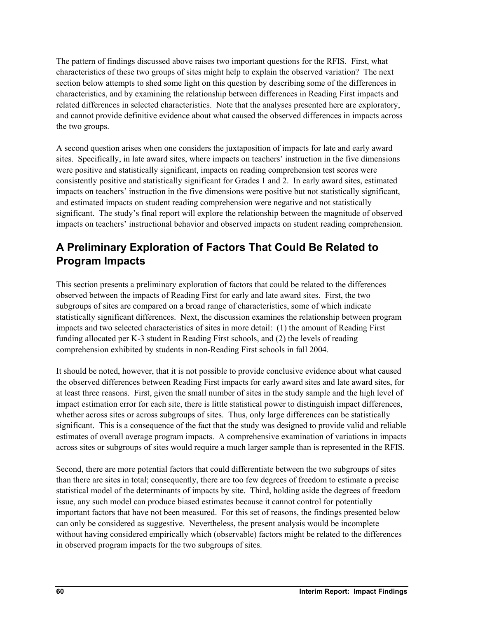The pattern of findings discussed above raises two important questions for the RFIS. First, what characteristics of these two groups of sites might help to explain the observed variation? The next section below attempts to shed some light on this question by describing some of the differences in characteristics, and by examining the relationship between differences in Reading First impacts and related differences in selected characteristics. Note that the analyses presented here are exploratory, and cannot provide definitive evidence about what caused the observed differences in impacts across the two groups.

A second question arises when one considers the juxtaposition of impacts for late and early award sites. Specifically, in late award sites, where impacts on teachers' instruction in the five dimensions were positive and statistically significant, impacts on reading comprehension test scores were consistently positive and statistically significant for Grades 1 and 2. In early award sites, estimated impacts on teachers' instruction in the five dimensions were positive but not statistically significant, and estimated impacts on student reading comprehension were negative and not statistically significant. The study's final report will explore the relationship between the magnitude of observed impacts on teachers' instructional behavior and observed impacts on student reading comprehension.

# **A Preliminary Exploration of Factors That Could Be Related to Program Impacts**

This section presents a preliminary exploration of factors that could be related to the differences observed between the impacts of Reading First for early and late award sites. First, the two subgroups of sites are compared on a broad range of characteristics, some of which indicate statistically significant differences. Next, the discussion examines the relationship between program impacts and two selected characteristics of sites in more detail: (1) the amount of Reading First funding allocated per K-3 student in Reading First schools, and (2) the levels of reading comprehension exhibited by students in non-Reading First schools in fall 2004.

It should be noted, however, that it is not possible to provide conclusive evidence about what caused the observed differences between Reading First impacts for early award sites and late award sites, for at least three reasons. First, given the small number of sites in the study sample and the high level of impact estimation error for each site, there is little statistical power to distinguish impact differences, whether across sites or across subgroups of sites. Thus, only large differences can be statistically significant. This is a consequence of the fact that the study was designed to provide valid and reliable estimates of overall average program impacts. A comprehensive examination of variations in impacts across sites or subgroups of sites would require a much larger sample than is represented in the RFIS.

Second, there are more potential factors that could differentiate between the two subgroups of sites than there are sites in total; consequently, there are too few degrees of freedom to estimate a precise statistical model of the determinants of impacts by site. Third, holding aside the degrees of freedom issue, any such model can produce biased estimates because it cannot control for potentially important factors that have not been measured. For this set of reasons, the findings presented below can only be considered as suggestive. Nevertheless, the present analysis would be incomplete without having considered empirically which (observable) factors might be related to the differences in observed program impacts for the two subgroups of sites.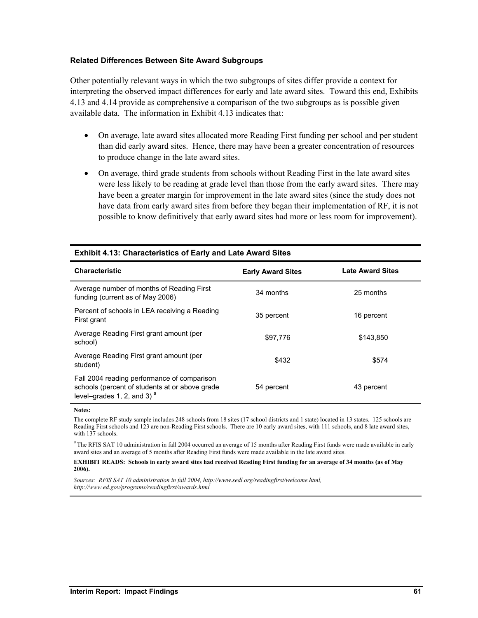### **Related Differences Between Site Award Subgroups**

Other potentially relevant ways in which the two subgroups of sites differ provide a context for interpreting the observed impact differences for early and late award sites. Toward this end, Exhibits 4.13 and 4.14 provide as comprehensive a comparison of the two subgroups as is possible given available data. The information in Exhibit 4.13 indicates that:

- On average, late award sites allocated more Reading First funding per school and per student than did early award sites. Hence, there may have been a greater concentration of resources to produce change in the late award sites.
- On average, third grade students from schools without Reading First in the late award sites were less likely to be reading at grade level than those from the early award sites. There may have been a greater margin for improvement in the late award sites (since the study does not have data from early award sites from before they began their implementation of RF, it is not possible to know definitively that early award sites had more or less room for improvement).

| <b>Characteristic</b>                                                                                                          | <b>Early Award Sites</b> | <b>Late Award Sites</b> |
|--------------------------------------------------------------------------------------------------------------------------------|--------------------------|-------------------------|
| Average number of months of Reading First<br>funding (current as of May 2006)                                                  | 34 months                | 25 months               |
| Percent of schools in LEA receiving a Reading<br>First grant                                                                   | 35 percent               | 16 percent              |
| Average Reading First grant amount (per<br>school)                                                                             | \$97,776                 | \$143.850               |
| Average Reading First grant amount (per<br>student)                                                                            | \$432                    | \$574                   |
| Fall 2004 reading performance of comparison<br>schools (percent of students at or above grade<br>level-grades 1, 2, and 3) $a$ | 54 percent               | 43 percent              |

#### **Exhibit 4.13: Characteristics of Early and Late Award Sites**

**Notes:** 

The complete RF study sample includes 248 schools from 18 sites (17 school districts and 1 state) located in 13 states. 125 schools are Reading First schools and 123 are non-Reading First schools. There are 10 early award sites, with 111 schools, and 8 late award sites, with 137 schools.

<sup>a</sup> The RFIS SAT 10 administration in fall 2004 occurred an average of 15 months after Reading First funds were made available in early award sites and an average of 5 months after Reading First funds were made available in the late award sites.

#### **EXHIBIT READS: Schools in early award sites had received Reading First funding for an average of 34 months (as of May 2006).**

*Sources: RFIS SAT 10 administration in fall 2004, http://www.sedl.org/readingfirst/welcome.html, http://www.ed.gov/programs/readingfirst/awards.html*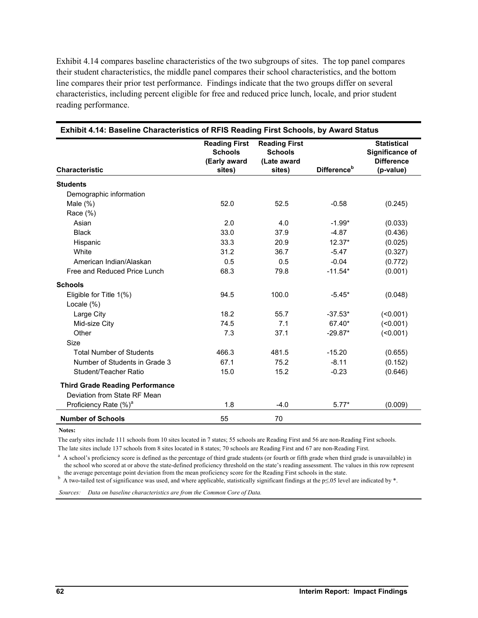Exhibit 4.14 compares baseline characteristics of the two subgroups of sites. The top panel compares their student characteristics, the middle panel compares their school characteristics, and the bottom line compares their prior test performance. Findings indicate that the two groups differ on several characteristics, including percent eligible for free and reduced price lunch, locale, and prior student reading performance.

| <b>Characteristic</b>                                                  | <b>Reading First</b><br><b>Schools</b><br>(Early award<br>sites) | <b>Reading First</b><br><b>Schools</b><br>(Late award<br>sites) | Difference <sup>b</sup> | <b>Statistical</b><br>Significance of<br><b>Difference</b><br>(p-value) |
|------------------------------------------------------------------------|------------------------------------------------------------------|-----------------------------------------------------------------|-------------------------|-------------------------------------------------------------------------|
| <b>Students</b>                                                        |                                                                  |                                                                 |                         |                                                                         |
| Demographic information                                                |                                                                  |                                                                 |                         |                                                                         |
| Male $(\%)$                                                            | 52.0                                                             | 52.5                                                            | $-0.58$                 | (0.245)                                                                 |
| Race (%)                                                               |                                                                  |                                                                 |                         |                                                                         |
| Asian                                                                  | 2.0                                                              | 4.0                                                             | $-1.99*$                | (0.033)                                                                 |
| <b>Black</b>                                                           | 33.0                                                             | 37.9                                                            | $-4.87$                 | (0.436)                                                                 |
| Hispanic                                                               | 33.3                                                             | 20.9                                                            | 12.37*                  | (0.025)                                                                 |
| White                                                                  | 31.2                                                             | 36.7                                                            | $-5.47$                 | (0.327)                                                                 |
| American Indian/Alaskan                                                | 0.5                                                              | 0.5                                                             | $-0.04$                 | (0.772)                                                                 |
| Free and Reduced Price Lunch                                           | 68.3                                                             | 79.8                                                            | $-11.54*$               | (0.001)                                                                 |
| <b>Schools</b>                                                         |                                                                  |                                                                 |                         |                                                                         |
| Eligible for Title $1(\%)$                                             | 94.5                                                             | 100.0                                                           | $-5.45*$                | (0.048)                                                                 |
| Locale (%)                                                             |                                                                  |                                                                 |                         |                                                                         |
| Large City                                                             | 18.2                                                             | 55.7                                                            | $-37.53*$               | $($ <0.001)                                                             |
| Mid-size City                                                          | 74.5                                                             | 7.1                                                             | 67.40*                  | $($ < 0.001)                                                            |
| Other                                                                  | 7.3                                                              | 37.1                                                            | $-29.87*$               | $($ <0.001)                                                             |
| Size                                                                   |                                                                  |                                                                 |                         |                                                                         |
| <b>Total Number of Students</b>                                        | 466.3                                                            | 481.5                                                           | $-15.20$                | (0.655)                                                                 |
| Number of Students in Grade 3                                          | 67.1                                                             | 75.2                                                            | $-8.11$                 | (0.152)                                                                 |
| Student/Teacher Ratio                                                  | 15.0                                                             | 15.2                                                            | $-0.23$                 | (0.646)                                                                 |
| <b>Third Grade Reading Performance</b><br>Deviation from State RF Mean |                                                                  |                                                                 |                         |                                                                         |
| Proficiency Rate (%) <sup>a</sup>                                      | 1.8                                                              | $-4.0$                                                          | $5.77*$                 | (0.009)                                                                 |
| <b>Number of Schools</b>                                               | 55                                                               | 70                                                              |                         |                                                                         |

**Notes:** 

The early sites include 111 schools from 10 sites located in 7 states; 55 schools are Reading First and 56 are non-Reading First schools.

The late sites include 137 schools from 8 sites located in 8 states; 70 schools are Reading First and 67 are non-Reading First.

<sup>a</sup> A school's proficiency score is defined as the percentage of third grade students (or fourth or fifth grade when third grade is unavailable) in the school who scored at or above the state-defined proficiency threshold on the state's reading assessment. The values in this row represent the average percentage point deviation from the mean proficiency score for the R

the average percentage point deviation from the mean proficiency score for the Reading First schools in the state.<br><sup>b</sup> A two-tailed test of significance was used, and where applicable, statistically significant findings a

*Sources: Data on baseline characteristics are from the Common Core of Data.*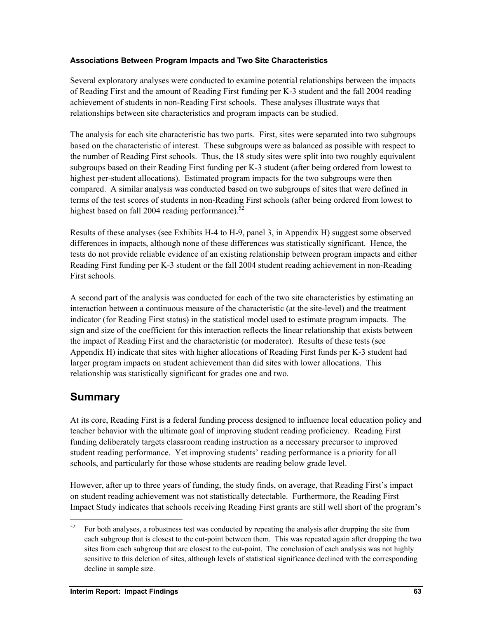## **Associations Between Program Impacts and Two Site Characteristics**

Several exploratory analyses were conducted to examine potential relationships between the impacts of Reading First and the amount of Reading First funding per K-3 student and the fall 2004 reading achievement of students in non-Reading First schools. These analyses illustrate ways that relationships between site characteristics and program impacts can be studied.

The analysis for each site characteristic has two parts. First, sites were separated into two subgroups based on the characteristic of interest. These subgroups were as balanced as possible with respect to the number of Reading First schools. Thus, the 18 study sites were split into two roughly equivalent subgroups based on their Reading First funding per K-3 student (after being ordered from lowest to highest per-student allocations). Estimated program impacts for the two subgroups were then compared. A similar analysis was conducted based on two subgroups of sites that were defined in terms of the test scores of students in non-Reading First schools (after being ordered from lowest to highest based on fall 2004 reading performance).<sup>5</sup>

Results of these analyses (see Exhibits H-4 to H-9, panel 3, in Appendix H) suggest some observed differences in impacts, although none of these differences was statistically significant. Hence, the tests do not provide reliable evidence of an existing relationship between program impacts and either Reading First funding per K-3 student or the fall 2004 student reading achievement in non-Reading First schools.

A second part of the analysis was conducted for each of the two site characteristics by estimating an interaction between a continuous measure of the characteristic (at the site-level) and the treatment indicator (for Reading First status) in the statistical model used to estimate program impacts. The sign and size of the coefficient for this interaction reflects the linear relationship that exists between the impact of Reading First and the characteristic (or moderator). Results of these tests (see Appendix H) indicate that sites with higher allocations of Reading First funds per K-3 student had larger program impacts on student achievement than did sites with lower allocations. This relationship was statistically significant for grades one and two.

## **Summary**

l

At its core, Reading First is a federal funding process designed to influence local education policy and teacher behavior with the ultimate goal of improving student reading proficiency. Reading First funding deliberately targets classroom reading instruction as a necessary precursor to improved student reading performance. Yet improving students' reading performance is a priority for all schools, and particularly for those whose students are reading below grade level.

However, after up to three years of funding, the study finds, on average, that Reading First's impact on student reading achievement was not statistically detectable. Furthermore, the Reading First Impact Study indicates that schools receiving Reading First grants are still well short of the program's

 $52$  For both analyses, a robustness test was conducted by repeating the analysis after dropping the site from each subgroup that is closest to the cut-point between them. This was repeated again after dropping the two sites from each subgroup that are closest to the cut-point. The conclusion of each analysis was not highly sensitive to this deletion of sites, although levels of statistical significance declined with the corresponding decline in sample size.